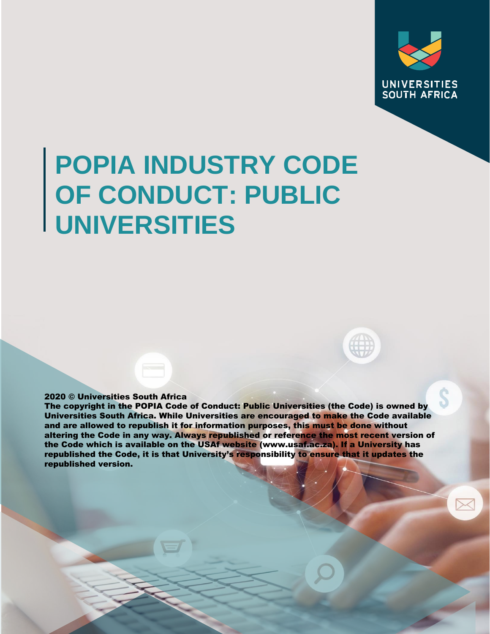

# **POPIA INDUSTRY CODE OF CONDUCT: PUBLIC UNIVERSITIES**

# 2020 © Universities South Africa

The copyright in the POPIA Code of Conduct: Public Universities (the Code) is owned by Universities South Africa. While Universities are encouraged to make the Code available and are allowed to republish it for information purposes, this must be done without altering the Code in any way. Always republished or reference the most recent version of the Code which is available on the USAf website (www.usaf.ac.za). If a University has republished the Code, it is that University's responsibility to ensure that it updates the republished version.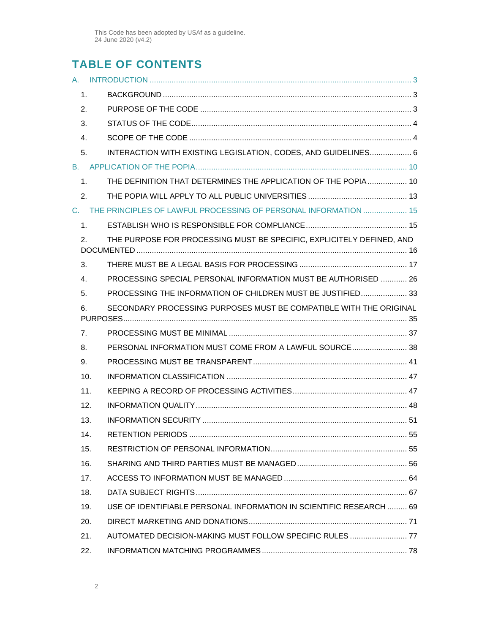# **TABLE OF CONTENTS**

| A.             |     |                                                                       |  |
|----------------|-----|-----------------------------------------------------------------------|--|
| 1.             |     |                                                                       |  |
| 2.             |     |                                                                       |  |
| 3.             |     |                                                                       |  |
| 4.             |     |                                                                       |  |
| 5.             |     | INTERACTION WITH EXISTING LEGISLATION, CODES, AND GUIDELINES 6        |  |
|                |     |                                                                       |  |
| 1.             |     | THE DEFINITION THAT DETERMINES THE APPLICATION OF THE POPIA 10        |  |
| 2.             |     |                                                                       |  |
| $C_{n}$        |     | THE PRINCIPLES OF LAWFUL PROCESSING OF PERSONAL INFORMATION  15       |  |
| 1 <sub>1</sub> |     |                                                                       |  |
| 2.             |     | THE PURPOSE FOR PROCESSING MUST BE SPECIFIC, EXPLICITELY DEFINED, AND |  |
| 3.             |     |                                                                       |  |
| 4.             |     | PROCESSING SPECIAL PERSONAL INFORMATION MUST BE AUTHORISED  26        |  |
| 5.             |     | PROCESSING THE INFORMATION OF CHILDREN MUST BE JUSTIFIED 33           |  |
| 6.             |     | SECONDARY PROCESSING PURPOSES MUST BE COMPATIBLE WITH THE ORIGINAL    |  |
| 7.             |     |                                                                       |  |
| 8.             |     | PERSONAL INFORMATION MUST COME FROM A LAWFUL SOURCE 38                |  |
| 9.             |     |                                                                       |  |
|                | 10. |                                                                       |  |
|                | 11. |                                                                       |  |
|                | 12. |                                                                       |  |
|                | 13. |                                                                       |  |
|                | 14. |                                                                       |  |
|                | 15. |                                                                       |  |
|                | 16. |                                                                       |  |
|                | 17. |                                                                       |  |
|                | 18. |                                                                       |  |
|                | 19. | USE OF IDENTIFIABLE PERSONAL INFORMATION IN SCIENTIFIC RESEARCH  69   |  |
|                | 20. |                                                                       |  |
|                | 21. | AUTOMATED DECISION-MAKING MUST FOLLOW SPECIFIC RULES  77              |  |
|                | 22. |                                                                       |  |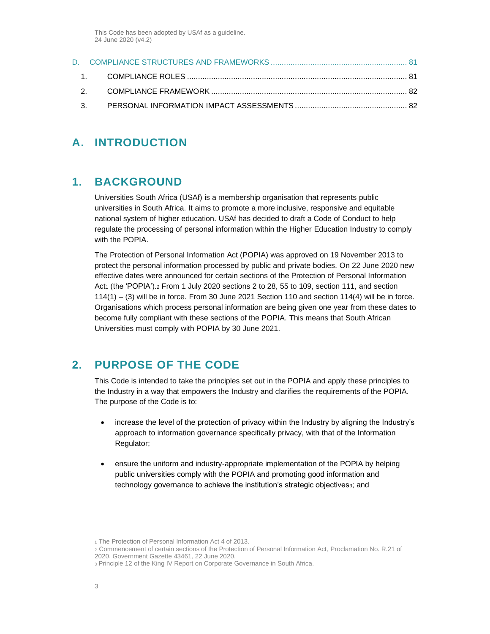# <span id="page-2-1"></span><span id="page-2-0"></span>**A. INTRODUCTION**

# **1. BACKGROUND**

Universities South Africa (USAf) is a membership organisation that represents public universities in South Africa. It aims to promote a more inclusive, responsive and equitable national system of higher education. USAf has decided to draft a Code of Conduct to help regulate the processing of personal information within the Higher Education Industry to comply with the POPIA.

The Protection of Personal Information Act (POPIA) was approved on 19 November 2013 to protect the personal information processed by public and private bodies. On 22 June 2020 new effective dates were announced for certain sections of the Protection of Personal Information Act<sub>1</sub> (the 'POPIA').<sub>2</sub> From 1 July 2020 sections 2 to 28, 55 to 109, section 111, and section 114(1) – (3) will be in force. From 30 June 2021 Section 110 and section 114(4) will be in force. Organisations which process personal information are being given one year from these dates to become fully compliant with these sections of the POPIA. This means that South African Universities must comply with POPIA by 30 June 2021.

# <span id="page-2-2"></span>**2. PURPOSE OF THE CODE**

This Code is intended to take the principles set out in the POPIA and apply these principles to the Industry in a way that empowers the Industry and clarifies the requirements of the POPIA. The purpose of the Code is to:

- increase the level of the protection of privacy within the Industry by aligning the Industry's approach to information governance specifically privacy, with that of the Information Regulator;
- ensure the uniform and industry-appropriate implementation of the POPIA by helping public universities comply with the POPIA and promoting good information and technology governance to achieve the institution's strategic objectivess; and

<sup>1</sup> The Protection of Personal Information Act 4 of 2013.

<sup>2</sup> Commencement of certain sections of the Protection of Personal Information Act, Proclamation No. R.21 of 2020, Government Gazette 43461, 22 June 2020.

<sup>3</sup> Principle 12 of the King IV Report on Corporate Governance in South Africa.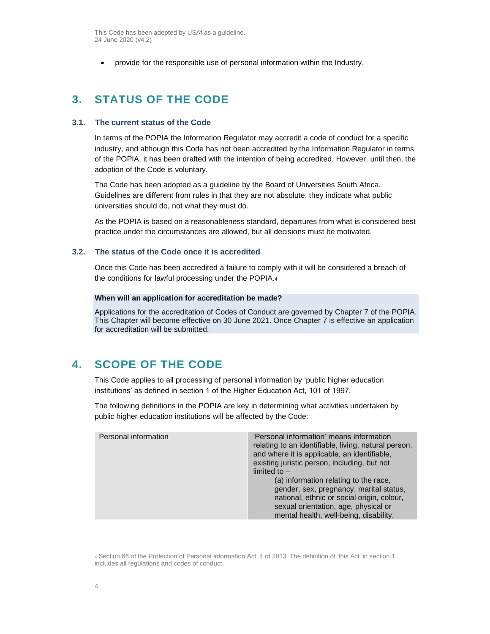• provide for the responsible use of personal information within the Industry.

# <span id="page-3-0"></span>**3. STATUS OF THE CODE**

## **3.1. The current status of the Code**

In terms of the POPIA the Information Regulator may accredit a code of conduct for a specific industry, and although this Code has not been accredited by the Information Regulator in terms of the POPIA, it has been drafted with the intention of being accredited. However, until then, the adoption of the Code is voluntary.

The Code has been adopted as a guideline by the Board of Universities South Africa. Guidelines are different from rules in that they are not absolute; they indicate what public universities should do, not what they must do.

As the POPIA is based on a reasonableness standard, departures from what is considered best practice under the circumstances are allowed, but all decisions must be motivated.

# **3.2. The status of the Code once it is accredited**

Once this Code has been accredited a failure to comply with it will be considered a breach of the conditions for lawful processing under the POPIA.<sup>4</sup>

#### **When will an application for accreditation be made?**

Applications for the accreditation of Codes of Conduct are governed by Chapter 7 of the POPIA. This Chapter will become effective on 30 June 2021. Once Chapter 7 is effective an application for accreditation will be submitted.

# <span id="page-3-1"></span>**4. SCOPE OF THE CODE**

This Code applies to all processing of personal information by 'public higher education institutions' as defined in section 1 of the Higher Education Act, 101 of 1997.

The following definitions in the POPIA are key in determining what activities undertaken by public higher education institutions will be affected by the Code:

| Personal information | 'Personal information' means information<br>relating to an identifiable, living, natural person,<br>and where it is applicable, an identifiable,<br>existing juristic person, including, but not<br>limited to $-$<br>(a) information relating to the race,<br>gender, sex, pregnancy, marital status,<br>national, ethnic or social origin, colour,<br>sexual orientation, age, physical or<br>mental health, well-being, disability, |
|----------------------|----------------------------------------------------------------------------------------------------------------------------------------------------------------------------------------------------------------------------------------------------------------------------------------------------------------------------------------------------------------------------------------------------------------------------------------|

<sup>4</sup> Section 68 of the Protection of Personal Information Act, 4 of 2013. The definition of 'this Act' in section 1 includes all regulations and codes of conduct.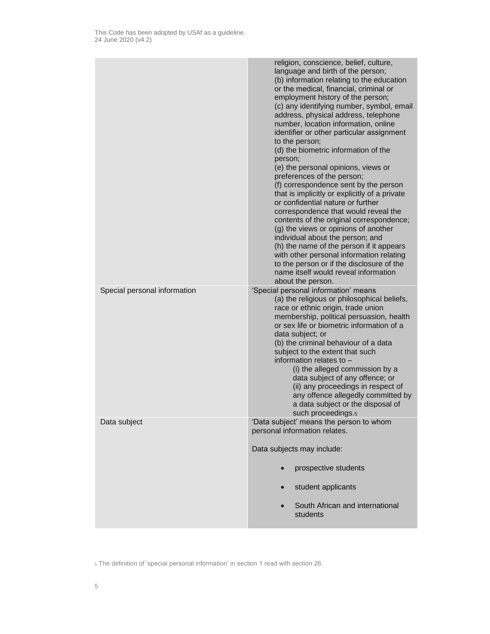|                              | religion, conscience, belief, culture,<br>language and birth of the person;<br>(b) information relating to the education<br>or the medical, financial, criminal or<br>employment history of the person;<br>(c) any identifying number, symbol, email<br>address, physical address, telephone<br>number, location information, online<br>identifier or other particular assignment<br>to the person;<br>(d) the biometric information of the<br>person;<br>(e) the personal opinions, views or<br>preferences of the person;<br>(f) correspondence sent by the person<br>that is implicitly or explicitly of a private<br>or confidential nature or further<br>correspondence that would reveal the<br>contents of the original correspondence;<br>(g) the views or opinions of another<br>individual about the person; and<br>(h) the name of the person if it appears<br>with other personal information relating<br>to the person or if the disclosure of the<br>name itself would reveal information<br>about the person. |
|------------------------------|------------------------------------------------------------------------------------------------------------------------------------------------------------------------------------------------------------------------------------------------------------------------------------------------------------------------------------------------------------------------------------------------------------------------------------------------------------------------------------------------------------------------------------------------------------------------------------------------------------------------------------------------------------------------------------------------------------------------------------------------------------------------------------------------------------------------------------------------------------------------------------------------------------------------------------------------------------------------------------------------------------------------------|
| Special personal information | 'Special personal information' means                                                                                                                                                                                                                                                                                                                                                                                                                                                                                                                                                                                                                                                                                                                                                                                                                                                                                                                                                                                         |
|                              | (a) the religious or philosophical beliefs,<br>race or ethnic origin, trade union<br>membership, political persuasion, health<br>or sex life or biometric information of a<br>data subject; or                                                                                                                                                                                                                                                                                                                                                                                                                                                                                                                                                                                                                                                                                                                                                                                                                               |
|                              | (b) the criminal behaviour of a data<br>subject to the extent that such                                                                                                                                                                                                                                                                                                                                                                                                                                                                                                                                                                                                                                                                                                                                                                                                                                                                                                                                                      |
|                              | information relates to -<br>(i) the alleged commission by a                                                                                                                                                                                                                                                                                                                                                                                                                                                                                                                                                                                                                                                                                                                                                                                                                                                                                                                                                                  |
|                              | data subject of any offence; or                                                                                                                                                                                                                                                                                                                                                                                                                                                                                                                                                                                                                                                                                                                                                                                                                                                                                                                                                                                              |
|                              | (ii) any proceedings in respect of<br>any offence allegedly committed by                                                                                                                                                                                                                                                                                                                                                                                                                                                                                                                                                                                                                                                                                                                                                                                                                                                                                                                                                     |
|                              | a data subject or the disposal of                                                                                                                                                                                                                                                                                                                                                                                                                                                                                                                                                                                                                                                                                                                                                                                                                                                                                                                                                                                            |
| Data subject                 | such proceedings. <sub>5</sub><br>'Data subject' means the person to whom                                                                                                                                                                                                                                                                                                                                                                                                                                                                                                                                                                                                                                                                                                                                                                                                                                                                                                                                                    |
|                              | personal information relates.                                                                                                                                                                                                                                                                                                                                                                                                                                                                                                                                                                                                                                                                                                                                                                                                                                                                                                                                                                                                |
|                              | Data subjects may include:                                                                                                                                                                                                                                                                                                                                                                                                                                                                                                                                                                                                                                                                                                                                                                                                                                                                                                                                                                                                   |
|                              | prospective students                                                                                                                                                                                                                                                                                                                                                                                                                                                                                                                                                                                                                                                                                                                                                                                                                                                                                                                                                                                                         |
|                              | student applicants<br>$\bullet$                                                                                                                                                                                                                                                                                                                                                                                                                                                                                                                                                                                                                                                                                                                                                                                                                                                                                                                                                                                              |
|                              | South African and international<br>students                                                                                                                                                                                                                                                                                                                                                                                                                                                                                                                                                                                                                                                                                                                                                                                                                                                                                                                                                                                  |
|                              |                                                                                                                                                                                                                                                                                                                                                                                                                                                                                                                                                                                                                                                                                                                                                                                                                                                                                                                                                                                                                              |

<sup>5</sup> The definition of 'special personal information' in section 1 read with section 26.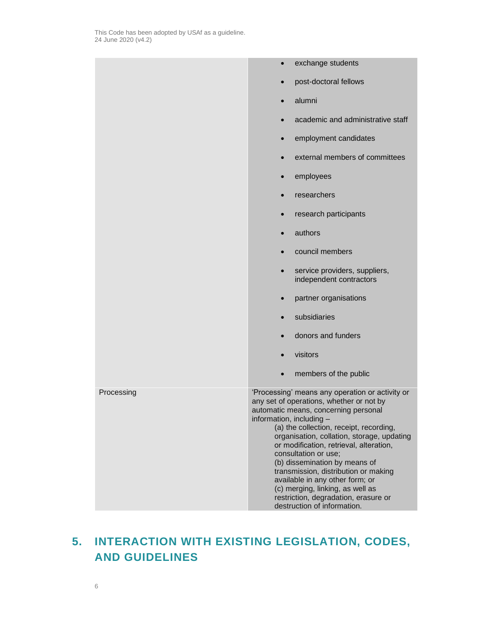# <span id="page-5-0"></span>**5. INTERACTION WITH EXISTING LEGISLATION, CODES, AND GUIDELINES**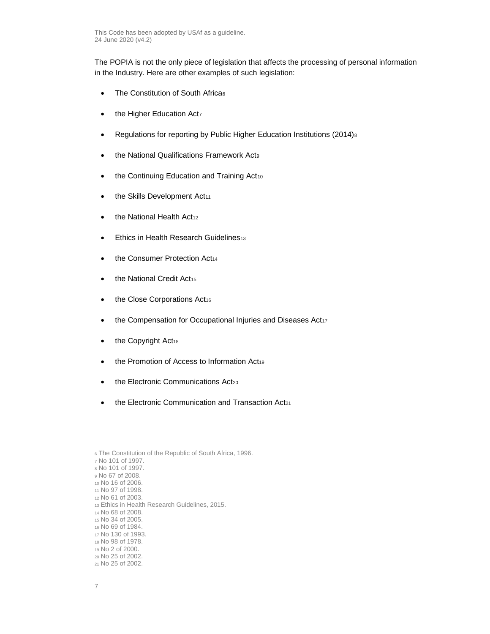The POPIA is not the only piece of legislation that affects the processing of personal information in the Industry. Here are other examples of such legislation:

- The Constitution of South Africa6
- the Higher Education Act7
- Regulations for reporting by Public Higher Education Institutions (2014)<sup>8</sup>
- the National Qualifications Framework Act9
- the Continuing Education and Training Act10
- the Skills Development Act<sub>11</sub>
- the National Health Act<sub>12</sub>
- Ethics in Health Research Guidelines<sup>13</sup>
- the Consumer Protection Act<sub>14</sub>
- the National Credit Act<sub>15</sub>
- the Close Corporations Act16
- the Compensation for Occupational Injuries and Diseases Act17
- the Copyright Act<sub>18</sub>
- the Promotion of Access to Information Act19
- the Electronic Communications Act20
- the Electronic Communication and Transaction Act21

| 6 The Constitution of the Republic of South Africa, 1996.<br>z No. 101 of 1997.<br>8 No 101 of 1997.<br>∘ No 67 of 2008.<br>10 No 16 of 2006.<br>11 No 97 of 1998.<br>$12$ No 61 of 2003. |
|-------------------------------------------------------------------------------------------------------------------------------------------------------------------------------------------|
| 13 Ethics in Health Research Guidelines, 2015.<br>14 No 68 of 2008.                                                                                                                       |
| $15$ No 34 of 2005.                                                                                                                                                                       |
| 16 No 69 of 1984.                                                                                                                                                                         |
| $17$ No 130 of 1993.                                                                                                                                                                      |
| 18 No 98 of 1978.                                                                                                                                                                         |
| $19$ No 2 of 2000.                                                                                                                                                                        |
| <sub>20</sub> No 25 of 2002.                                                                                                                                                              |
| 21 No 25 of 2002.                                                                                                                                                                         |
|                                                                                                                                                                                           |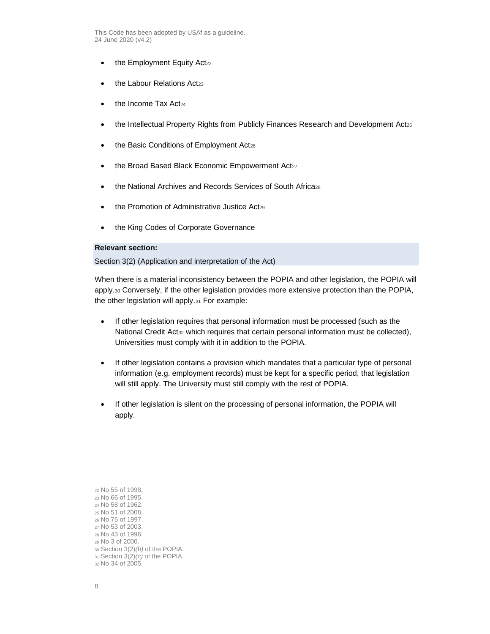- $\bullet$  the Employment Equity Act<sub>22</sub>
- the Labour Relations Act<sub>23</sub>
- the Income Tax Act<sub>24</sub>
- the Intellectual Property Rights from Publicly Finances Research and Development Act<sub>25</sub>
- the Basic Conditions of Employment Act26
- the Broad Based Black Economic Empowerment Act27
- the National Archives and Records Services of South Africa<sub>28</sub>
- the Promotion of Administrative Justice Act29
- the King Codes of Corporate Governance

# **Relevant section:**

Section 3(2) (Application and interpretation of the Act)

When there is a material inconsistency between the POPIA and other legislation, the POPIA will apply.<sup>30</sup> Conversely, if the other legislation provides more extensive protection than the POPIA, the other legislation will apply.<sup>31</sup> For example:

- If other legislation requires that personal information must be processed (such as the National Credit Act<sub>32</sub> which requires that certain personal information must be collected), Universities must comply with it in addition to the POPIA.
- If other legislation contains a provision which mandates that a particular type of personal information (e.g. employment records) must be kept for a specific period, that legislation will still apply. The University must still comply with the rest of POPIA.
- If other legislation is silent on the processing of personal information, the POPIA will apply.

 No 55 of 1998. No 66 of 1995. No 58 of 1962. No 51 of 2008. No 75 of 1997. No 53 of 2003. No 43 of 1996. No 3 of 2000. Section 3(2)*(b)* of the POPIA. Section 3(2)*(c)* of the POPIA. No 34 of 2005.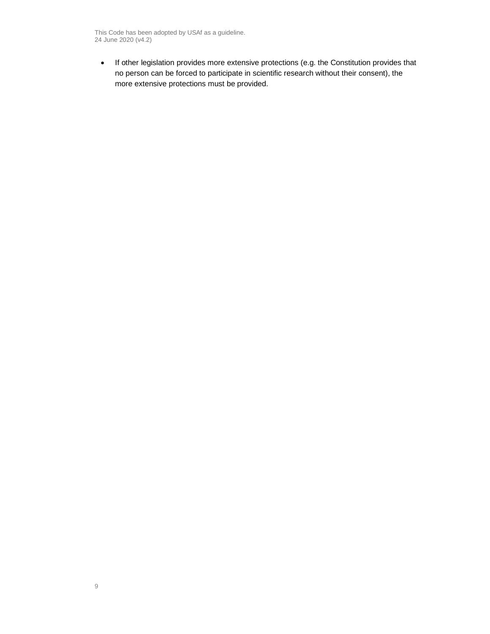• If other legislation provides more extensive protections (e.g. the Constitution provides that no person can be forced to participate in scientific research without their consent), the more extensive protections must be provided.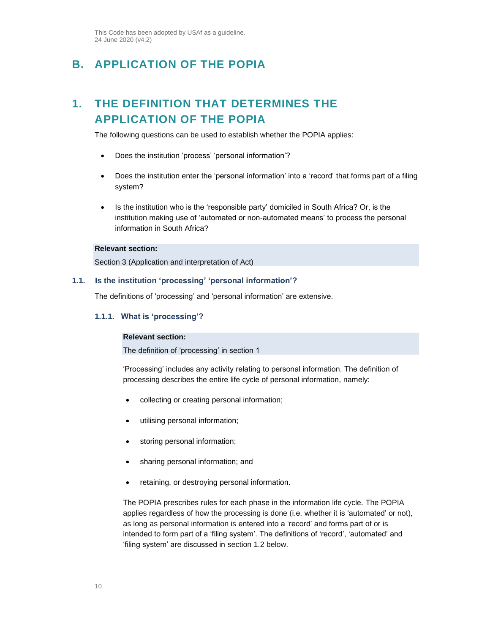# <span id="page-9-1"></span><span id="page-9-0"></span>**B. APPLICATION OF THE POPIA**

# **1. THE DEFINITION THAT DETERMINES THE APPLICATION OF THE POPIA**

The following questions can be used to establish whether the POPIA applies:

- Does the institution 'process' 'personal information'?
- Does the institution enter the 'personal information' into a 'record' that forms part of a filing system?
- Is the institution who is the 'responsible party' domiciled in South Africa? Or, is the institution making use of 'automated or non-automated means' to process the personal information in South Africa?

# **Relevant section:**

Section 3 (Application and interpretation of Act)

#### **1.1. Is the institution 'processing' 'personal information'?**

The definitions of 'processing' and 'personal information' are extensive.

# **1.1.1. What is 'processing'?**

# **Relevant section:**

The definition of 'processing' in section 1

'Processing' includes any activity relating to personal information. The definition of processing describes the entire life cycle of personal information, namely:

- collecting or creating personal information;
- utilising personal information;
- storing personal information;
- sharing personal information; and
- retaining, or destroying personal information.

The POPIA prescribes rules for each phase in the information life cycle. The POPIA applies regardless of how the processing is done (i.e. whether it is 'automated' or not), as long as personal information is entered into a 'record' and forms part of or is intended to form part of a 'filing system'. The definitions of 'record', 'automated' and 'filing system' are discussed in section [1.2](#page-11-0) below.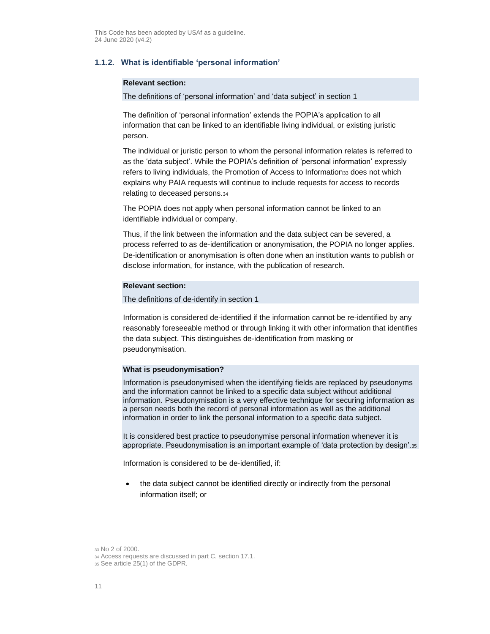# **1.1.2. What is identifiable 'personal information'**

#### **Relevant section:**

The definitions of 'personal information' and 'data subject' in section 1

The definition of 'personal information' extends the POPIA's application to all information that can be linked to an identifiable living individual, or existing juristic person.

The individual or juristic person to whom the personal information relates is referred to as the 'data subject'. While the POPIA's definition of 'personal information' expressly refers to living individuals, the Promotion of Access to Information33 does not which explains why PAIA requests will continue to include requests for access to records relating to deceased persons.<sup>34</sup>

The POPIA does not apply when personal information cannot be linked to an identifiable individual or company.

Thus, if the link between the information and the data subject can be severed, a process referred to as de-identification or anonymisation, the POPIA no longer applies. De-identification or anonymisation is often done when an institution wants to publish or disclose information, for instance, with the publication of research.

## **Relevant section:**

The definitions of de-identify in section 1

Information is considered de-identified if the information cannot be re-identified by any reasonably foreseeable method or through linking it with other information that identifies the data subject. This distinguishes de-identification from masking or pseudonymisation.

## **What is pseudonymisation?**

Information is pseudonymised when the identifying fields are replaced by pseudonyms and the information cannot be linked to a specific data subject without additional information. Pseudonymisation is a very effective technique for securing information as a person needs both the record of personal information as well as the additional information in order to link the personal information to a specific data subject.

It is considered best practice to pseudonymise personal information whenever it is appropriate. Pseudonymisation is an important example of 'data protection by design'.<sup>35</sup>

Information is considered to be de-identified, if:

• the data subject cannot be identified directly or indirectly from the personal information itself; or

<sup>33</sup> No 2 of 2000.

<sup>34</sup> Access requests are discussed in part [C,](#page-14-0) section [17.1.](#page-63-1) 

<sup>35</sup> See article 25(1) of the GDPR.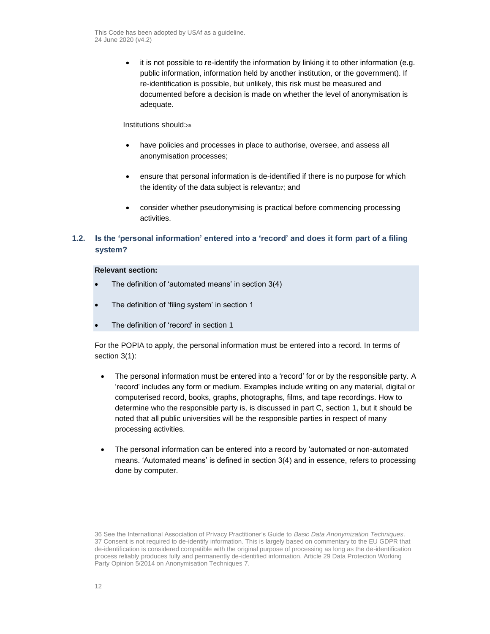• it is not possible to re-identify the information by linking it to other information (e.g. public information, information held by another institution, or the government). If re-identification is possible, but unlikely, this risk must be measured and documented before a decision is made on whether the level of anonymisation is adequate.

# Institutions should:<sup>36</sup>

- have policies and processes in place to authorise, oversee, and assess all anonymisation processes;
- ensure that personal information is de-identified if there is no purpose for which the identity of the data subject is relevant<sub>37</sub>; and
- consider whether pseudonymising is practical before commencing processing activities.

# <span id="page-11-0"></span>**1.2. Is the 'personal information' entered into a 'record' and does it form part of a filing system?**

# **Relevant section:**

- The definition of 'automated means' in section 3(4)
- The definition of 'filing system' in section 1
- The definition of 'record' in section 1

For the POPIA to apply, the personal information must be entered into a record. In terms of section 3(1):

- The personal information must be entered into a 'record' for or by the responsible party. A 'record' includes any form or medium. Examples include writing on any material, digital or computerised record, books, graphs, photographs, films, and tape recordings. How to determine who the responsible party is, is discussed in part [C,](#page-14-0) section [1,](#page-14-1) but it should be noted that all public universities will be the responsible parties in respect of many processing activities.
- The personal information can be entered into a record by 'automated or non-automated means. 'Automated means' is defined in section 3(4) and in essence, refers to processing done by computer.

<sup>36</sup> See the International Association of Privacy Practitioner's Guide to *Basic Data Anonymization Techniques*. 37 Consent is not required to de-identify information. This is largely based on commentary to the EU GDPR that de-identification is considered compatible with the original purpose of processing as long as the de-identification process reliably produces fully and permanently de-identified information. Article 29 Data Protection Working Party Opinion 5/2014 on Anonymisation Techniques 7.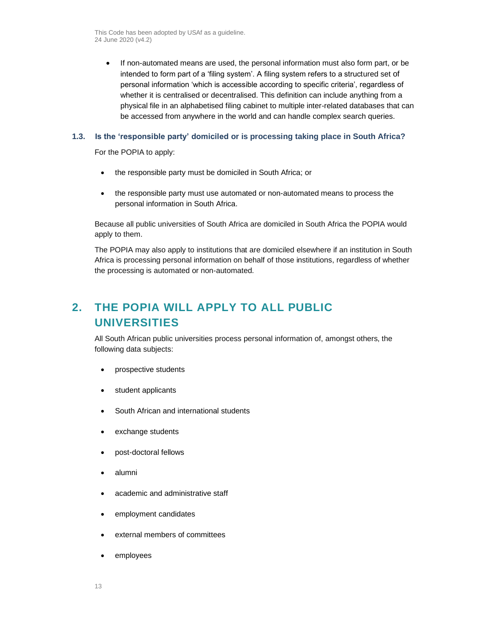• If non-automated means are used, the personal information must also form part, or be intended to form part of a 'filing system'. A filing system refers to a structured set of personal information 'which is accessible according to specific criteria', regardless of whether it is centralised or decentralised. This definition can include anything from a physical file in an alphabetised filing cabinet to multiple inter-related databases that can be accessed from anywhere in the world and can handle complex search queries.

# **1.3. Is the 'responsible party' domiciled or is processing taking place in South Africa?**

For the POPIA to apply:

- the responsible party must be domiciled in South Africa; or
- the responsible party must use automated or non-automated means to process the personal information in South Africa.

Because all public universities of South Africa are domiciled in South Africa the POPIA would apply to them.

The POPIA may also apply to institutions that are domiciled elsewhere if an institution in South Africa is processing personal information on behalf of those institutions, regardless of whether the processing is automated or non-automated.

# <span id="page-12-0"></span>**2. THE POPIA WILL APPLY TO ALL PUBLIC UNIVERSITIES**

All South African public universities process personal information of, amongst others, the following data subjects:

- prospective students
- student applicants
- South African and international students
- exchange students
- post-doctoral fellows
- alumni
- academic and administrative staff
- employment candidates
- external members of committees
- employees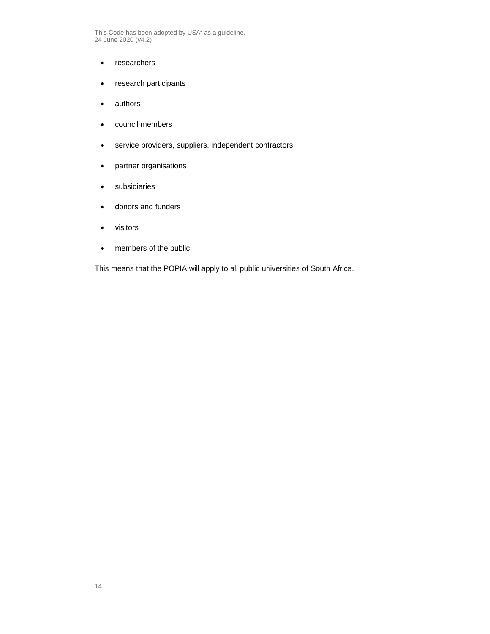- researchers
- research participants
- authors
- council members
- service providers, suppliers, independent contractors
- partner organisations
- subsidiaries
- donors and funders
- visitors
- members of the public

This means that the POPIA will apply to all public universities of South Africa.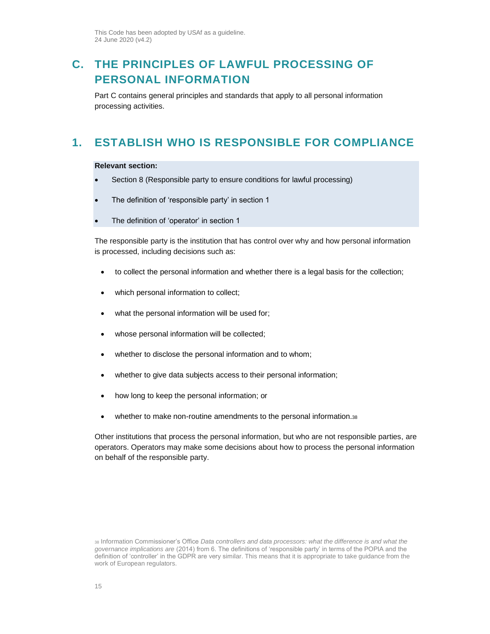# <span id="page-14-0"></span>**C. THE PRINCIPLES OF LAWFUL PROCESSING OF PERSONAL INFORMATION**

Part C contains general principles and standards that apply to all personal information processing activities.

# <span id="page-14-1"></span>**1. ESTABLISH WHO IS RESPONSIBLE FOR COMPLIANCE**

## **Relevant section:**

- Section 8 (Responsible party to ensure conditions for lawful processing)
- The definition of 'responsible party' in section 1
- The definition of 'operator' in section 1

The responsible party is the institution that has control over why and how personal information is processed, including decisions such as:

- to collect the personal information and whether there is a legal basis for the collection;
- which personal information to collect;
- what the personal information will be used for;
- whose personal information will be collected;
- whether to disclose the personal information and to whom;
- whether to give data subjects access to their personal information;
- how long to keep the personal information; or
- whether to make non-routine amendments to the personal information.<sup>38</sup>

Other institutions that process the personal information, but who are not responsible parties, are operators. Operators may make some decisions about how to process the personal information on behalf of the responsible party.

<sup>38</sup> Information Commissioner's Office *Data controllers and data processors: what the difference is and what the governance implications are* (2014) from 6. The definitions of 'responsible party' in terms of the POPIA and the definition of 'controller' in the GDPR are very similar. This means that it is appropriate to take guidance from the work of European regulators.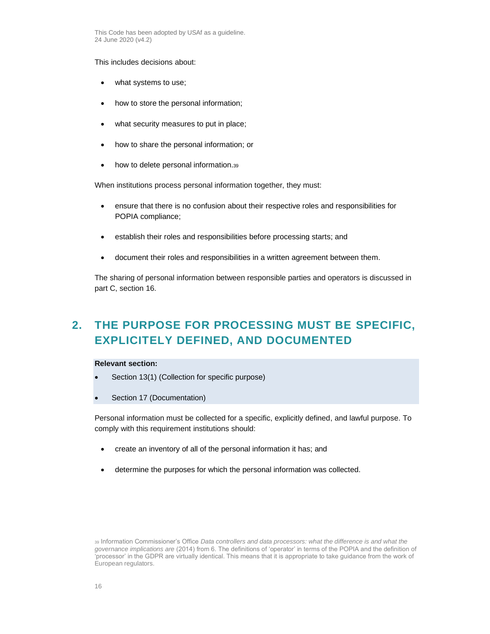This includes decisions about:

- what systems to use;
- how to store the personal information;
- what security measures to put in place;
- how to share the personal information; or
- how to delete personal information.39

When institutions process personal information together, they must:

- ensure that there is no confusion about their respective roles and responsibilities for POPIA compliance;
- establish their roles and responsibilities before processing starts; and
- document their roles and responsibilities in a written agreement between them.

The sharing of personal information between responsible parties and operators is discussed in part [C,](#page-14-0) section [16.](#page-55-0)

# <span id="page-15-0"></span>**2. THE PURPOSE FOR PROCESSING MUST BE SPECIFIC, EXPLICITELY DEFINED, AND DOCUMENTED**

# **Relevant section:**

- Section 13(1) (Collection for specific purpose)
- Section 17 (Documentation)

Personal information must be collected for a specific, explicitly defined, and lawful purpose. To comply with this requirement institutions should:

- create an inventory of all of the personal information it has; and
- determine the purposes for which the personal information was collected.

<sup>39</sup> Information Commissioner's Office *Data controllers and data processors: what the difference is and what the governance implications are* (2014) from 6. The definitions of 'operator' in terms of the POPIA and the definition of 'processor' in the GDPR are virtually identical. This means that it is appropriate to take guidance from the work of European regulators.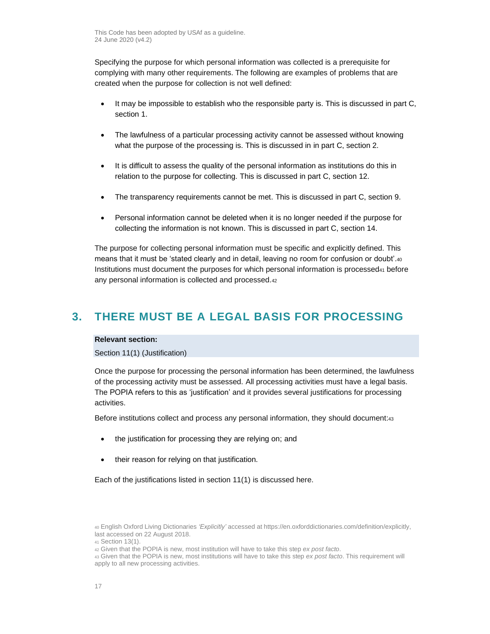Specifying the purpose for which personal information was collected is a prerequisite for complying with many other requirements. The following are examples of problems that are created when the purpose for collection is not well defined:

- It may be impossible to establish who the responsible party is. This is discussed in part [C,](#page-14-0) section [1.](#page-14-1)
- The lawfulness of a particular processing activity cannot be assessed without knowing what the purpose of the processing is. This is discussed in in part C, section [2.](#page-15-0)
- It is difficult to assess the quality of the personal information as institutions do this in relation to the purpose for collecting. This is discussed in part [C,](#page-14-0) section [12.](#page-47-0)
- The transparency requirements cannot be met. This is discussed in part [C,](#page-14-0) section [9.](#page-40-0)
- Personal information cannot be deleted when it is no longer needed if the purpose for collecting the information is not known. This is discussed in part [C,](#page-14-0) section [14.](#page-54-0)

The purpose for collecting personal information must be specific and explicitly defined. This means that it must be 'stated clearly and in detail, leaving no room for confusion or doubt'.<sup>40</sup> Institutions must document the purposes for which personal information is processed<sup>41</sup> before any personal information is collected and processed.<sup>42</sup>

# <span id="page-16-0"></span>**3. THERE MUST BE A LEGAL BASIS FOR PROCESSING**

## **Relevant section:**

Section 11(1) (Justification)

Once the purpose for processing the personal information has been determined, the lawfulness of the processing activity must be assessed. All processing activities must have a legal basis. The POPIA refers to this as 'justification' and it provides several justifications for processing activities.

Before institutions collect and process any personal information, they should document:<sup>43</sup>

- the justification for processing they are relying on; and
- their reason for relying on that justification.

Each of the justifications listed in section 11(1) is discussed here.

<sup>40</sup> English Oxford Living Dictionaries *'Explicitly'* accessed at https://en.oxforddictionaries.com/definition/explicitly, last accessed on 22 August 2018.

<sup>41</sup> Section 13(1).

<sup>42</sup> Given that the POPIA is new, most institution will have to take this step *ex post facto*.

<sup>43</sup> Given that the POPIA is new, most institutions will have to take this step *ex post facto*. This requirement will apply to all new processing activities.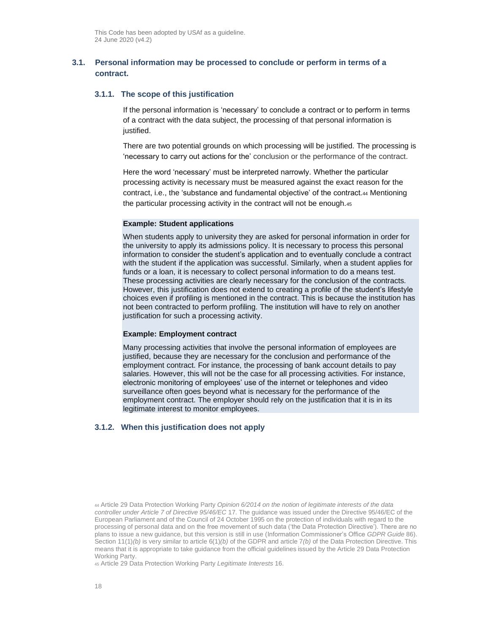# <span id="page-17-0"></span>**3.1. Personal information may be processed to conclude or perform in terms of a contract.**

#### **3.1.1. The scope of this justification**

If the personal information is 'necessary' to conclude a contract or to perform in terms of a contract with the data subject, the processing of that personal information is justified.

There are two potential grounds on which processing will be justified. The processing is 'necessary to carry out actions for the' conclusion or the performance of the contract.

Here the word 'necessary' must be interpreted narrowly. Whether the particular processing activity is necessary must be measured against the exact reason for the contract, i.e., the 'substance and fundamental objective' of the contract.<sup>44</sup> Mentioning the particular processing activity in the contract will not be enough.<sup>45</sup>

# **Example: Student applications**

When students apply to university they are asked for personal information in order for the university to apply its admissions policy. It is necessary to process this personal information to consider the student's application and to eventually conclude a contract with the student if the application was successful. Similarly, when a student applies for funds or a loan, it is necessary to collect personal information to do a means test. These processing activities are clearly necessary for the conclusion of the contracts. However, this justification does not extend to creating a profile of the student's lifestyle choices even if profiling is mentioned in the contract. This is because the institution has not been contracted to perform profiling. The institution will have to rely on another justification for such a processing activity.

## **Example: Employment contract**

Many processing activities that involve the personal information of employees are justified, because they are necessary for the conclusion and performance of the employment contract. For instance, the processing of bank account details to pay salaries. However, this will not be the case for all processing activities. For instance, electronic monitoring of employees' use of the internet or telephones and video surveillance often goes beyond what is necessary for the performance of the employment contract. The employer should rely on the justification that it is in its legitimate interest to monitor employees.

# **3.1.2. When this justification does not apply**

<sup>45</sup> Article 29 Data Protection Working Party *Legitimate Interests* 16.

<sup>44</sup> Article 29 Data Protection Working Party *Opinion 6/2014 on the notion of legitimate interests of the data controller under Article 7 of Directive 95/46/EC* 17. The guidance was issued under the Directive 95/46/EC of the European Parliament and of the Council of 24 October 1995 on the protection of individuals with regard to the processing of personal data and on the free movement of such data ('the Data Protection Directive'). There are no plans to issue a new guidance, but this version is still in use (Information Commissioner's Office *GDPR Guide* 86). Section 11(1)*(b)* is very similar to article 6(1)*(b)* of the GDPR and article 7*(b)* of the Data Protection Directive. This means that it is appropriate to take guidance from the official guidelines issued by the Article 29 Data Protection Working Party.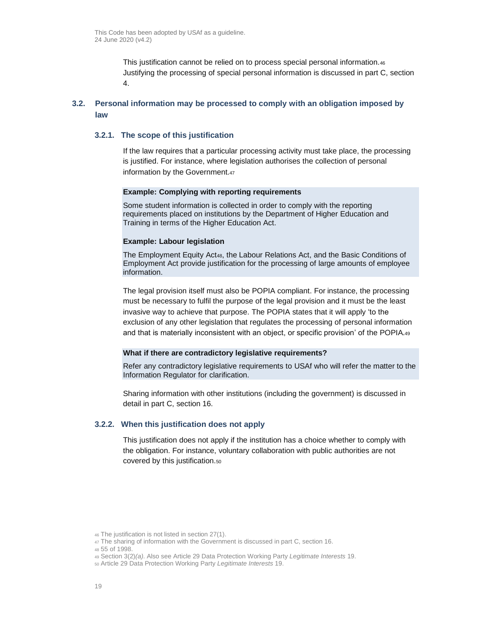This justification cannot be relied on to process special personal information.<sup>46</sup> Justifying the processing of special personal information is discussed in part [C,](#page-14-0) section [4.](#page-25-0)

# <span id="page-18-0"></span>**3.2. Personal information may be processed to comply with an obligation imposed by law**

# **3.2.1. The scope of this justification**

If the law requires that a particular processing activity must take place, the processing is justified. For instance, where legislation authorises the collection of personal information by the Government.<sup>47</sup>

#### **Example: Complying with reporting requirements**

Some student information is collected in order to comply with the reporting requirements placed on institutions by the Department of Higher Education and Training in terms of the Higher Education Act.

#### **Example: Labour legislation**

The Employment Equity Act48, the Labour Relations Act, and the Basic Conditions of Employment Act provide justification for the processing of large amounts of employee information.

The legal provision itself must also be POPIA compliant. For instance, the processing must be necessary to fulfil the purpose of the legal provision and it must be the least invasive way to achieve that purpose. The POPIA states that it will apply 'to the exclusion of any other legislation that regulates the processing of personal information and that is materially inconsistent with an object, or specific provision' of the POPIA.<sup>49</sup>

# **What if there are contradictory legislative requirements?**

Refer any contradictory legislative requirements to USAf who will refer the matter to the Information Regulator for clarification.

Sharing information with other institutions (including the government) is discussed in detail in part [C,](#page-14-0) section [16.](#page-55-0)

## **3.2.2. When this justification does not apply**

This justification does not apply if the institution has a choice whether to comply with the obligation. For instance, voluntary collaboration with public authorities are not covered by this justification.<sup>50</sup>

<sup>46</sup> The justification is not listed in section 27(1).

<sup>47</sup> The sharing of information with the Government is discussed in par[t C,](#page-14-0) sectio[n 16.](#page-55-0)

<sup>48</sup> 55 of 1998.

<sup>49</sup> Section 3(2)*(a)*. Also see Article 29 Data Protection Working Party *Legitimate Interests* 19.

<sup>50</sup> Article 29 Data Protection Working Party *Legitimate Interests* 19.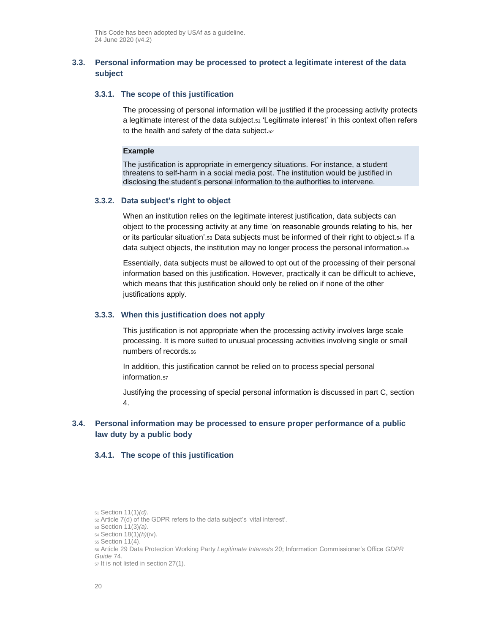# **3.3. Personal information may be processed to protect a legitimate interest of the data subject**

## **3.3.1. The scope of this justification**

The processing of personal information will be justified if the processing activity protects a legitimate interest of the data subject.<sup>51</sup> 'Legitimate interest' in this context often refers to the health and safety of the data subject.<sup>52</sup>

#### **Example**

The justification is appropriate in emergency situations. For instance, a student threatens to self-harm in a social media post. The institution would be justified in disclosing the student's personal information to the authorities to intervene.

#### **3.3.2. Data subject's right to object**

When an institution relies on the legitimate interest justification, data subjects can object to the processing activity at any time 'on reasonable grounds relating to his, her or its particular situation'.<sup>53</sup> Data subjects must be informed of their right to object.<sup>54</sup> If a data subject objects, the institution may no longer process the personal information.<sup>55</sup>

Essentially, data subjects must be allowed to opt out of the processing of their personal information based on this justification. However, practically it can be difficult to achieve, which means that this justification should only be relied on if none of the other justifications apply.

#### **3.3.3. When this justification does not apply**

This justification is not appropriate when the processing activity involves large scale processing. It is more suited to unusual processing activities involving single or small numbers of records.<sup>56</sup>

In addition, this justification cannot be relied on to process special personal information.<sup>57</sup>

Justifying the processing of special personal information is discussed in part [C,](#page-14-0) section [4.](#page-25-0)

# <span id="page-19-0"></span>**3.4. Personal information may be processed to ensure proper performance of a public law duty by a public body**

# **3.4.1. The scope of this justification**

<sup>51</sup> Section 11(1)*(d)*.

<sup>52</sup> Article 7(d) of the GDPR refers to the data subject's 'vital interest'.

<sup>53</sup> Section 11(3)*(a)*.

<sup>54</sup> Section 18(1)*(h)*(iv).

<sup>55</sup> Section 11(4).

<sup>56</sup> Article 29 Data Protection Working Party *Legitimate Interests* 20; Information Commissioner's Office *GDPR Guide* 74.

<sup>57</sup> It is not listed in section 27(1).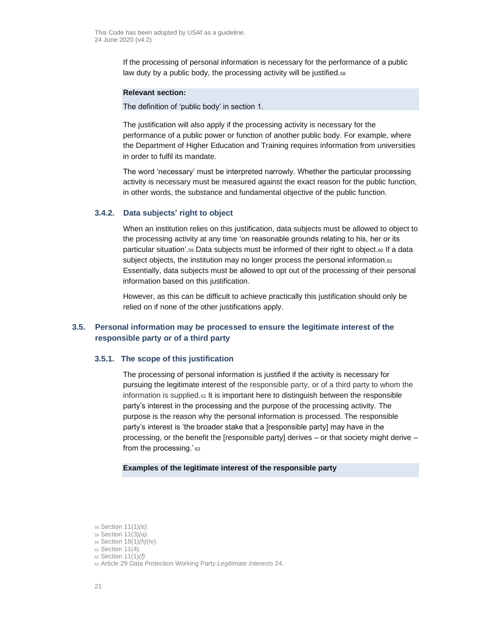If the processing of personal information is necessary for the performance of a public law duty by a public body, the processing activity will be justified.<sup>58</sup>

#### **Relevant section:**

The definition of 'public body' in section 1.

The justification will also apply if the processing activity is necessary for the performance of a public power or function of another public body. For example, where the Department of Higher Education and Training requires information from universities in order to fulfil its mandate.

The word 'necessary' must be interpreted narrowly. Whether the particular processing activity is necessary must be measured against the exact reason for the public function, in other words, the substance and fundamental objective of the public function.

# **3.4.2. Data subjects' right to object**

When an institution relies on this justification, data subjects must be allowed to object to the processing activity at any time 'on reasonable grounds relating to his, her or its particular situation'.<sup>59</sup> Data subjects must be informed of their right to object.<sup>60</sup> If a data subject objects, the institution may no longer process the personal information.<sup>61</sup> Essentially, data subjects must be allowed to opt out of the processing of their personal information based on this justification.

However, as this can be difficult to achieve practically this justification should only be relied on if none of the other justifications apply.

# **3.5. Personal information may be processed to ensure the legitimate interest of the responsible party or of a third party**

## **3.5.1. The scope of this justification**

The processing of personal information is justified if the activity is necessary for pursuing the legitimate interest of the responsible party, or of a third party to whom the information is supplied.62 It is important here to distinguish between the responsible party's interest in the processing and the purpose of the processing activity. The purpose is the reason why the personal information is processed. The responsible party's interest is 'the broader stake that a [responsible party] may have in the processing, or the benefit the [responsible party] derives – or that society might derive – from the processing.' 63

# **Examples of the legitimate interest of the responsible party**

<sup>58</sup> Section 11(1)*(e)*.

<sup>59</sup> Section 11(3)*(a)*.

<sup>60</sup> Section 18(1)*(h)*(iv).

<sup>61</sup> Section 11(4).

<sup>62</sup> Section 11(1)*(f)*.

<sup>63</sup> Article 29 Data Protection Working Party *Legitimate Interests* 24.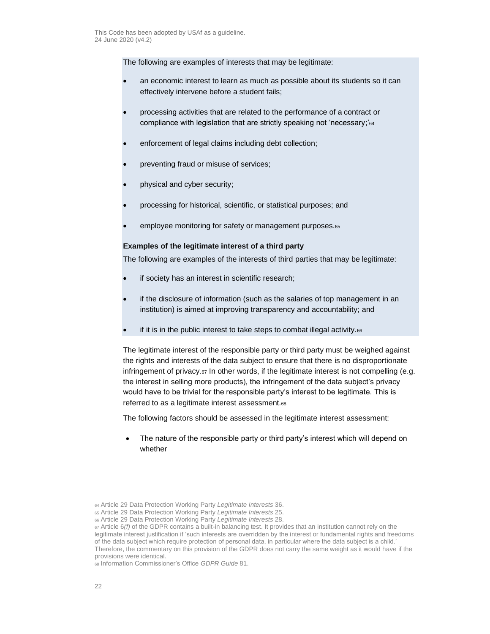The following are examples of interests that may be legitimate:

- an economic interest to learn as much as possible about its students so it can effectively intervene before a student fails;
- processing activities that are related to the performance of a contract or compliance with legislation that are strictly speaking not 'necessary;'<sup>64</sup>
- enforcement of legal claims including debt collection;
- preventing fraud or misuse of services;
- physical and cyber security;
- processing for historical, scientific, or statistical purposes; and
- employee monitoring for safety or management purposes.<sup>65</sup>

# **Examples of the legitimate interest of a third party**

The following are examples of the interests of third parties that may be legitimate:

- if society has an interest in scientific research;
- if the disclosure of information (such as the salaries of top management in an institution) is aimed at improving transparency and accountability; and
- if it is in the public interest to take steps to combat illegal activity.66

The legitimate interest of the responsible party or third party must be weighed against the rights and interests of the data subject to ensure that there is no disproportionate infringement of privacy. $\epsilon$ , In other words, if the legitimate interest is not compelling (e.g. the interest in selling more products), the infringement of the data subject's privacy would have to be trivial for the responsible party's interest to be legitimate. This is referred to as a legitimate interest assessment.<sup>68</sup>

The following factors should be assessed in the legitimate interest assessment:

• The nature of the responsible party or third party's interest which will depend on whether

<sup>64</sup> Article 29 Data Protection Working Party *Legitimate Interests* 36.

<sup>65</sup> Article 29 Data Protection Working Party *Legitimate Interests* 25.

<sup>66</sup> Article 29 Data Protection Working Party *Legitimate Interests* 28.

<sup>67</sup> Article 6*(f)* of the GDPR contains a built-in balancing test. It provides that an institution cannot rely on the legitimate interest justification if 'such interests are overridden by the interest or fundamental rights and freedoms of the data subject which require protection of personal data, in particular where the data subject is a child.' Therefore, the commentary on this provision of the GDPR does not carry the same weight as it would have if the provisions were identical.

<sup>68</sup> Information Commissioner's Office *GDPR Guide* 81.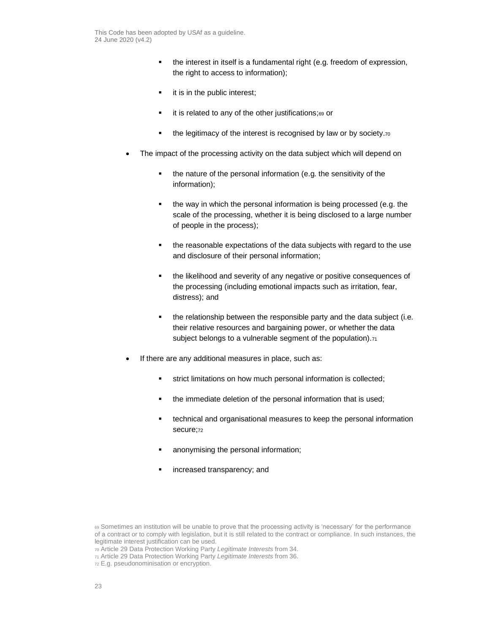- the interest in itself is a fundamental right (e.g. freedom of expression, the right to access to information);
- **•** it is in the public interest;
- it is related to any of the other justifications;69 or
- **•** the legitimacy of the interest is recognised by law or by society.<sup>70</sup>
- The impact of the processing activity on the data subject which will depend on
	- the nature of the personal information (e.g. the sensitivity of the information);
	- the way in which the personal information is being processed (e.g. the scale of the processing, whether it is being disclosed to a large number of people in the process);
	- the reasonable expectations of the data subjects with regard to the use and disclosure of their personal information;
	- **•** the likelihood and severity of any negative or positive consequences of the processing (including emotional impacts such as irritation, fear, distress); and
	- **•** the relationship between the responsible party and the data subject (i.e. their relative resources and bargaining power, or whether the data subject belongs to a vulnerable segment of the population).<sup>71</sup>
- If there are any additional measures in place, such as:
	- **•** strict limitations on how much personal information is collected;
	- the immediate deletion of the personal information that is used;
	- technical and organisational measures to keep the personal information secure;<sub>72</sub>
	- anonymising the personal information;
	- **·** increased transparency; and

<sup>69</sup> Sometimes an institution will be unable to prove that the processing activity is 'necessary' for the performance of a contract or to comply with legislation, but it is still related to the contract or compliance. In such instances, the legitimate interest justification can be used.

<sup>70</sup> Article 29 Data Protection Working Party *Legitimate Interests* from 34.

<sup>71</sup> Article 29 Data Protection Working Party *Legitimate Interests* from 36.

<sup>72</sup> E.g. pseudonominisation or encryption.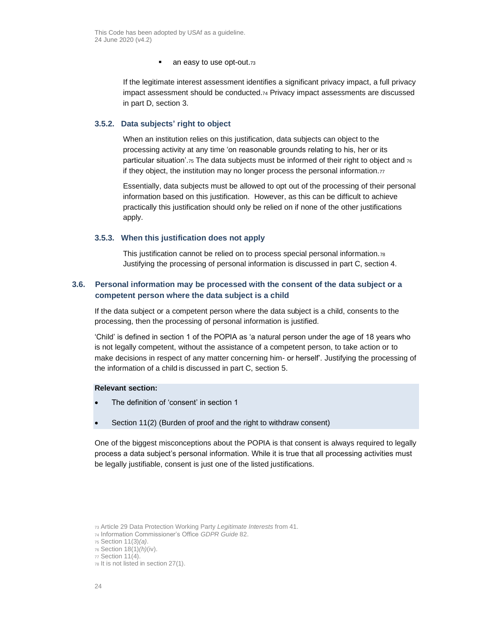■ an easy to use opt-out.73

If the legitimate interest assessment identifies a significant privacy impact, a full privacy impact assessment should be conducted.<sup>74</sup> Privacy impact assessments are discussed in part [D,](#page-80-0) sectio[n 3.](#page-81-1)

# **3.5.2. Data subjects' right to object**

When an institution relies on this justification, data subjects can object to the processing activity at any time 'on reasonable grounds relating to his, her or its particular situation'. $75$  The data subjects must be informed of their right to object and  $76$ if they object, the institution may no longer process the personal information.<sup>77</sup>

Essentially, data subjects must be allowed to opt out of the processing of their personal information based on this justification. However, as this can be difficult to achieve practically this justification should only be relied on if none of the other justifications apply.

# **3.5.3. When this justification does not apply**

This justification cannot be relied on to process special personal information.<sup>78</sup> Justifying the processing of personal information is discussed in part [C,](#page-14-0) section [4.](#page-25-0)

# <span id="page-23-0"></span>**3.6. Personal information may be processed with the consent of the data subject or a competent person where the data subject is a child**

If the data subject or a competent person where the data subject is a child, consents to the processing, then the processing of personal information is justified.

'Child' is defined in section 1 of the POPIA as 'a natural person under the age of 18 years who is not legally competent, without the assistance of a competent person, to take action or to make decisions in respect of any matter concerning him- or herself'. Justifying the processing of the information of a child is discussed in part [C,](#page-14-0) section [5.](#page-32-0)

# **Relevant section:**

- The definition of 'consent' in section 1
- Section 11(2) (Burden of proof and the right to withdraw consent)

One of the biggest misconceptions about the POPIA is that consent is always required to legally process a data subject's personal information. While it is true that all processing activities must be legally justifiable, consent is just one of the listed justifications.

<sup>73</sup> Article 29 Data Protection Working Party *Legitimate Interests* from 41.

<sup>74</sup> Information Commissioner's Office *GDPR Guide* 82.

<sup>75</sup> Section 11(3)*(a)*.

<sup>76</sup> Section 18(1)*(h)*(iv).

<sup>77</sup> Section 11(4).

<sup>78</sup> It is not listed in section 27(1).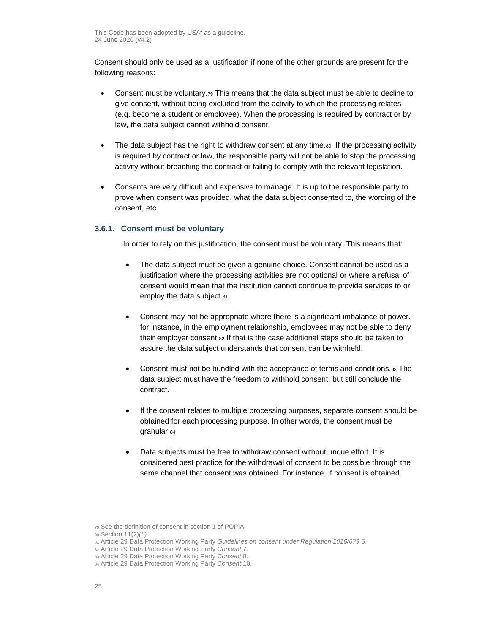Consent should only be used as a justification if none of the other grounds are present for the following reasons:

- Consent must be voluntary.<sub>79</sub> This means that the data subject must be able to decline to give consent, without being excluded from the activity to which the processing relates (e.g. become a student or employee). When the processing is required by contract or by law, the data subject cannot withhold consent.
- The data subject has the right to withdraw consent at any time. $\omega$  If the processing activity is required by contract or law, the responsible party will not be able to stop the processing activity without breaching the contract or failing to comply with the relevant legislation.
- Consents are very difficult and expensive to manage. It is up to the responsible party to prove when consent was provided, what the data subject consented to, the wording of the consent, etc.

# **3.6.1. Consent must be voluntary**

In order to rely on this justification, the consent must be voluntary. This means that:

- The data subject must be given a genuine choice. Consent cannot be used as a justification where the processing activities are not optional or where a refusal of consent would mean that the institution cannot continue to provide services to or employ the data subject.81
- Consent may not be appropriate where there is a significant imbalance of power, for instance, in the employment relationship, employees may not be able to deny their employer consent.<sup>82</sup> If that is the case additional steps should be taken to assure the data subject understands that consent can be withheld.
- Consent must not be bundled with the acceptance of terms and conditions. 83 The data subject must have the freedom to withhold consent, but still conclude the contract.
- If the consent relates to multiple processing purposes, separate consent should be obtained for each processing purpose. In other words, the consent must be granular.<sup>84</sup>
- Data subjects must be free to withdraw consent without undue effort. It is considered best practice for the withdrawal of consent to be possible through the same channel that consent was obtained. For instance, if consent is obtained

<sup>81</sup> Article 29 Data Protection Working Party *Guidelines on consent under Regulation 2016/679* 5.

<sup>79</sup> See the definition of consent in section 1 of POPIA.

<sup>80</sup> Section 11(2)*(b)*.

<sup>82</sup> Article 29 Data Protection Working Party *Consent* 7.

<sup>83</sup> Article 29 Data Protection Working Party *Consent* 8.

<sup>84</sup> Article 29 Data Protection Working Party *Consent* 10.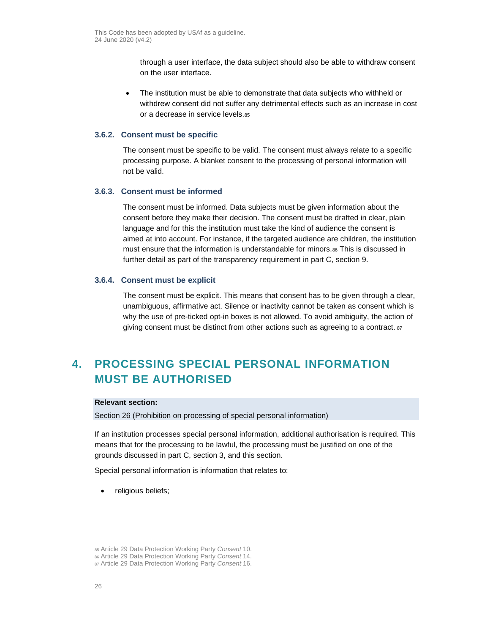through a user interface, the data subject should also be able to withdraw consent on the user interface.

• The institution must be able to demonstrate that data subjects who withheld or withdrew consent did not suffer any detrimental effects such as an increase in cost or a decrease in service levels.85

#### **3.6.2. Consent must be specific**

The consent must be specific to be valid. The consent must always relate to a specific processing purpose. A blanket consent to the processing of personal information will not be valid.

## **3.6.3. Consent must be informed**

The consent must be informed. Data subjects must be given information about the consent before they make their decision. The consent must be drafted in clear, plain language and for this the institution must take the kind of audience the consent is aimed at into account. For instance, if the targeted audience are children, the institution must ensure that the information is understandable for minors.<sup>86</sup> This is discussed in further detail as part of the transparency requirement in part [C,](#page-14-0) section [9.](#page-40-0)

## **3.6.4. Consent must be explicit**

The consent must be explicit. This means that consent has to be given through a clear, unambiguous, affirmative act. Silence or inactivity cannot be taken as consent which is why the use of pre-ticked opt-in boxes is not allowed. To avoid ambiguity, the action of giving consent must be distinct from other actions such as agreeing to a contract.  $87$ 

# <span id="page-25-0"></span>**4. PROCESSING SPECIAL PERSONAL INFORMATION MUST BE AUTHORISED**

## **Relevant section:**

Section 26 (Prohibition on processing of special personal information)

If an institution processes special personal information, additional authorisation is required. This means that for the processing to be lawful, the processing must be justified on one of the grounds discussed in part [C,](#page-14-0) section [3,](#page-16-0) and this section.

Special personal information is information that relates to:

• religious beliefs;

<sup>85</sup> Article 29 Data Protection Working Party *Consent* 10.

<sup>86</sup> Article 29 Data Protection Working Party *Consent* 14.

<sup>87</sup> Article 29 Data Protection Working Party *Consent* 16.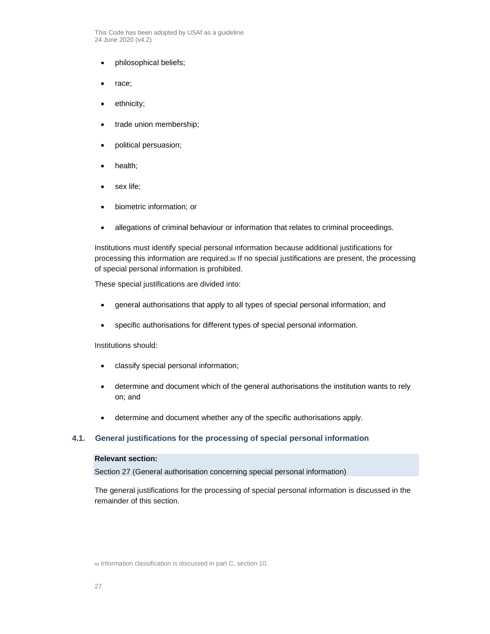- philosophical beliefs;
- race;
- ethnicity;
- trade union membership;
- political persuasion;
- health;
- sex life;
- biometric information; or
- allegations of criminal behaviour or information that relates to criminal proceedings.

Institutions must identify special personal information because additional justifications for processing this information are required.<sup>88</sup> If no special justifications are present, the processing of special personal information is prohibited.

These special justifications are divided into:

- general authorisations that apply to all types of special personal information; and
- specific authorisations for different types of special personal information.

Institutions should:

- classify special personal information;
- determine and document which of the general authorisations the institution wants to rely on; and
- determine and document whether any of the specific authorisations apply.

# <span id="page-26-0"></span>**4.1. General justifications for the processing of special personal information**

## **Relevant section:**

Section 27 (General authorisation concerning special personal information)

The general justifications for the processing of special personal information is discussed in the remainder of this section.

88 Information classification is discussed in part [C,](#page-14-0) section [10.](#page-46-0)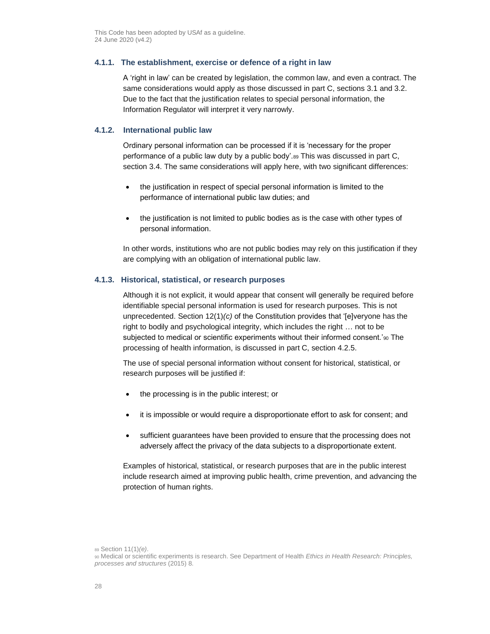# **4.1.1. The establishment, exercise or defence of a right in law**

A 'right in law' can be created by legislation, the common law, and even a contract. The same considerations would apply as those discussed in part [C,](#page-14-0) sections [3.1](#page-17-0) and [3.2.](#page-18-0) Due to the fact that the justification relates to special personal information, the Information Regulator will interpret it very narrowly.

# **4.1.2. International public law**

Ordinary personal information can be processed if it is 'necessary for the proper performance of a public law duty by a public body'.<sup>89</sup> This was discussed in part [C,](#page-14-0) section [3.4.](#page-19-0) The same considerations will apply here, with two significant differences:

- the justification in respect of special personal information is limited to the performance of international public law duties; and
- the justification is not limited to public bodies as is the case with other types of personal information.

In other words, institutions who are not public bodies may rely on this justification if they are complying with an obligation of international public law.

# **4.1.3. Historical, statistical, or research purposes**

Although it is not explicit, it would appear that consent will generally be required before identifiable special personal information is used for research purposes. This is not unprecedented. Section 12(1)*(c)* of the Constitution provides that '[e]veryone has the right to bodily and psychological integrity, which includes the right … not to be subjected to medical or scientific experiments without their informed consent.'90 The processing of health information, is discussed in part [C,](#page-14-0) section [4.2.5.](#page-30-0)

The use of special personal information without consent for historical, statistical, or research purposes will be justified if:

- the processing is in the public interest; or
- it is impossible or would require a disproportionate effort to ask for consent; and
- sufficient guarantees have been provided to ensure that the processing does not adversely affect the privacy of the data subjects to a disproportionate extent.

Examples of historical, statistical, or research purposes that are in the public interest include research aimed at improving public health, crime prevention, and advancing the protection of human rights.

<sup>89</sup> Section 11(1)*(e)*.

<sup>90</sup> Medical or scientific experiments is research. See Department of Health *Ethics in Health Research: Principles, processes and structures* (2015) 8.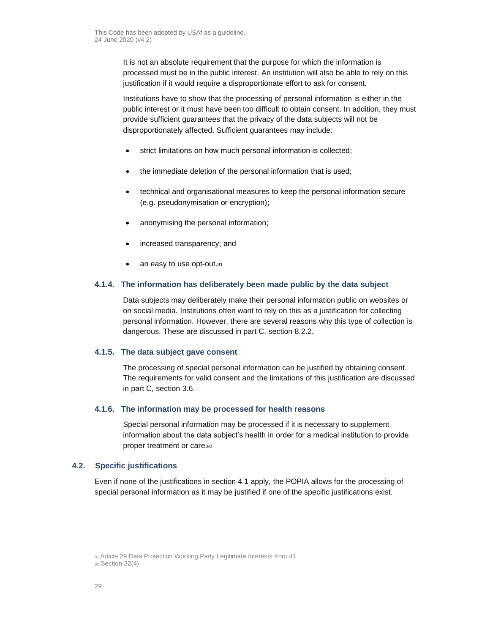It is not an absolute requirement that the purpose for which the information is processed must be in the public interest. An institution will also be able to rely on this justification if it would require a disproportionate effort to ask for consent.

Institutions have to show that the processing of personal information is either in the public interest or it must have been too difficult to obtain consent. In addition, they must provide sufficient guarantees that the privacy of the data subjects will not be disproportionately affected. Sufficient guarantees may include:

- strict limitations on how much personal information is collected;
- the immediate deletion of the personal information that is used;
- technical and organisational measures to keep the personal information secure (e.g. pseudonymisation or encryption);
- anonymising the personal information;
- increased transparency; and
- an easy to use opt-out.91

# **4.1.4. The information has deliberately been made public by the data subject**

Data subjects may deliberately make their personal information public on websites or on social media. Institutions often want to rely on this as a justification for collecting personal information. However, there are several reasons why this type of collection is dangerous. These are discussed in part [C,](#page-14-0) section [8.2.2.](#page-39-0)

## **4.1.5. The data subject gave consent**

The processing of special personal information can be justified by obtaining consent. The requirements for valid consent and the limitations of this justification are discussed in part [C,](#page-14-0) sectio[n 3.6.](#page-23-0)

# **4.1.6. The information may be processed for health reasons**

Special personal information may be processed if it is necessary to supplement information about the data subject's health in order for a medical institution to provide proper treatment or care.<sup>92</sup>

# **4.2. Specific justifications**

Even if none of the justifications in section [4.1](#page-26-0) apply, the POPIA allows for the processing of special personal information as it may be justified if one of the specific justifications exist.

<sup>91</sup> Article 29 Data Protection Working Party Legitimate Interests from 41.

<sup>92</sup> Section 32(4).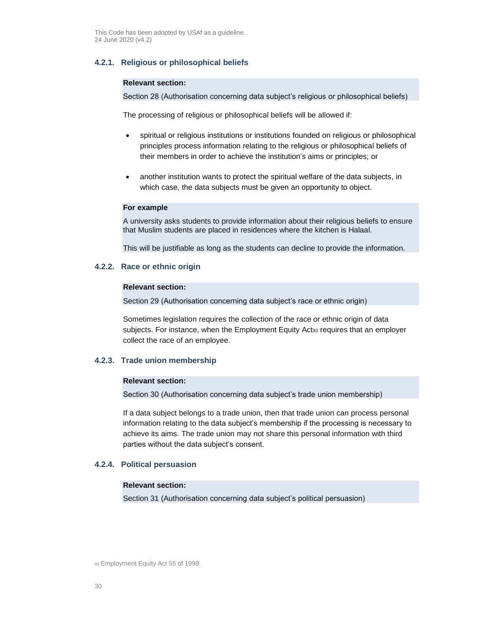# **4.2.1. Religious or philosophical beliefs**

#### **Relevant section:**

Section 28 (Authorisation concerning data subject's religious or philosophical beliefs)

The processing of religious or philosophical beliefs will be allowed if:

- spiritual or religious institutions or institutions founded on religious or philosophical principles process information relating to the religious or philosophical beliefs of their members in order to achieve the institution's aims or principles; or
- another institution wants to protect the spiritual welfare of the data subjects, in which case, the data subjects must be given an opportunity to object.

# **For example**

A university asks students to provide information about their religious beliefs to ensure that Muslim students are placed in residences where the kitchen is Halaal.

This will be justifiable as long as the students can decline to provide the information.

## **4.2.2. Race or ethnic origin**

#### **Relevant section:**

Section 29 (Authorisation concerning data subject's race or ethnic origin)

Sometimes legislation requires the collection of the race or ethnic origin of data subjects. For instance, when the Employment Equity Act<sup>93</sup> requires that an employer collect the race of an employee.

# **4.2.3. Trade union membership**

## **Relevant section:**

Section 30 (Authorisation concerning data subject's trade union membership)

If a data subject belongs to a trade union, then that trade union can process personal information relating to the data subject's membership if the processing is necessary to achieve its aims. The trade union may not share this personal information with third parties without the data subject's consent.

#### **4.2.4. Political persuasion**

#### **Relevant section:**

Section 31 (Authorisation concerning data subject's political persuasion)

93 Employment Equity Act 55 of 1998.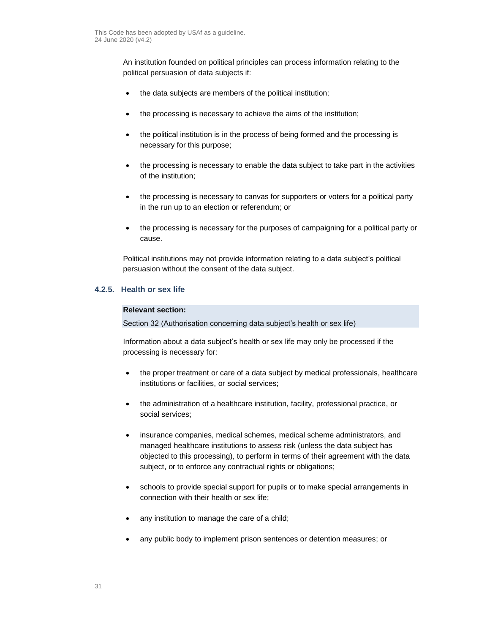An institution founded on political principles can process information relating to the political persuasion of data subjects if:

- the data subjects are members of the political institution;
- the processing is necessary to achieve the aims of the institution;
- the political institution is in the process of being formed and the processing is necessary for this purpose;
- the processing is necessary to enable the data subject to take part in the activities of the institution;
- the processing is necessary to canvas for supporters or voters for a political party in the run up to an election or referendum; or
- the processing is necessary for the purposes of campaigning for a political party or cause.

Political institutions may not provide information relating to a data subject's political persuasion without the consent of the data subject.

# <span id="page-30-0"></span>**4.2.5. Health or sex life**

# **Relevant section:**

Section 32 (Authorisation concerning data subject's health or sex life)

Information about a data subject's health or sex life may only be processed if the processing is necessary for:

- the proper treatment or care of a data subject by medical professionals, healthcare institutions or facilities, or social services;
- the administration of a healthcare institution, facility, professional practice, or social services;
- insurance companies, medical schemes, medical scheme administrators, and managed healthcare institutions to assess risk (unless the data subject has objected to this processing), to perform in terms of their agreement with the data subject, or to enforce any contractual rights or obligations;
- schools to provide special support for pupils or to make special arrangements in connection with their health or sex life;
- any institution to manage the care of a child;
- any public body to implement prison sentences or detention measures; or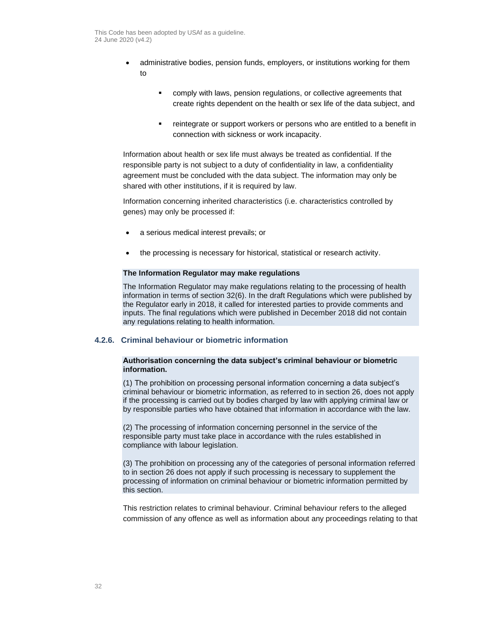- administrative bodies, pension funds, employers, or institutions working for them to
	- comply with laws, pension regulations, or collective agreements that create rights dependent on the health or sex life of the data subject, and
	- **•** reintegrate or support workers or persons who are entitled to a benefit in connection with sickness or work incapacity.

Information about health or sex life must always be treated as confidential. If the responsible party is not subject to a duty of confidentiality in law, a confidentiality agreement must be concluded with the data subject. The information may only be shared with other institutions, if it is required by law.

Information concerning inherited characteristics (i.e. characteristics controlled by genes) may only be processed if:

- a serious medical interest prevails; or
- the processing is necessary for historical, statistical or research activity.

# **The Information Regulator may make regulations**

The Information Regulator may make regulations relating to the processing of health information in terms of section 32(6). In the draft Regulations which were published by the Regulator early in 2018, it called for interested parties to provide comments and inputs. The final regulations which were published in December 2018 did not contain any regulations relating to health information.

# **4.2.6. Criminal behaviour or biometric information**

## **Authorisation concerning the data subject's criminal behaviour or biometric information.**

(1) The prohibition on processing personal information concerning a data subject's criminal behaviour or biometric information, as referred to in section 26, does not apply if the processing is carried out by bodies charged by law with applying criminal law or by responsible parties who have obtained that information in accordance with the law.

(2) The processing of information concerning personnel in the service of the responsible party must take place in accordance with the rules established in compliance with labour legislation.

(3) The prohibition on processing any of the categories of personal information referred to in section 26 does not apply if such processing is necessary to supplement the processing of information on criminal behaviour or biometric information permitted by this section.

This restriction relates to criminal behaviour. Criminal behaviour refers to the alleged commission of any offence as well as information about any proceedings relating to that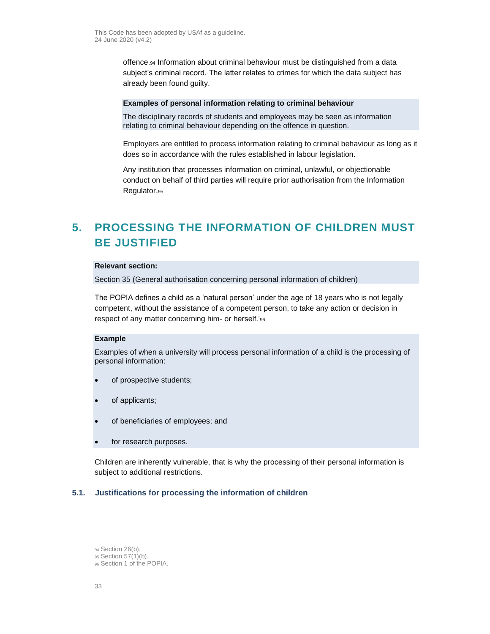offence.<sup>94</sup> Information about criminal behaviour must be distinguished from a data subject's criminal record. The latter relates to crimes for which the data subject has already been found guilty.

#### **Examples of personal information relating to criminal behaviour**

The disciplinary records of students and employees may be seen as information relating to criminal behaviour depending on the offence in question.

Employers are entitled to process information relating to criminal behaviour as long as it does so in accordance with the rules established in labour legislation.

Any institution that processes information on criminal, unlawful, or objectionable conduct on behalf of third parties will require prior authorisation from the Information Regulator.<sup>95</sup>

# <span id="page-32-0"></span>**5. PROCESSING THE INFORMATION OF CHILDREN MUST BE JUSTIFIED**

# **Relevant section:**

Section 35 (General authorisation concerning personal information of children)

The POPIA defines a child as a 'natural person' under the age of 18 years who is not legally competent, without the assistance of a competent person, to take any action or decision in respect of any matter concerning him- or herself.'<sup>96</sup>

#### **Example**

Examples of when a university will process personal information of a child is the processing of personal information:

- of prospective students;
- of applicants;
- of beneficiaries of employees; and
- for research purposes.

Children are inherently vulnerable, that is why the processing of their personal information is subject to additional restrictions.

# **5.1. Justifications for processing the information of children**

- 94 Section 26(b).
- 95 Section 57(1)(b).
- <sup>96</sup> Section 1 of the POPIA.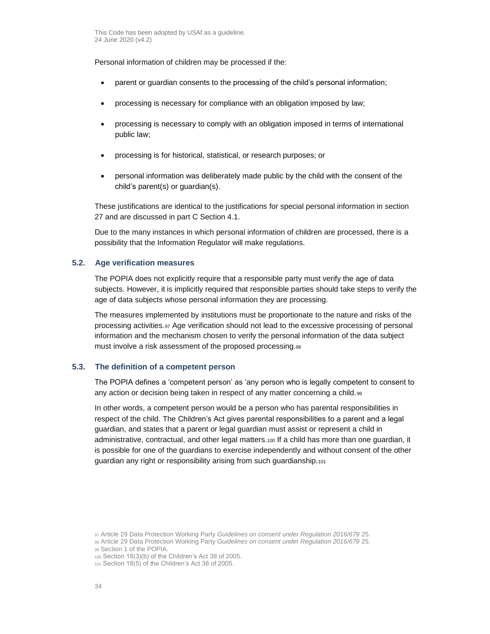Personal information of children may be processed if the:

- parent or guardian consents to the processing of the child's personal information;
- processing is necessary for compliance with an obligation imposed by law;
- processing is necessary to comply with an obligation imposed in terms of international public law;
- processing is for historical, statistical, or research purposes; or
- personal information was deliberately made public by the child with the consent of the child's parent(s) or guardian(s).

These justifications are identical to the justifications for special personal information in section 27 and are discussed in part C Section [4.1.](#page-26-0)

Due to the many instances in which personal information of children are processed, there is a possibility that the Information Regulator will make regulations.

# **5.2. Age verification measures**

The POPIA does not explicitly require that a responsible party must verify the age of data subjects. However, it is implicitly required that responsible parties should take steps to verify the age of data subjects whose personal information they are processing.

The measures implemented by institutions must be proportionate to the nature and risks of the processing activities.<sup>97</sup> Age verification should not lead to the excessive processing of personal information and the mechanism chosen to verify the personal information of the data subject must involve a risk assessment of the proposed processing.<sup>98</sup>

# **5.3. The definition of a competent person**

The POPIA defines a 'competent person' as 'any person who is legally competent to consent to any action or decision being taken in respect of any matter concerning a child.<sup>99</sup>

In other words, a competent person would be a person who has parental responsibilities in respect of the child. The Children's Act gives parental responsibilities to a parent and a legal guardian, and states that a parent or legal guardian must assist or represent a child in administrative, contractual, and other legal matters.<sup>100</sup> If a child has more than one guardian, it is possible for one of the guardians to exercise independently and without consent of the other guardian any right or responsibility arising from such guardianship.<sup>101</sup>

<sup>97</sup> Article 29 Data Protection Working Party *Guidelines on consent under Regulation 2016/679* 25.

<sup>98</sup> Article 29 Data Protection Working Party *Guidelines on consent under Regulation 2016/679* 25. 99 Section 1 of the POPIA.

<sup>100</sup> Section 18(3)(b) of the Children's Act 38 of 2005.

<sup>101</sup> Section 18(5) of the Children's Act 38 of 2005.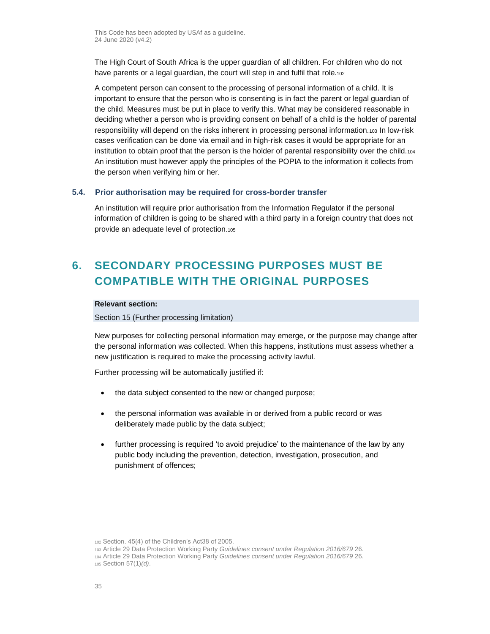The High Court of South Africa is the upper guardian of all children. For children who do not have parents or a legal guardian, the court will step in and fulfil that role.102

A competent person can consent to the processing of personal information of a child. It is important to ensure that the person who is consenting is in fact the parent or legal guardian of the child. Measures must be put in place to verify this. What may be considered reasonable in deciding whether a person who is providing consent on behalf of a child is the holder of parental responsibility will depend on the risks inherent in processing personal information.<sup>103</sup> In low-risk cases verification can be done via email and in high-risk cases it would be appropriate for an institution to obtain proof that the person is the holder of parental responsibility over the child.<sup>104</sup> An institution must however apply the principles of the POPIA to the information it collects from the person when verifying him or her.

# **5.4. Prior authorisation may be required for cross-border transfer**

An institution will require prior authorisation from the Information Regulator if the personal information of children is going to be shared with a third party in a foreign country that does not provide an adequate level of protection.<sup>105</sup>

# <span id="page-34-0"></span>**6. SECONDARY PROCESSING PURPOSES MUST BE COMPATIBLE WITH THE ORIGINAL PURPOSES**

# **Relevant section:**

Section 15 (Further processing limitation)

New purposes for collecting personal information may emerge, or the purpose may change after the personal information was collected. When this happens, institutions must assess whether a new justification is required to make the processing activity lawful.

Further processing will be automatically justified if:

- the data subject consented to the new or changed purpose;
- the personal information was available in or derived from a public record or was deliberately made public by the data subject;
- further processing is required 'to avoid prejudice' to the maintenance of the law by any public body including the prevention, detection, investigation, prosecution, and punishment of offences;

<sup>102</sup> Section. 45(4) of the Children's Act38 of 2005.

<sup>103</sup> Article 29 Data Protection Working Party *Guidelines consent under Regulation 2016/679* 26.

<sup>104</sup> Article 29 Data Protection Working Party *Guidelines consent under Regulation 2016/679* 26.

<sup>105</sup> Section 57(1)*(d)*.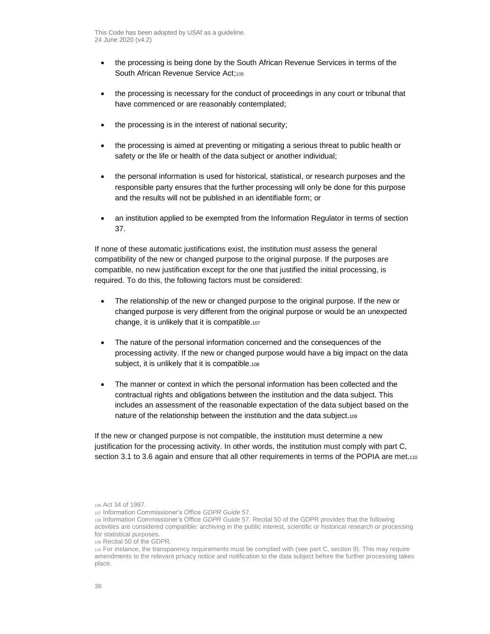- the processing is being done by the South African Revenue Services in terms of the South African Revenue Service Act;106
- the processing is necessary for the conduct of proceedings in any court or tribunal that have commenced or are reasonably contemplated;
- the processing is in the interest of national security;
- the processing is aimed at preventing or mitigating a serious threat to public health or safety or the life or health of the data subject or another individual;
- the personal information is used for historical, statistical, or research purposes and the responsible party ensures that the further processing will only be done for this purpose and the results will not be published in an identifiable form; or
- an institution applied to be exempted from the Information Regulator in terms of section 37.

If none of these automatic justifications exist, the institution must assess the general compatibility of the new or changed purpose to the original purpose. If the purposes are compatible, no new justification except for the one that justified the initial processing, is required. To do this, the following factors must be considered:

- The relationship of the new or changed purpose to the original purpose. If the new or changed purpose is very different from the original purpose or would be an unexpected change, it is unlikely that it is compatible.<sup>107</sup>
- The nature of the personal information concerned and the consequences of the processing activity. If the new or changed purpose would have a big impact on the data subject, it is unlikely that it is compatible.<sup>108</sup>
- The manner or context in which the personal information has been collected and the contractual rights and obligations between the institution and the data subject. This includes an assessment of the reasonable expectation of the data subject based on the nature of the relationship between the institution and the data subject.<sup>109</sup>

If the new or changed purpose is not compatible, the institution must determine a new justification for the processing activity. In other words, the institution must comply with part [C,](#page-14-0) section [3.1](#page-17-0) t[o 3.6](#page-23-0) again and ensure that all other requirements in terms of the POPIA are met.110

<sup>106</sup> Act 34 of 1997.

<sup>107</sup> Information Commissioner's Office *GDPR Guide* 57.

<sup>108</sup> Information Commissioner's Office *GDPR Guide* 57. Recital 50 of the GDPR provides that the following activities are considered compatible: archiving in the public interest, scientific or historical research or processing for statistical purposes.

<sup>109</sup> Recital 50 of the GDPR.

<sup>110</sup> For instance, the transparency requirements must be complied with (see par[t C,](#page-14-0) sectio[n 9\)](#page-40-0). This may require amendments to the relevant privacy notice and notification to the data subject before the further processing takes place.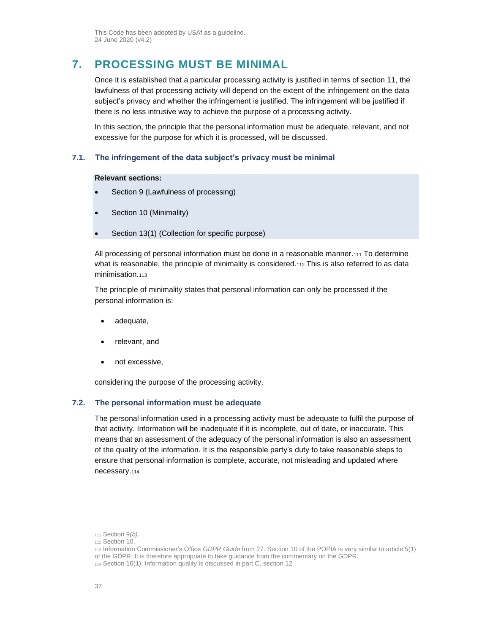# <span id="page-36-0"></span>**7. PROCESSING MUST BE MINIMAL**

Once it is established that a particular processing activity is justified in terms of section 11, the lawfulness of that processing activity will depend on the extent of the infringement on the data subject's privacy and whether the infringement is justified. The infringement will be justified if there is no less intrusive way to achieve the purpose of a processing activity.

In this section, the principle that the personal information must be adequate, relevant, and not excessive for the purpose for which it is processed, will be discussed.

## **7.1. The infringement of the data subject's privacy must be minimal**

### **Relevant sections:**

- Section 9 (Lawfulness of processing)
- Section 10 (Minimality)
- Section 13(1) (Collection for specific purpose)

All processing of personal information must be done in a reasonable manner.<sup>111</sup> To determine what is reasonable, the principle of minimality is considered.112 This is also referred to as data minimisation.<sub>113</sub>

The principle of minimality states that personal information can only be processed if the personal information is:

- adequate,
- relevant, and
- not excessive,

considering the purpose of the processing activity.

#### **7.2. The personal information must be adequate**

The personal information used in a processing activity must be adequate to fulfil the purpose of that activity. Information will be inadequate if it is incomplete, out of date, or inaccurate. This means that an assessment of the adequacy of the personal information is also an assessment of the quality of the information. It is the responsible party's duty to take reasonable steps to ensure that personal information is complete, accurate, not misleading and updated where necessary.<sup>114</sup>

<sup>111</sup> Section 9*(b)*.

<sup>112</sup> Section 10.

<sup>113</sup> Information Commissioner's Office *GDPR Guide* from 27. Section 10 of the POPIA is very similar to article 5(1) of the GDPR. It is therefore appropriate to take guidance from the commentary on the GDPR.

<sup>114</sup> Section 16(1). Information quality is discussed in part [C,](#page-14-0) sectio[n 12](#page-47-0)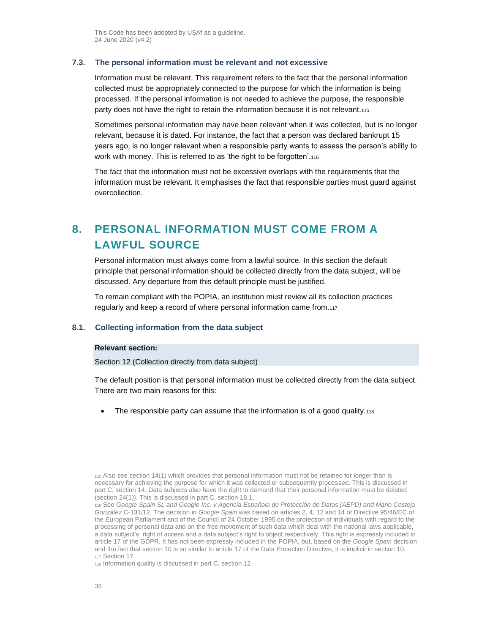## <span id="page-37-0"></span>**7.3. The personal information must be relevant and not excessive**

Information must be relevant. This requirement refers to the fact that the personal information collected must be appropriately connected to the purpose for which the information is being processed. If the personal information is not needed to achieve the purpose, the responsible party does not have the right to retain the information because it is not relevant.<sup>115</sup>

Sometimes personal information may have been relevant when it was collected, but is no longer relevant, because it is dated. For instance, the fact that a person was declared bankrupt 15 years ago, is no longer relevant when a responsible party wants to assess the person's ability to work with money. This is referred to as 'the right to be forgotten'.<sup>116</sup>

The fact that the information must not be excessive overlaps with the requirements that the information must be relevant. It emphasises the fact that responsible parties must guard against overcollection.

# <span id="page-37-1"></span>**8. PERSONAL INFORMATION MUST COME FROM A LAWFUL SOURCE**

Personal information must always come from a lawful source. In this section the default principle that personal information should be collected directly from the data subject, will be discussed. Any departure from this default principle must be justified.

To remain compliant with the POPIA, an institution must review all its collection practices regularly and keep a record of where personal information came from.<sup>117</sup>

#### **8.1. Collecting information from the data subject**

### **Relevant section:**

Section 12 (Collection directly from data subject)

The default position is that personal information must be collected directly from the data subject. There are two main reasons for this:

The responsible party can assume that the information is of a good quality. $118$ 

<sup>118</sup> Information quality is discussed in part [C,](#page-14-0) sectio[n 12](#page-47-0)

<sup>115</sup> Also see section 14(1) which provides that personal information must not be retained for longer than is necessary for achieving the purpose for which it was collected or subsequently processed. This is discussed in par[t C,](#page-14-0) section [14.](#page-54-0) Data subjects also have the right to demand that their personal information must be deleted (section 24(1)). This is discussed in part [C,](#page-14-0) section [18.1.](#page-66-0)

<sup>116</sup> See *Google Spain SL and Google Inc. v Agencia Española de Protección de Datos (AEPD) and Mario Costeja González* C-131/12. The decision in *Google Spain* was based on articles 2, 4, 12 and 14 of Directive 95/46/EC of the European Parliament and of the Council of 24 October 1995 on the protection of individuals with regard to the processing of personal data and on the free movement of such data which deal with the national laws applicable, a data subject's right of access and a data subject's right to object respectively. This right is expressly included in article 17 of the GDPR. It has not been expressly included in the POPIA, but, based on the *Google Spain* decision and the fact that section 10 is so similar to article 17 of the Data Protection Directive, it is implicit in section 10. <sup>117</sup> Section 17.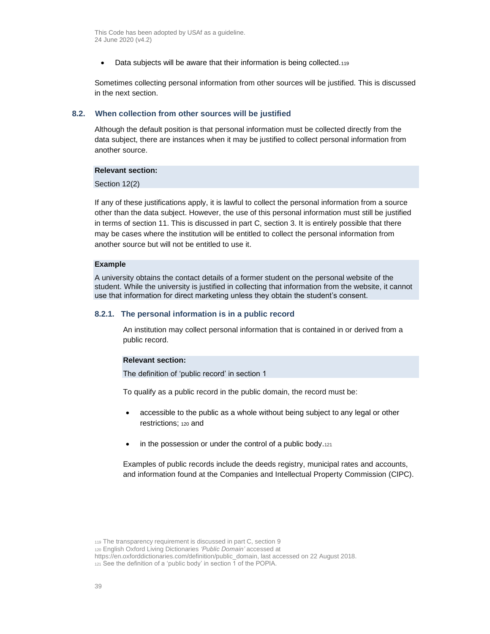• Data subjects will be aware that their information is being collected.119

Sometimes collecting personal information from other sources will be justified. This is discussed in the next section.

#### <span id="page-38-0"></span>**8.2. When collection from other sources will be justified**

Although the default position is that personal information must be collected directly from the data subject, there are instances when it may be justified to collect personal information from another source.

#### **Relevant section:**

Section 12(2)

If any of these justifications apply, it is lawful to collect the personal information from a source other than the data subject. However, the use of this personal information must still be justified in terms of section 11. This is discussed in part [C,](#page-14-0) section [3.](#page-16-0) It is entirely possible that there may be cases where the institution will be entitled to collect the personal information from another source but will not be entitled to use it.

#### **Example**

A university obtains the contact details of a former student on the personal website of the student. While the university is justified in collecting that information from the website, it cannot use that information for direct marketing unless they obtain the student's consent.

#### **8.2.1. The personal information is in a public record**

An institution may collect personal information that is contained in or derived from a public record.

#### **Relevant section:**

The definition of 'public record' in section 1

To qualify as a public record in the public domain, the record must be:

- accessible to the public as a whole without being subject to any legal or other restrictions; <sup>120</sup> and
- in the possession or under the control of a public body.121

Examples of public records include the deeds registry, municipal rates and accounts, and information found at the Companies and Intellectual Property Commission (CIPC).

<sup>119</sup> The transparency requirement is discussed in part [C,](#page-14-0) sectio[n 9](#page-40-0)

<sup>120</sup> English Oxford Living Dictionaries *'Public Domain'* accessed at

https://en.oxforddictionaries.com/definition/public\_domain, last accessed on 22 August 2018.

<sup>121</sup> See the definition of a 'public body' in section 1 of the POPIA.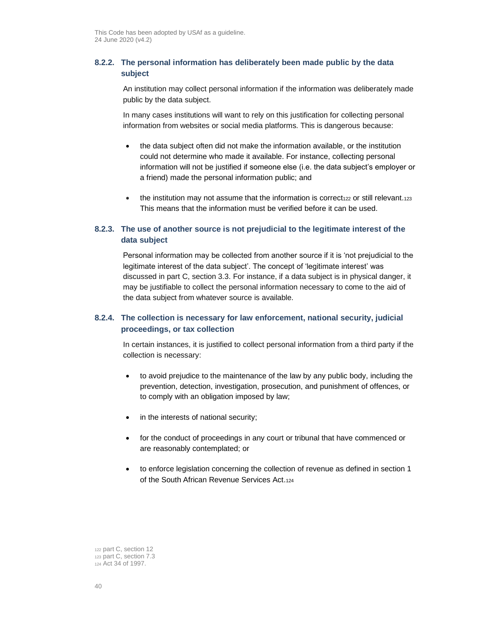# **8.2.2. The personal information has deliberately been made public by the data subject**

An institution may collect personal information if the information was deliberately made public by the data subject.

In many cases institutions will want to rely on this justification for collecting personal information from websites or social media platforms. This is dangerous because:

- the data subject often did not make the information available, or the institution could not determine who made it available. For instance, collecting personal information will not be justified if someone else (i.e. the data subject's employer or a friend) made the personal information public; and
- the institution may not assume that the information is correct<sub>122</sub> or still relevant.<sub>123</sub> This means that the information must be verified before it can be used.

# **8.2.3. The use of another source is not prejudicial to the legitimate interest of the data subject**

Personal information may be collected from another source if it is 'not prejudicial to the legitimate interest of the data subject'. The concept of 'legitimate interest' was discussed in part [C,](#page-14-0) section [3.3.](#page-19-0) For instance, if a data subject is in physical danger, it may be justifiable to collect the personal information necessary to come to the aid of the data subject from whatever source is available.

# **8.2.4. The collection is necessary for law enforcement, national security, judicial proceedings, or tax collection**

In certain instances, it is justified to collect personal information from a third party if the collection is necessary:

- to avoid prejudice to the maintenance of the law by any public body, including the prevention, detection, investigation, prosecution, and punishment of offences, or to comply with an obligation imposed by law;
- in the interests of national security;
- for the conduct of proceedings in any court or tribunal that have commenced or are reasonably contemplated; or
- to enforce legislation concerning the collection of revenue as defined in section 1 of the South African Revenue Services Act.<sup>124</sup>

<sup>122</sup> part [C,](#page-14-0) sectio[n 12](#page-47-0) <sup>123</sup> part [C,](#page-14-0) sectio[n 7.3](#page-37-0) <sup>124</sup> Act 34 of 1997.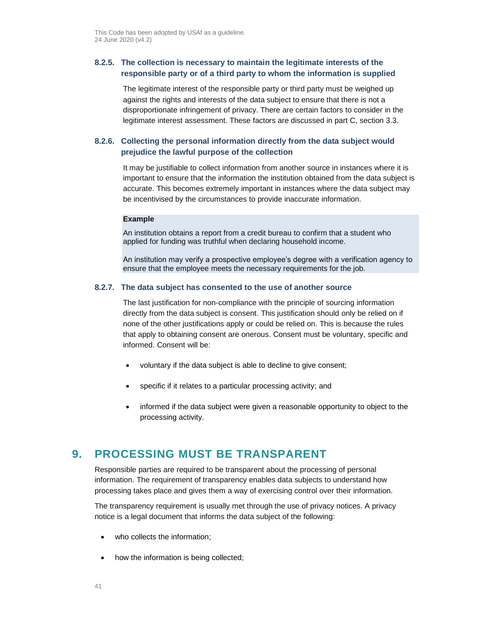# **8.2.5. The collection is necessary to maintain the legitimate interests of the responsible party or of a third party to whom the information is supplied**

The legitimate interest of the responsible party or third party must be weighed up against the rights and interests of the data subject to ensure that there is not a disproportionate infringement of privacy. There are certain factors to consider in the legitimate interest assessment. These factors are discussed in part [C,](#page-14-0) section [3.3.](#page-19-0)

# **8.2.6. Collecting the personal information directly from the data subject would prejudice the lawful purpose of the collection**

It may be justifiable to collect information from another source in instances where it is important to ensure that the information the institution obtained from the data subject is accurate. This becomes extremely important in instances where the data subject may be incentivised by the circumstances to provide inaccurate information.

#### **Example**

An institution obtains a report from a credit bureau to confirm that a student who applied for funding was truthful when declaring household income.

An institution may verify a prospective employee's degree with a verification agency to ensure that the employee meets the necessary requirements for the job.

### **8.2.7. The data subject has consented to the use of another source**

The last justification for non-compliance with the principle of sourcing information directly from the data subject is consent. This justification should only be relied on if none of the other justifications apply or could be relied on. This is because the rules that apply to obtaining consent are onerous. Consent must be voluntary, specific and informed. Consent will be:

- voluntary if the data subject is able to decline to give consent;
- specific if it relates to a particular processing activity; and
- informed if the data subject were given a reasonable opportunity to object to the processing activity.

# <span id="page-40-0"></span>**9. PROCESSING MUST BE TRANSPARENT**

Responsible parties are required to be transparent about the processing of personal information. The requirement of transparency enables data subjects to understand how processing takes place and gives them a way of exercising control over their information.

The transparency requirement is usually met through the use of privacy notices. A privacy notice is a legal document that informs the data subject of the following:

- who collects the information;
- how the information is being collected;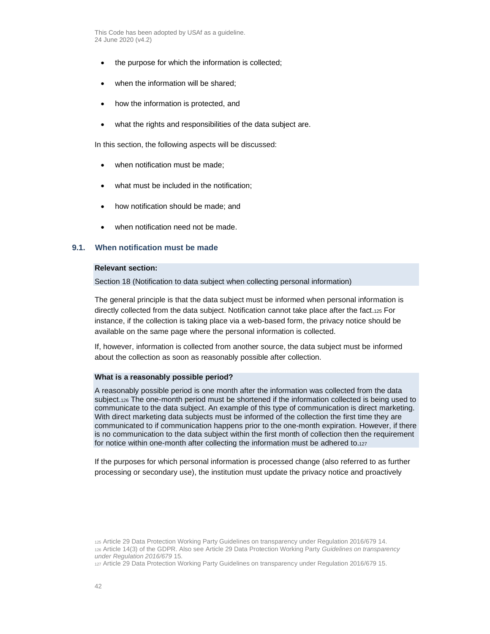- the purpose for which the information is collected;
- when the information will be shared;
- how the information is protected, and
- what the rights and responsibilities of the data subject are.

In this section, the following aspects will be discussed:

- when notification must be made:
- what must be included in the notification;
- how notification should be made; and
- when notification need not be made.

### **9.1. When notification must be made**

## **Relevant section:**

Section 18 (Notification to data subject when collecting personal information)

The general principle is that the data subject must be informed when personal information is directly collected from the data subject. Notification cannot take place after the fact.<sup>125</sup> For instance, if the collection is taking place via a web-based form, the privacy notice should be available on the same page where the personal information is collected.

If, however, information is collected from another source, the data subject must be informed about the collection as soon as reasonably possible after collection.

#### **What is a reasonably possible period?**

A reasonably possible period is one month after the information was collected from the data subject.<sup>126</sup> The one-month period must be shortened if the information collected is being used to communicate to the data subject. An example of this type of communication is direct marketing. With direct marketing data subjects must be informed of the collection the first time they are communicated to if communication happens prior to the one-month expiration. However, if there is no communication to the data subject within the first month of collection then the requirement for notice within one-month after collecting the information must be adhered to.<sup>127</sup>

If the purposes for which personal information is processed change (also referred to as further processing or secondary use), the institution must update the privacy notice and proactively

<sup>127</sup> Article 29 Data Protection Working Party Guidelines on transparency under Regulation 2016/679 15.

<sup>125</sup> Article 29 Data Protection Working Party Guidelines on transparency under Regulation 2016/679 14. <sup>126</sup> Article 14(3) of the GDPR. Also see Article 29 Data Protection Working Party *Guidelines on transparency under Regulation 2016/679* 15.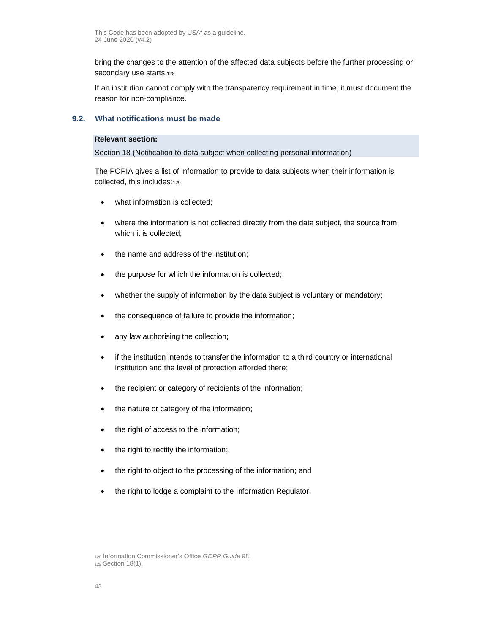bring the changes to the attention of the affected data subjects before the further processing or secondary use starts.<sup>128</sup>

If an institution cannot comply with the transparency requirement in time, it must document the reason for non-compliance.

## **9.2. What notifications must be made**

## **Relevant section:**

Section 18 (Notification to data subject when collecting personal information)

The POPIA gives a list of information to provide to data subjects when their information is collected, this includes:<sup>129</sup>

- what information is collected;
- where the information is not collected directly from the data subject, the source from which it is collected;
- the name and address of the institution;
- the purpose for which the information is collected;
- whether the supply of information by the data subject is voluntary or mandatory;
- the consequence of failure to provide the information;
- any law authorising the collection;
- if the institution intends to transfer the information to a third country or international institution and the level of protection afforded there;
- the recipient or category of recipients of the information;
- the nature or category of the information;
- the right of access to the information;
- the right to rectify the information;
- the right to object to the processing of the information; and
- the right to lodge a complaint to the Information Regulator.

<sup>128</sup> Information Commissioner's Office *GDPR Guide* 98. <sup>129</sup> Section 18(1).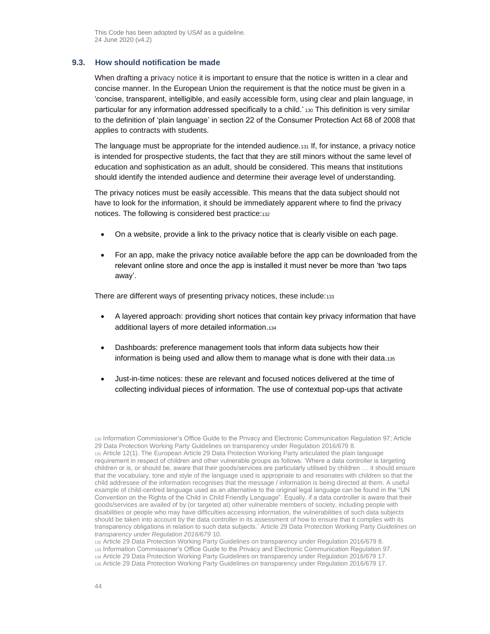#### **9.3. How should notification be made**

When drafting a privacy notice it is important to ensure that the notice is written in a clear and concise manner. In the European Union the requirement is that the notice must be given in a 'concise, transparent, intelligible, and easily accessible form, using clear and plain language, in particular for any information addressed specifically to a child.' 130 This definition is very similar to the definition of 'plain language' in section 22 of the Consumer Protection Act 68 of 2008 that applies to contracts with students.

The language must be appropriate for the intended audience.<sup>131</sup> If, for instance, a privacy notice is intended for prospective students, the fact that they are still minors without the same level of education and sophistication as an adult, should be considered. This means that institutions should identify the intended audience and determine their average level of understanding.

The privacy notices must be easily accessible. This means that the data subject should not have to look for the information, it should be immediately apparent where to find the privacy notices. The following is considered best practice:<sup>132</sup>

- On a website, provide a link to the privacy notice that is clearly visible on each page.
- For an app, make the privacy notice available before the app can be downloaded from the relevant online store and once the app is installed it must never be more than 'two taps away'.

There are different ways of presenting privacy notices, these include:133

- A layered approach: providing short notices that contain key privacy information that have additional layers of more detailed information.<sup>134</sup>
- Dashboards: preference management tools that inform data subjects how their information is being used and allow them to manage what is done with their data.<sup>135</sup>
- Just-in-time notices: these are relevant and focused notices delivered at the time of collecting individual pieces of information. The use of contextual pop-ups that activate

<sup>130</sup> Information Commissioner's Office Guide to the Privacy and Electronic Communication Regulation 97; Article 29 Data Protection Working Party Guidelines on transparency under Regulation 2016/679 8. <sup>131</sup> Article 12(1). The European Article 29 Data Protection Working Party articulated the plain language requirement in respect of children and other vulnerable groups as follows: 'Where a data controller is targeting children or is, or should be, aware that their goods/services are particularly utilised by children … it should ensure that the vocabulary, tone and style of the language used is appropriate to and resonates with children so that the child addressee of the information recognises that the message / information is being directed at them. A useful example of child-centred language used as an alternative to the original legal language can be found in the "UN Convention on the Rights of the Child in Child Friendly Language". Equally, if a data controller is aware that their goods/services are availed of by (or targeted at) other vulnerable members of society, including people with disabilities or people who may have difficulties accessing information, the vulnerabilities of such data subjects should be taken into account by the data controller in its assessment of how to ensure that it complies with its transparency obligations in relation to such data subjects.' Article 29 Data Protection Working Party *Guidelines on transparency under Regulation 2016/679* 10.

<sup>132</sup> Article 29 Data Protection Working Party Guidelines on transparency under Regulation 2016/679 8. <sup>133</sup> Information Commissioner's Office Guide to the Privacy and Electronic Communication Regulation 97. <sup>134</sup> Article 29 Data Protection Working Party Guidelines on transparency under Regulation 2016/679 17. <sup>135</sup> Article 29 Data Protection Working Party Guidelines on transparency under Regulation 2016/679 17.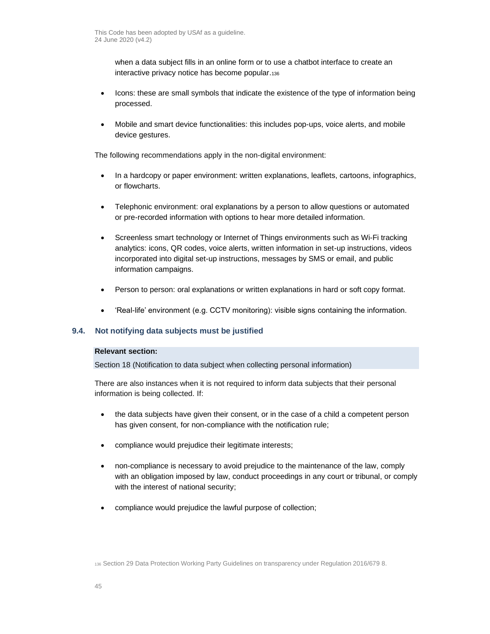when a data subject fills in an online form or to use a chatbot interface to create an interactive privacy notice has become popular.<sup>136</sup>

- Icons: these are small symbols that indicate the existence of the type of information being processed.
- Mobile and smart device functionalities: this includes pop-ups, voice alerts, and mobile device gestures.

The following recommendations apply in the non-digital environment:

- In a hardcopy or paper environment: written explanations, leaflets, cartoons, infographics, or flowcharts.
- Telephonic environment: oral explanations by a person to allow questions or automated or pre-recorded information with options to hear more detailed information.
- Screenless smart technology or Internet of Things environments such as Wi-Fi tracking analytics: icons, QR codes, voice alerts, written information in set-up instructions, videos incorporated into digital set-up instructions, messages by SMS or email, and public information campaigns.
- Person to person: oral explanations or written explanations in hard or soft copy format.
- 'Real-life' environment (e.g. CCTV monitoring): visible signs containing the information.

## **9.4. Not notifying data subjects must be justified**

## **Relevant section:**

Section 18 (Notification to data subject when collecting personal information)

There are also instances when it is not required to inform data subjects that their personal information is being collected. If:

- the data subjects have given their consent, or in the case of a child a competent person has given consent, for non-compliance with the notification rule;
- compliance would prejudice their legitimate interests;
- non-compliance is necessary to avoid prejudice to the maintenance of the law, comply with an obligation imposed by law, conduct proceedings in any court or tribunal, or comply with the interest of national security;
- compliance would prejudice the lawful purpose of collection;

<sup>136</sup> Section 29 Data Protection Working Party Guidelines on transparency under Regulation 2016/679 8.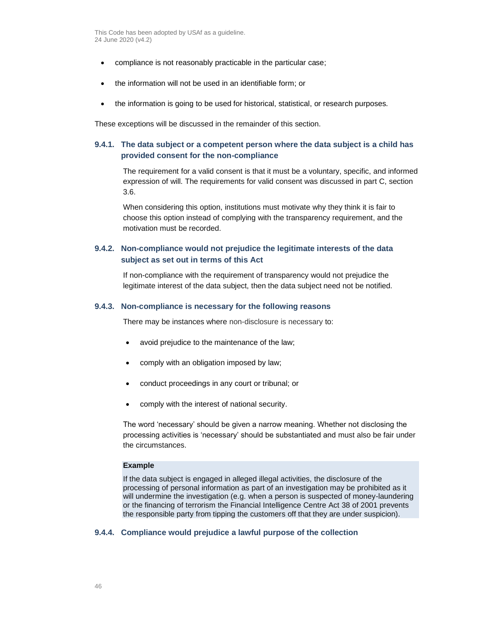- compliance is not reasonably practicable in the particular case;
- the information will not be used in an identifiable form; or
- the information is going to be used for historical, statistical, or research purposes.

These exceptions will be discussed in the remainder of this section.

# **9.4.1. The data subject or a competent person where the data subject is a child has provided consent for the non-compliance**

The requirement for a valid consent is that it must be a voluntary, specific, and informed expression of will. The requirements for valid consent was discussed in part [C,](#page-14-0) section [3.6.](#page-23-0)

When considering this option, institutions must motivate why they think it is fair to choose this option instead of complying with the transparency requirement, and the motivation must be recorded.

## **9.4.2. Non-compliance would not prejudice the legitimate interests of the data subject as set out in terms of this Act**

If non-compliance with the requirement of transparency would not prejudice the legitimate interest of the data subject, then the data subject need not be notified.

#### **9.4.3. Non-compliance is necessary for the following reasons**

There may be instances where non-disclosure is necessary to:

- avoid prejudice to the maintenance of the law;
- comply with an obligation imposed by law;
- conduct proceedings in any court or tribunal; or
- comply with the interest of national security.

The word 'necessary' should be given a narrow meaning. Whether not disclosing the processing activities is 'necessary' should be substantiated and must also be fair under the circumstances.

#### **Example**

If the data subject is engaged in alleged illegal activities, the disclosure of the processing of personal information as part of an investigation may be prohibited as it will undermine the investigation (e.g. when a person is suspected of money-laundering or the financing of terrorism the Financial Intelligence Centre Act 38 of 2001 prevents the responsible party from tipping the customers off that they are under suspicion).

## **9.4.4. Compliance would prejudice a lawful purpose of the collection**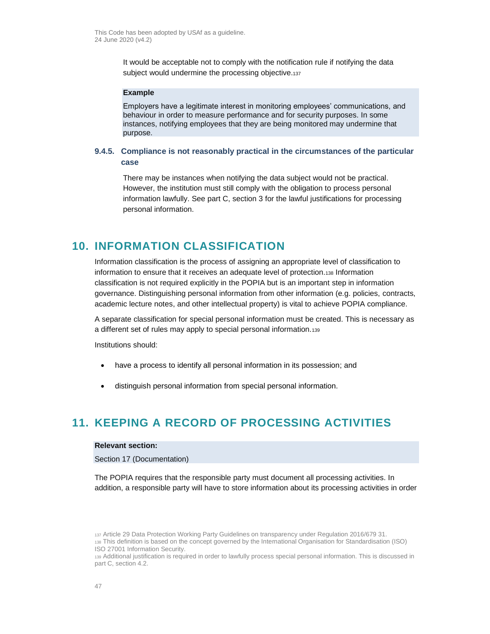It would be acceptable not to comply with the notification rule if notifying the data subject would undermine the processing objective.<sup>137</sup>

#### **Example**

Employers have a legitimate interest in monitoring employees' communications, and behaviour in order to measure performance and for security purposes. In some instances, notifying employees that they are being monitored may undermine that purpose.

# **9.4.5. Compliance is not reasonably practical in the circumstances of the particular case**

There may be instances when notifying the data subject would not be practical. However, the institution must still comply with the obligation to process personal information lawfully. See part [C,](#page-14-0) section [3](#page-16-0) for the lawful justifications for processing personal information.

# <span id="page-46-0"></span>**10. INFORMATION CLASSIFICATION**

Information classification is the process of assigning an appropriate level of classification to information to ensure that it receives an adequate level of protection.<sup>138</sup> Information classification is not required explicitly in the POPIA but is an important step in information governance. Distinguishing personal information from other information (e.g. policies, contracts, academic lecture notes, and other intellectual property) is vital to achieve POPIA compliance.

A separate classification for special personal information must be created. This is necessary as a different set of rules may apply to special personal information.<sup>139</sup>

Institutions should:

- have a process to identify all personal information in its possession; and
- distinguish personal information from special personal information.

# **11. KEEPING A RECORD OF PROCESSING ACTIVITIES**

#### **Relevant section:**

Section 17 (Documentation)

The POPIA requires that the responsible party must document all processing activities. In addition, a responsible party will have to store information about its processing activities in order

<sup>137</sup> Article 29 Data Protection Working Party Guidelines on transparency under Regulation 2016/679 31. <sup>138</sup> This definition is based on the concept governed by the International Organisation for Standardisation (ISO) ISO 27001 Information Security.

<sup>139</sup> Additional justification is required in order to lawfully process special personal information. This is discussed in part [C,](#page-14-0) section [4.2.](#page-28-0)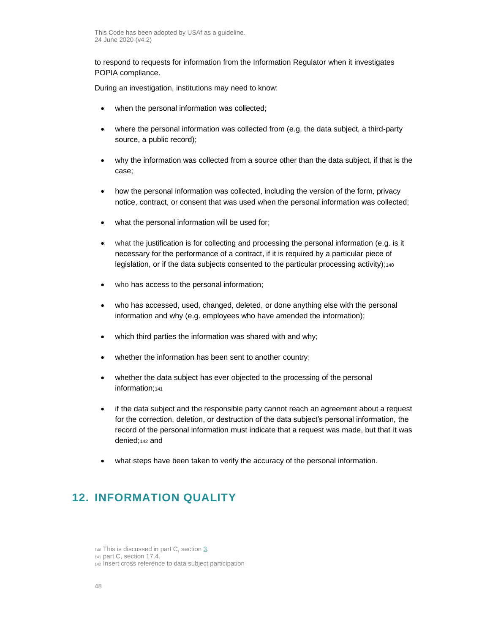to respond to requests for information from the Information Regulator when it investigates POPIA compliance.

During an investigation, institutions may need to know:

- when the personal information was collected;
- where the personal information was collected from (e.g. the data subject, a third-party source, a public record);
- why the information was collected from a source other than the data subject, if that is the case;
- how the personal information was collected, including the version of the form, privacy notice, contract, or consent that was used when the personal information was collected;
- what the personal information will be used for;
- what the justification is for collecting and processing the personal information (e.g. is it necessary for the performance of a contract, if it is required by a particular piece of legislation, or if the data subjects consented to the particular processing activity);<sup>440</sup>
- who has access to the personal information;
- who has accessed, used, changed, deleted, or done anything else with the personal information and why (e.g. employees who have amended the information);
- which third parties the information was shared with and why;
- whether the information has been sent to another country;
- whether the data subject has ever objected to the processing of the personal information;141
- if the data subject and the responsible party cannot reach an agreement about a request for the correction, deletion, or destruction of the data subject's personal information, the record of the personal information must indicate that a request was made, but that it was denied;<sup>142</sup> and
- what steps have been taken to verify the accuracy of the personal information.

# <span id="page-47-0"></span>**12. INFORMATION QUALITY**

<sup>140</sup> This is discussed in part [C,](#page-14-0) section [3.](#page-16-0) <sup>141</sup> part [C,](#page-14-0) sectio[n 17.4.](#page-66-1)

<sup>142</sup> Insert cross reference to data subject participation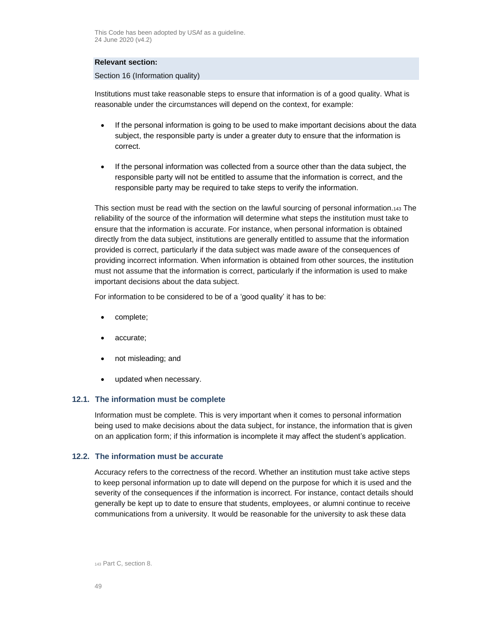## **Relevant section:**

Section 16 (Information quality)

Institutions must take reasonable steps to ensure that information is of a good quality. What is reasonable under the circumstances will depend on the context, for example:

- If the personal information is going to be used to make important decisions about the data subject, the responsible party is under a greater duty to ensure that the information is correct.
- If the personal information was collected from a source other than the data subject, the responsible party will not be entitled to assume that the information is correct, and the responsible party may be required to take steps to verify the information.

This section must be read with the section on the lawful sourcing of personal information.<sup>143</sup> The reliability of the source of the information will determine what steps the institution must take to ensure that the information is accurate. For instance, when personal information is obtained directly from the data subject, institutions are generally entitled to assume that the information provided is correct, particularly if the data subject was made aware of the consequences of providing incorrect information. When information is obtained from other sources, the institution must not assume that the information is correct, particularly if the information is used to make important decisions about the data subject.

For information to be considered to be of a 'good quality' it has to be:

- complete;
- accurate;
- not misleading; and
- updated when necessary.

#### **12.1. The information must be complete**

Information must be complete. This is very important when it comes to personal information being used to make decisions about the data subject, for instance, the information that is given on an application form; if this information is incomplete it may affect the student's application.

#### **12.2. The information must be accurate**

Accuracy refers to the correctness of the record. Whether an institution must take active steps to keep personal information up to date will depend on the purpose for which it is used and the severity of the consequences if the information is incorrect. For instance, contact details should generally be kept up to date to ensure that students, employees, or alumni continue to receive communications from a university. It would be reasonable for the university to ask these data

<sup>143</sup> Part C, sectio[n 8.](#page-37-1)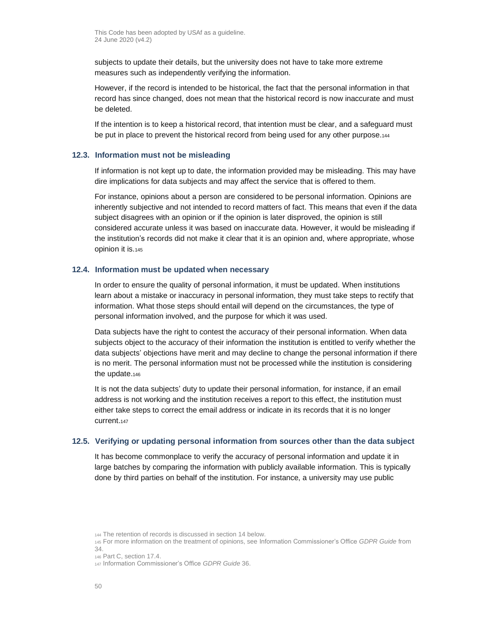subjects to update their details, but the university does not have to take more extreme measures such as independently verifying the information.

However, if the record is intended to be historical, the fact that the personal information in that record has since changed, does not mean that the historical record is now inaccurate and must be deleted.

If the intention is to keep a historical record, that intention must be clear, and a safeguard must be put in place to prevent the historical record from being used for any other purpose.<sup>144</sup>

## **12.3. Information must not be misleading**

If information is not kept up to date, the information provided may be misleading. This may have dire implications for data subjects and may affect the service that is offered to them.

For instance, opinions about a person are considered to be personal information. Opinions are inherently subjective and not intended to record matters of fact. This means that even if the data subject disagrees with an opinion or if the opinion is later disproved, the opinion is still considered accurate unless it was based on inaccurate data. However, it would be misleading if the institution's records did not make it clear that it is an opinion and, where appropriate, whose opinion it is.<sup>145</sup>

## **12.4. Information must be updated when necessary**

In order to ensure the quality of personal information, it must be updated. When institutions learn about a mistake or inaccuracy in personal information, they must take steps to rectify that information. What those steps should entail will depend on the circumstances, the type of personal information involved, and the purpose for which it was used.

Data subjects have the right to contest the accuracy of their personal information. When data subjects object to the accuracy of their information the institution is entitled to verify whether the data subjects' objections have merit and may decline to change the personal information if there is no merit. The personal information must not be processed while the institution is considering the update.<sup>146</sup>

It is not the data subjects' duty to update their personal information, for instance, if an email address is not working and the institution receives a report to this effect, the institution must either take steps to correct the email address or indicate in its records that it is no longer current.<sup>147</sup>

#### <span id="page-49-0"></span>**12.5. Verifying or updating personal information from sources other than the data subject**

It has become commonplace to verify the accuracy of personal information and update it in large batches by comparing the information with publicly available information. This is typically done by third parties on behalf of the institution. For instance, a university may use public

<sup>144</sup> The retention of records is discussed in section [14](#page-54-0) below.

<sup>145</sup> For more information on the treatment of opinions, see Information Commissioner's Office *GDPR Guide* from 34.

<sup>146</sup> Part [C,](#page-14-0) sectio[n 17.4.](#page-66-1)

<sup>147</sup> Information Commissioner's Office *GDPR Guide* 36.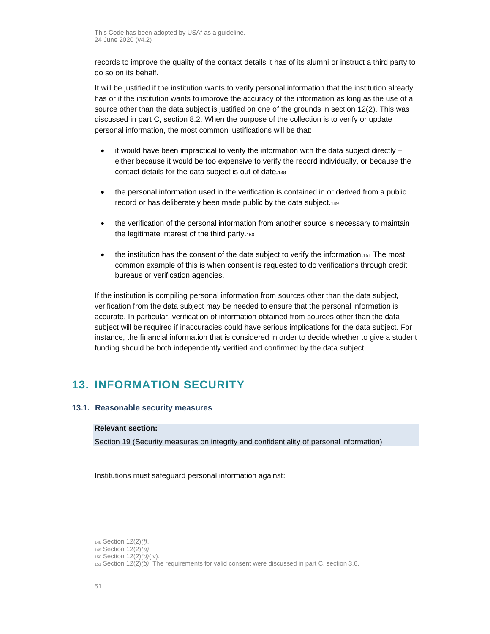records to improve the quality of the contact details it has of its alumni or instruct a third party to do so on its behalf.

It will be justified if the institution wants to verify personal information that the institution already has or if the institution wants to improve the accuracy of the information as long as the use of a source other than the data subject is justified on one of the grounds in section 12(2). This was discussed in part [C,](#page-14-0) section [8.2.](#page-38-0) When the purpose of the collection is to verify or update personal information, the most common justifications will be that:

- $\bullet$  it would have been impractical to verify the information with the data subject directly either because it would be too expensive to verify the record individually, or because the contact details for the data subject is out of date.<sup>148</sup>
- the personal information used in the verification is contained in or derived from a public record or has deliberately been made public by the data subject.<sup>149</sup>
- the verification of the personal information from another source is necessary to maintain the legitimate interest of the third party.<sup>150</sup>
- the institution has the consent of the data subject to verify the information.151 The most common example of this is when consent is requested to do verifications through credit bureaus or verification agencies.

If the institution is compiling personal information from sources other than the data subject, verification from the data subject may be needed to ensure that the personal information is accurate. In particular, verification of information obtained from sources other than the data subject will be required if inaccuracies could have serious implications for the data subject. For instance, the financial information that is considered in order to decide whether to give a student funding should be both independently verified and confirmed by the data subject.

# **13. INFORMATION SECURITY**

## <span id="page-50-0"></span>**13.1. Reasonable security measures**

## **Relevant section:**

Section 19 (Security measures on integrity and confidentiality of personal information)

Institutions must safeguard personal information against:

<sup>148</sup> Section 12(2)*(f)*.

<sup>149</sup> Section 12(2)*(a)*.

<sup>150</sup> Section 12(2)*(d)*(iv).

<sup>151</sup> Section 12(2)*(b)*. The requirements for valid consent were discussed in part [C,](#page-14-0) sectio[n 3.6.](#page-23-0)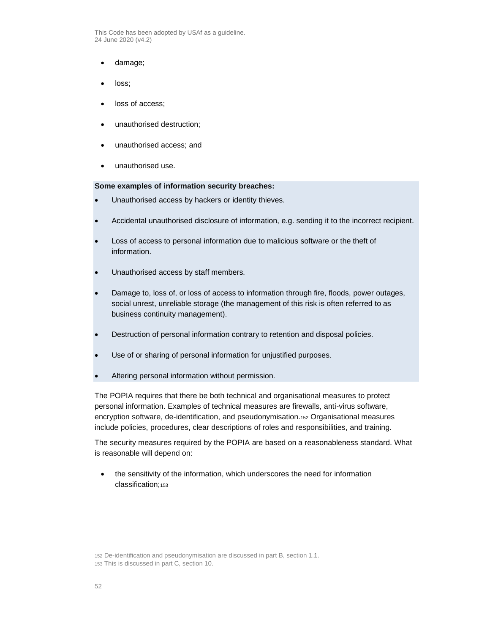- damage;
- loss;
- loss of access:
- unauthorised destruction;
- unauthorised access; and
- unauthorised use.

#### **Some examples of information security breaches:**

- Unauthorised access by hackers or identity thieves.
- Accidental unauthorised disclosure of information, e.g. sending it to the incorrect recipient.
- Loss of access to personal information due to malicious software or the theft of information.
- Unauthorised access by staff members.
- Damage to, loss of, or loss of access to information through fire, floods, power outages, social unrest, unreliable storage (the management of this risk is often referred to as business continuity management).
- Destruction of personal information contrary to retention and disposal policies.
- Use of or sharing of personal information for unjustified purposes.
- Altering personal information without permission.

The POPIA requires that there be both technical and organisational measures to protect personal information. Examples of technical measures are firewalls, anti-virus software, encryption software, de-identification, and pseudonymisation.<sup>152</sup> Organisational measures include policies, procedures, clear descriptions of roles and responsibilities, and training.

The security measures required by the POPIA are based on a reasonableness standard. What is reasonable will depend on:

• the sensitivity of the information, which underscores the need for information classification;153

152 De-identification and pseudonymisation are discussed in par[t B,](#page-9-0) section [1.1.](#page-9-1) 153 This is discussed in part [C,](#page-14-0) section [10.](#page-46-0)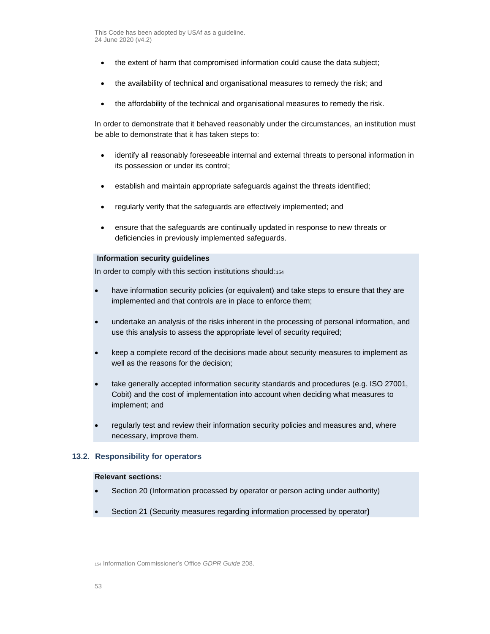- the extent of harm that compromised information could cause the data subject;
- the availability of technical and organisational measures to remedy the risk; and
- the affordability of the technical and organisational measures to remedy the risk.

In order to demonstrate that it behaved reasonably under the circumstances, an institution must be able to demonstrate that it has taken steps to:

- identify all reasonably foreseeable internal and external threats to personal information in its possession or under its control;
- establish and maintain appropriate safeguards against the threats identified;
- regularly verify that the safeguards are effectively implemented; and
- ensure that the safeguards are continually updated in response to new threats or deficiencies in previously implemented safeguards.

#### **Information security guidelines**

In order to comply with this section institutions should:154

- have information security policies (or equivalent) and take steps to ensure that they are implemented and that controls are in place to enforce them;
- undertake an analysis of the risks inherent in the processing of personal information, and use this analysis to assess the appropriate level of security required;
- keep a complete record of the decisions made about security measures to implement as well as the reasons for the decision;
- take generally accepted information security standards and procedures (e.g. ISO 27001, Cobit) and the cost of implementation into account when deciding what measures to implement; and
- regularly test and review their information security policies and measures and, where necessary, improve them.

## **13.2. Responsibility for operators**

### **Relevant sections:**

- Section 20 (Information processed by operator or person acting under authority)
- Section 21 (Security measures regarding information processed by operator**)**

<sup>154</sup> Information Commissioner's Office *GDPR Guide* 208.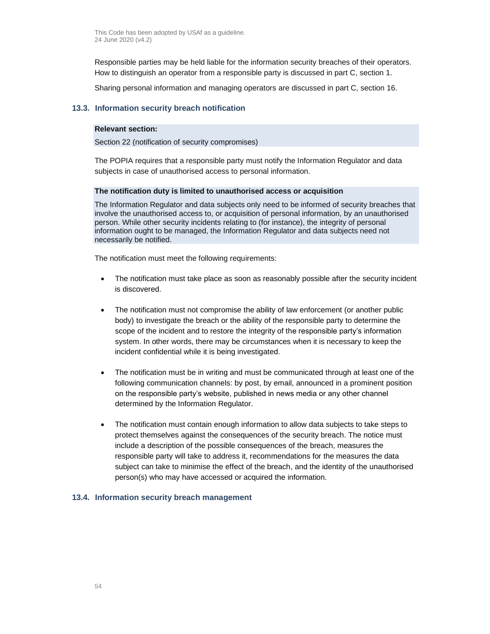Responsible parties may be held liable for the information security breaches of their operators. How to distinguish an operator from a responsible party is discussed in part [C,](#page-14-0) section [1.](#page-14-1)

Sharing personal information and managing operators are discussed in part [C,](#page-14-0) section [16.](#page-55-0)

### **13.3. Information security breach notification**

#### **Relevant section:**

Section 22 (notification of security compromises)

The POPIA requires that a responsible party must notify the Information Regulator and data subjects in case of unauthorised access to personal information.

#### **The notification duty is limited to unauthorised access or acquisition**

The Information Regulator and data subjects only need to be informed of security breaches that involve the unauthorised access to, or acquisition of personal information, by an unauthorised person. While other security incidents relating to (for instance), the integrity of personal information ought to be managed, the Information Regulator and data subjects need not necessarily be notified.

The notification must meet the following requirements:

- The notification must take place as soon as reasonably possible after the security incident is discovered.
- The notification must not compromise the ability of law enforcement (or another public body) to investigate the breach or the ability of the responsible party to determine the scope of the incident and to restore the integrity of the responsible party's information system. In other words, there may be circumstances when it is necessary to keep the incident confidential while it is being investigated.
- The notification must be in writing and must be communicated through at least one of the following communication channels: by post, by email, announced in a prominent position on the responsible party's website, published in news media or any other channel determined by the Information Regulator.
- The notification must contain enough information to allow data subjects to take steps to protect themselves against the consequences of the security breach. The notice must include a description of the possible consequences of the breach, measures the responsible party will take to address it, recommendations for the measures the data subject can take to minimise the effect of the breach, and the identity of the unauthorised person(s) who may have accessed or acquired the information.

## **13.4. Information security breach management**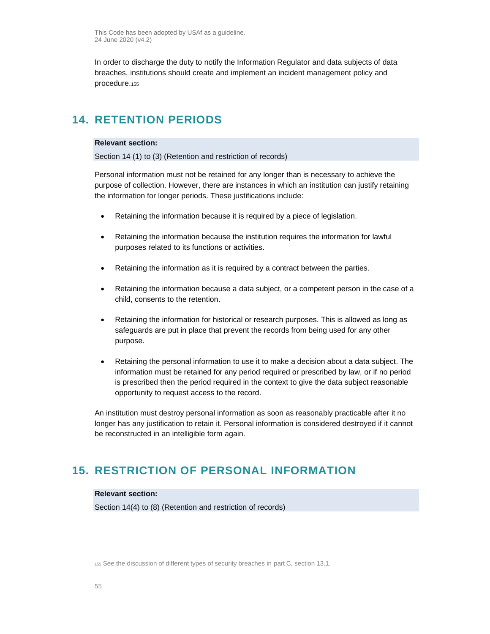In order to discharge the duty to notify the Information Regulator and data subjects of data breaches, institutions should create and implement an incident management policy and procedure.<sup>155</sup>

# <span id="page-54-0"></span>**14. RETENTION PERIODS**

## **Relevant section:**

Section 14 (1) to (3) (Retention and restriction of records)

Personal information must not be retained for any longer than is necessary to achieve the purpose of collection. However, there are instances in which an institution can justify retaining the information for longer periods. These justifications include:

- Retaining the information because it is required by a piece of legislation.
- Retaining the information because the institution requires the information for lawful purposes related to its functions or activities.
- Retaining the information as it is required by a contract between the parties.
- Retaining the information because a data subject, or a competent person in the case of a child, consents to the retention.
- Retaining the information for historical or research purposes. This is allowed as long as safeguards are put in place that prevent the records from being used for any other purpose.
- Retaining the personal information to use it to make a decision about a data subject. The information must be retained for any period required or prescribed by law, or if no period is prescribed then the period required in the context to give the data subject reasonable opportunity to request access to the record.

An institution must destroy personal information as soon as reasonably practicable after it no longer has any justification to retain it. Personal information is considered destroyed if it cannot be reconstructed in an intelligible form again.

# **15. RESTRICTION OF PERSONAL INFORMATION**

#### **Relevant section:**

Section 14(4) to (8) (Retention and restriction of records)

<sup>155</sup> See the discussion of different types of security breaches in part [C,](#page-14-0) sectio[n 13.1.](#page-50-0)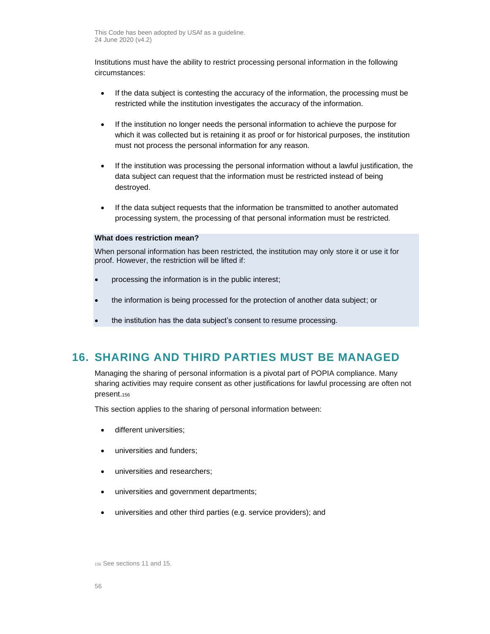Institutions must have the ability to restrict processing personal information in the following circumstances:

- If the data subject is contesting the accuracy of the information, the processing must be restricted while the institution investigates the accuracy of the information.
- If the institution no longer needs the personal information to achieve the purpose for which it was collected but is retaining it as proof or for historical purposes, the institution must not process the personal information for any reason.
- If the institution was processing the personal information without a lawful justification, the data subject can request that the information must be restricted instead of being destroyed.
- If the data subject requests that the information be transmitted to another automated processing system, the processing of that personal information must be restricted.

#### **What does restriction mean?**

When personal information has been restricted, the institution may only store it or use it for proof. However, the restriction will be lifted if:

- processing the information is in the public interest;
- the information is being processed for the protection of another data subject; or
- the institution has the data subject's consent to resume processing.

# <span id="page-55-0"></span>**16. SHARING AND THIRD PARTIES MUST BE MANAGED**

Managing the sharing of personal information is a pivotal part of POPIA compliance. Many sharing activities may require consent as other justifications for lawful processing are often not present.<sup>156</sup>

This section applies to the sharing of personal information between:

- different universities;
- universities and funders;
- universities and researchers;
- universities and government departments;
- universities and other third parties (e.g. service providers); and

<sup>156</sup> See sections 11 and 15.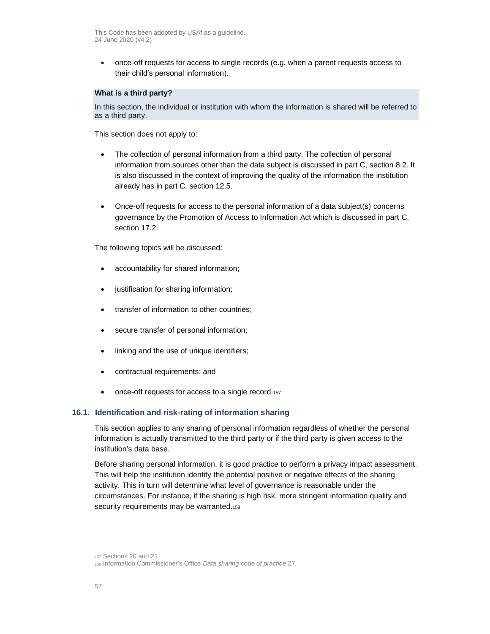• once-off requests for access to single records (e.g. when a parent requests access to their child's personal information).

## **What is a third party?**

In this section, the individual or institution with whom the information is shared will be referred to as a third party.

This section does not apply to:

- The collection of personal information from a third party. The collection of personal information from sources other than the data subject is discussed in par[t C,](#page-14-0) section [8.2.](#page-38-0) It is also discussed in the context of improving the quality of the information the institution already has in part [C,](#page-14-0) section [12.5.](#page-49-0)
- Once-off requests for access to the personal information of a data subject(s) concerns governance by the Promotion of Access to Information Act which is discussed in part [C,](#page-14-0) section [17.2.](#page-64-0)

The following topics will be discussed:

- accountability for shared information;
- justification for sharing information;
- transfer of information to other countries;
- secure transfer of personal information;
- linking and the use of unique identifiers;
- contractual requirements; and
- once-off requests for access to a single record.157

#### **16.1. Identification and risk-rating of information sharing**

This section applies to any sharing of personal information regardless of whether the personal information is actually transmitted to the third party or if the third party is given access to the institution's data base.

Before sharing personal information, it is good practice to perform a privacy impact assessment. This will help the institution identify the potential positive or negative effects of the sharing activity. This in turn will determine what level of governance is reasonable under the circumstances. For instance, if the sharing is high risk, more stringent information quality and security requirements may be warranted.<sup>158</sup>

<sup>157</sup> Sections 20 and 21.

<sup>158</sup> Information Commissioner's Office *Data sharing code of practice* 27.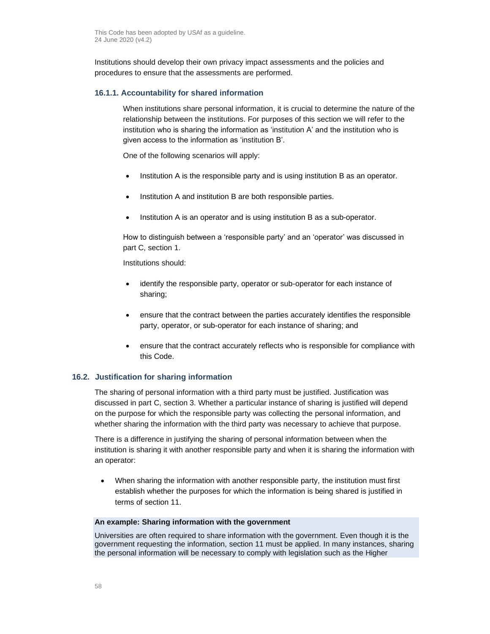Institutions should develop their own privacy impact assessments and the policies and procedures to ensure that the assessments are performed.

## **16.1.1. Accountability for shared information**

When institutions share personal information, it is crucial to determine the nature of the relationship between the institutions. For purposes of this section we will refer to the institution who is sharing the information as 'institution A' and the institution who is given access to the information as 'institution B'.

One of the following scenarios will apply:

- Institution A is the responsible party and is using institution B as an operator.
- Institution A and institution B are both responsible parties.
- Institution A is an operator and is using institution B as a sub-operator.

How to distinguish between a 'responsible party' and an 'operator' was discussed in part [C,](#page-14-0) sectio[n 1.](#page-14-1)

Institutions should:

- identify the responsible party, operator or sub-operator for each instance of sharing;
- ensure that the contract between the parties accurately identifies the responsible party, operator, or sub-operator for each instance of sharing; and
- ensure that the contract accurately reflects who is responsible for compliance with this Code.

## **16.2. Justification for sharing information**

The sharing of personal information with a third party must be justified. Justification was discussed in part [C,](#page-14-0) section [3.](#page-16-0) Whether a particular instance of sharing is justified will depend on the purpose for which the responsible party was collecting the personal information, and whether sharing the information with the third party was necessary to achieve that purpose.

There is a difference in justifying the sharing of personal information between when the institution is sharing it with another responsible party and when it is sharing the information with an operator:

• When sharing the information with another responsible party, the institution must first establish whether the purposes for which the information is being shared is justified in terms of section 11.

#### **An example: Sharing information with the government**

Universities are often required to share information with the government. Even though it is the government requesting the information, section 11 must be applied. In many instances, sharing the personal information will be necessary to comply with legislation such as the Higher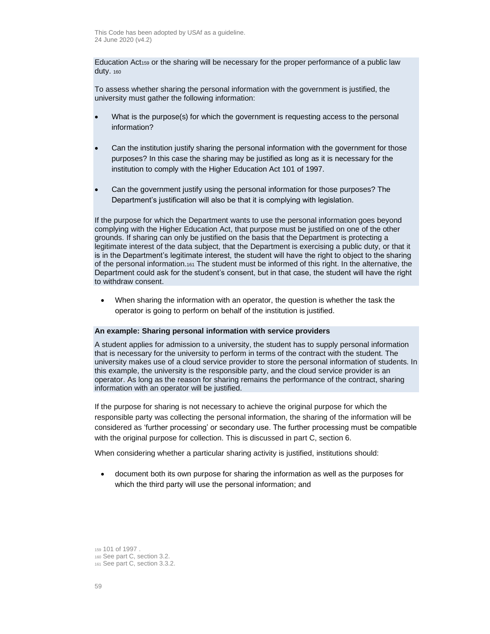Education Act<sub>159</sub> or the sharing will be necessary for the proper performance of a public law duty. <sup>160</sup>

To assess whether sharing the personal information with the government is justified, the university must gather the following information:

- What is the purpose(s) for which the government is requesting access to the personal information?
- Can the institution justify sharing the personal information with the government for those purposes? In this case the sharing may be justified as long as it is necessary for the institution to comply with the Higher Education Act 101 of 1997.
- Can the government justify using the personal information for those purposes? The Department's justification will also be that it is complying with legislation.

If the purpose for which the Department wants to use the personal information goes beyond complying with the Higher Education Act, that purpose must be justified on one of the other grounds. If sharing can only be justified on the basis that the Department is protecting a legitimate interest of the data subject, that the Department is exercising a public duty, or that it is in the Department's legitimate interest, the student will have the right to object to the sharing of the personal information.<sup>161</sup> The student must be informed of this right. In the alternative, the Department could ask for the student's consent, but in that case, the student will have the right to withdraw consent.

• When sharing the information with an operator, the question is whether the task the operator is going to perform on behalf of the institution is justified.

#### **An example: Sharing personal information with service providers**

A student applies for admission to a university, the student has to supply personal information that is necessary for the university to perform in terms of the contract with the student. The university makes use of a cloud service provider to store the personal information of students. In this example, the university is the responsible party, and the cloud service provider is an operator. As long as the reason for sharing remains the performance of the contract, sharing information with an operator will be justified.

If the purpose for sharing is not necessary to achieve the original purpose for which the responsible party was collecting the personal information, the sharing of the information will be considered as 'further processing' or secondary use. The further processing must be compatible with the original purpose for collection. This is discussed in par[t C,](#page-14-0) section [6.](#page-34-0)

When considering whether a particular sharing activity is justified, institutions should:

• document both its own purpose for sharing the information as well as the purposes for which the third party will use the personal information; and

<sup>159</sup> 101 of 1997 . <sup>160</sup> See par[t C,](#page-14-0) section [3.2.](#page-18-0) 

<sup>161</sup> See par[t C,](#page-14-0) section [3.3.2.](#page-19-1)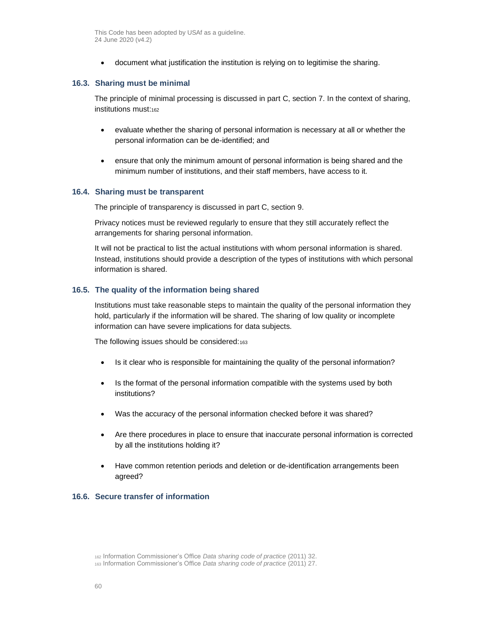• document what justification the institution is relying on to legitimise the sharing.

### **16.3. Sharing must be minimal**

The principle of minimal processing is discussed in part [C,](#page-14-0) section [7.](#page-36-0) In the context of sharing, institutions must:162

- evaluate whether the sharing of personal information is necessary at all or whether the personal information can be de-identified; and
- ensure that only the minimum amount of personal information is being shared and the minimum number of institutions, and their staff members, have access to it.

#### **16.4. Sharing must be transparent**

The principle of transparency is discussed in part [C,](#page-14-0) section [9.](#page-40-0)

Privacy notices must be reviewed regularly to ensure that they still accurately reflect the arrangements for sharing personal information.

It will not be practical to list the actual institutions with whom personal information is shared. Instead, institutions should provide a description of the types of institutions with which personal information is shared.

#### **16.5. The quality of the information being shared**

Institutions must take reasonable steps to maintain the quality of the personal information they hold, particularly if the information will be shared. The sharing of low quality or incomplete information can have severe implications for data subjects.

The following issues should be considered:<sup>163</sup>

- Is it clear who is responsible for maintaining the quality of the personal information?
- Is the format of the personal information compatible with the systems used by both institutions?
- Was the accuracy of the personal information checked before it was shared?
- Are there procedures in place to ensure that inaccurate personal information is corrected by all the institutions holding it?
- Have common retention periods and deletion or de-identification arrangements been agreed?

## **16.6. Secure transfer of information**

<sup>162</sup> Information Commissioner's Office *Data sharing code of practice* (2011) 32.

<sup>163</sup> Information Commissioner's Office *Data sharing code of practice* (2011) 27.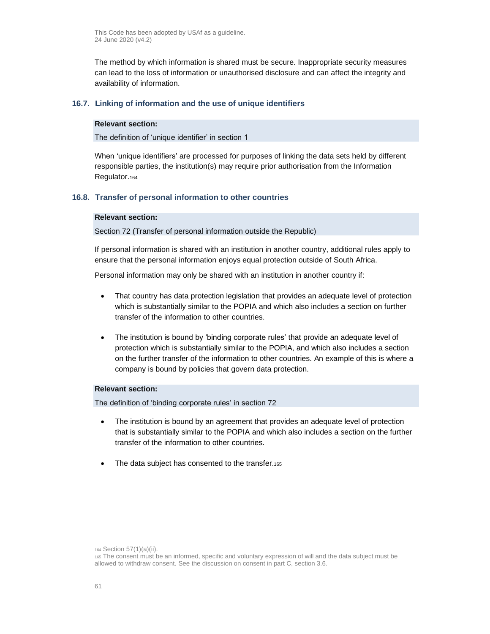The method by which information is shared must be secure. Inappropriate security measures can lead to the loss of information or unauthorised disclosure and can affect the integrity and availability of information.

### **16.7. Linking of information and the use of unique identifiers**

#### **Relevant section:**

The definition of 'unique identifier' in section 1

When 'unique identifiers' are processed for purposes of linking the data sets held by different responsible parties, the institution(s) may require prior authorisation from the Information Regulator.<sup>164</sup>

## <span id="page-60-0"></span>**16.8. Transfer of personal information to other countries**

#### **Relevant section:**

Section 72 (Transfer of personal information outside the Republic)

If personal information is shared with an institution in another country, additional rules apply to ensure that the personal information enjoys equal protection outside of South Africa.

Personal information may only be shared with an institution in another country if:

- That country has data protection legislation that provides an adequate level of protection which is substantially similar to the POPIA and which also includes a section on further transfer of the information to other countries.
- The institution is bound by 'binding corporate rules' that provide an adequate level of protection which is substantially similar to the POPIA, and which also includes a section on the further transfer of the information to other countries. An example of this is where a company is bound by policies that govern data protection.

## **Relevant section:**

The definition of 'binding corporate rules' in section 72

- The institution is bound by an agreement that provides an adequate level of protection that is substantially similar to the POPIA and which also includes a section on the further transfer of the information to other countries.
- The data subject has consented to the transfer.165

<sup>164</sup> Section 57(1)(a)(ii).

<sup>165</sup> The consent must be an informed, specific and voluntary expression of will and the data subject must be allowed to withdraw consent. See the discussion on consent in part [C,](#page-14-0) section [3.6.](#page-23-0)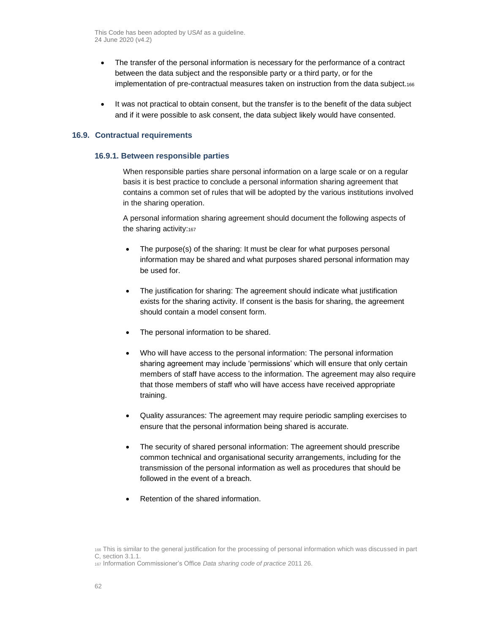- The transfer of the personal information is necessary for the performance of a contract between the data subject and the responsible party or a third party, or for the implementation of pre-contractual measures taken on instruction from the data subject.<sup>166</sup>
- It was not practical to obtain consent, but the transfer is to the benefit of the data subject and if it were possible to ask consent, the data subject likely would have consented.

## **16.9. Contractual requirements**

#### **16.9.1. Between responsible parties**

When responsible parties share personal information on a large scale or on a regular basis it is best practice to conclude a personal information sharing agreement that contains a common set of rules that will be adopted by the various institutions involved in the sharing operation.

A personal information sharing agreement should document the following aspects of the sharing activity:167

- The purpose(s) of the sharing: It must be clear for what purposes personal information may be shared and what purposes shared personal information may be used for.
- The justification for sharing: The agreement should indicate what justification exists for the sharing activity. If consent is the basis for sharing, the agreement should contain a model consent form.
- The personal information to be shared.
- Who will have access to the personal information: The personal information sharing agreement may include 'permissions' which will ensure that only certain members of staff have access to the information. The agreement may also require that those members of staff who will have access have received appropriate training.
- Quality assurances: The agreement may require periodic sampling exercises to ensure that the personal information being shared is accurate.
- The security of shared personal information: The agreement should prescribe common technical and organisational security arrangements, including for the transmission of the personal information as well as procedures that should be followed in the event of a breach.
- Retention of the shared information.

<sup>166</sup> This is similar to the general justification for the processing of personal information which was discussed in part [C,](#page-14-0) section [3.1.1.](#page-17-0)

<sup>167</sup> Information Commissioner's Office *Data sharing code of practice* 2011 26.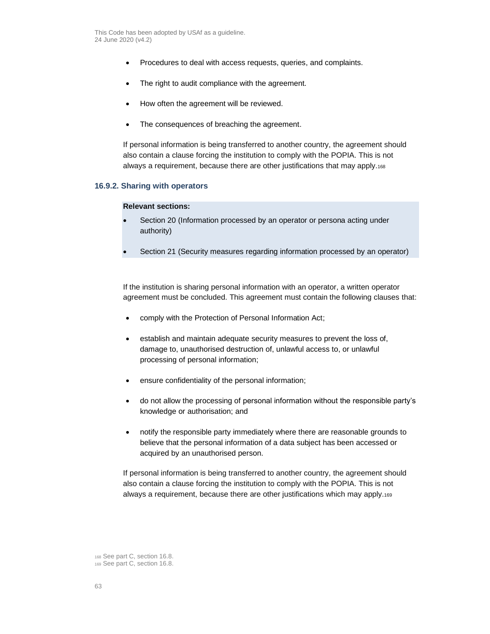- Procedures to deal with access requests, queries, and complaints.
- The right to audit compliance with the agreement.
- How often the agreement will be reviewed.
- The consequences of breaching the agreement.

If personal information is being transferred to another country, the agreement should also contain a clause forcing the institution to comply with the POPIA. This is not always a requirement, because there are other justifications that may apply.<sup>168</sup>

## **16.9.2. Sharing with operators**

#### **Relevant sections:**

- Section 20 (Information processed by an operator or persona acting under authority)
- Section 21 (Security measures regarding information processed by an operator)

If the institution is sharing personal information with an operator, a written operator agreement must be concluded. This agreement must contain the following clauses that:

- comply with the Protection of Personal Information Act;
- establish and maintain adequate security measures to prevent the loss of, damage to, unauthorised destruction of, unlawful access to, or unlawful processing of personal information;
- ensure confidentiality of the personal information;
- do not allow the processing of personal information without the responsible party's knowledge or authorisation; and
- notify the responsible party immediately where there are reasonable grounds to believe that the personal information of a data subject has been accessed or acquired by an unauthorised person.

If personal information is being transferred to another country, the agreement should also contain a clause forcing the institution to comply with the POPIA. This is not always a requirement, because there are other justifications which may apply.<sup>169</sup>

<sup>168</sup> See par[t C,](#page-14-0) section [16.8.](#page-60-0)

<sup>169</sup> See par[t C,](#page-14-0) section [16.8.](#page-60-0)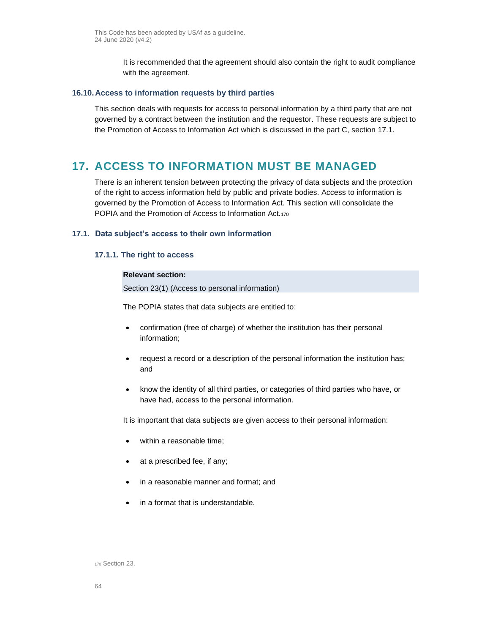It is recommended that the agreement should also contain the right to audit compliance with the agreement.

## **16.10.Access to information requests by third parties**

This section deals with requests for access to personal information by a third party that are not governed by a contract between the institution and the requestor. These requests are subject to the Promotion of Access to Information Act which is discussed in the part [C,](#page-14-0) section [17.1.](#page-63-0)

# **17. ACCESS TO INFORMATION MUST BE MANAGED**

There is an inherent tension between protecting the privacy of data subjects and the protection of the right to access information held by public and private bodies. Access to information is governed by the Promotion of Access to Information Act. This section will consolidate the POPIA and the Promotion of Access to Information Act.<sup>170</sup>

## <span id="page-63-0"></span>**17.1. Data subject's access to their own information**

## **17.1.1. The right to access**

## **Relevant section:**

Section 23(1) (Access to personal information)

The POPIA states that data subjects are entitled to:

- confirmation (free of charge) of whether the institution has their personal information;
- request a record or a description of the personal information the institution has; and
- know the identity of all third parties, or categories of third parties who have, or have had, access to the personal information.

It is important that data subjects are given access to their personal information:

- within a reasonable time;
- at a prescribed fee, if any;
- in a reasonable manner and format; and
- in a format that is understandable.

<sup>170</sup> Section 23.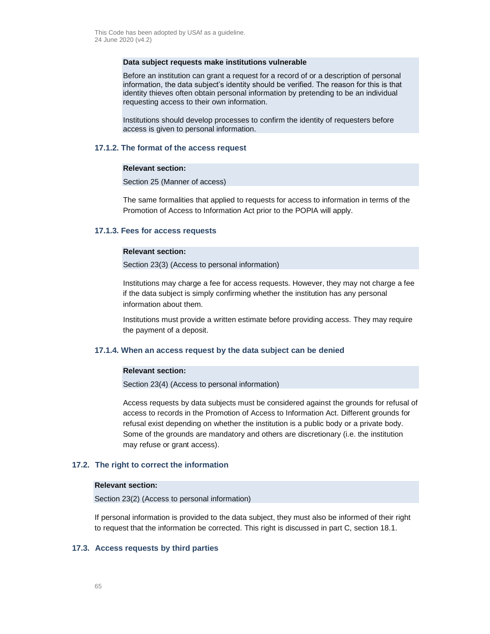#### **Data subject requests make institutions vulnerable**

Before an institution can grant a request for a record of or a description of personal information, the data subject's identity should be verified. The reason for this is that identity thieves often obtain personal information by pretending to be an individual requesting access to their own information.

Institutions should develop processes to confirm the identity of requesters before access is given to personal information.

#### **17.1.2. The format of the access request**

### **Relevant section:**

Section 25 (Manner of access)

The same formalities that applied to requests for access to information in terms of the Promotion of Access to Information Act prior to the POPIA will apply.

#### **17.1.3. Fees for access requests**

#### **Relevant section:**

Section 23(3) (Access to personal information)

Institutions may charge a fee for access requests. However, they may not charge a fee if the data subject is simply confirming whether the institution has any personal information about them.

Institutions must provide a written estimate before providing access. They may require the payment of a deposit.

#### **17.1.4. When an access request by the data subject can be denied**

## **Relevant section:**

Section 23(4) (Access to personal information)

Access requests by data subjects must be considered against the grounds for refusal of access to records in the Promotion of Access to Information Act. Different grounds for refusal exist depending on whether the institution is a public body or a private body. Some of the grounds are mandatory and others are discretionary (i.e. the institution may refuse or grant access).

#### <span id="page-64-0"></span>**17.2. The right to correct the information**

#### **Relevant section:**

Section 23(2) (Access to personal information)

If personal information is provided to the data subject, they must also be informed of their right to request that the information be corrected. This right is discussed in part [C,](#page-14-0) section [18.1.](#page-66-0)

## **17.3. Access requests by third parties**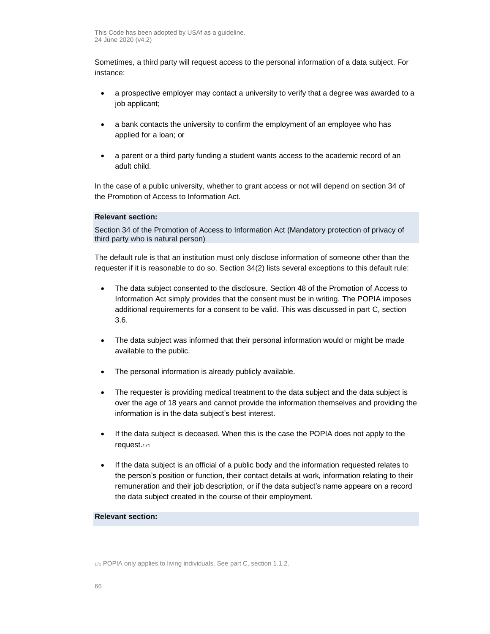Sometimes, a third party will request access to the personal information of a data subject. For instance:

- a prospective employer may contact a university to verify that a degree was awarded to a job applicant;
- a bank contacts the university to confirm the employment of an employee who has applied for a loan; or
- a parent or a third party funding a student wants access to the academic record of an adult child.

In the case of a public university, whether to grant access or not will depend on section 34 of the Promotion of Access to Information Act.

# **Relevant section:**

Section 34 of the Promotion of Access to Information Act (Mandatory protection of privacy of third party who is natural person)

The default rule is that an institution must only disclose information of someone other than the requester if it is reasonable to do so. Section 34(2) lists several exceptions to this default rule:

- The data subject consented to the disclosure. Section 48 of the Promotion of Access to Information Act simply provides that the consent must be in writing. The POPIA imposes additional requirements for a consent to be valid. This was discussed in part [C,](#page-14-0) section [3.6.](#page-23-0)
- The data subject was informed that their personal information would or might be made available to the public.
- The personal information is already publicly available.
- The requester is providing medical treatment to the data subject and the data subject is over the age of 18 years and cannot provide the information themselves and providing the information is in the data subject's best interest.
- If the data subject is deceased. When this is the case the POPIA does not apply to the request.<sup>171</sup>
- If the data subject is an official of a public body and the information requested relates to the person's position or function, their contact details at work, information relating to their remuneration and their job description, or if the data subject's name appears on a record the data subject created in the course of their employment.

### **Relevant section:**

<sup>171</sup> POPIA only applies to living individuals. See par[t C,](#page-14-0) sectio[n 1.1.2.](#page-10-0)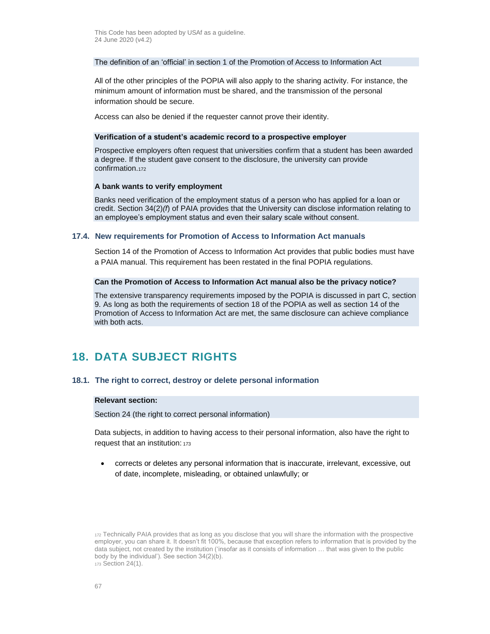### The definition of an 'official' in section 1 of the Promotion of Access to Information Act

All of the other principles of the POPIA will also apply to the sharing activity. For instance, the minimum amount of information must be shared, and the transmission of the personal information should be secure.

Access can also be denied if the requester cannot prove their identity.

#### **Verification of a student's academic record to a prospective employer**

Prospective employers often request that universities confirm that a student has been awarded a degree. If the student gave consent to the disclosure, the university can provide confirmation.<sup>172</sup>

#### **A bank wants to verify employment**

Banks need verification of the employment status of a person who has applied for a loan or credit. Section 34(2)*(f*) of PAIA provides that the University can disclose information relating to an employee's employment status and even their salary scale without consent.

#### <span id="page-66-1"></span>**17.4. New requirements for Promotion of Access to Information Act manuals**

Section 14 of the Promotion of Access to Information Act provides that public bodies must have a PAIA manual. This requirement has been restated in the final POPIA regulations.

#### **Can the Promotion of Access to Information Act manual also be the privacy notice?**

The extensive transparency requirements imposed by the POPIA is discussed in part [C,](#page-14-0) section [9.](#page-40-0) As long as both the requirements of section 18 of the POPIA as well as section 14 of the Promotion of Access to Information Act are met, the same disclosure can achieve compliance with both acts.

# **18. DATA SUBJECT RIGHTS**

#### <span id="page-66-0"></span>**18.1. The right to correct, destroy or delete personal information**

#### **Relevant section:**

Section 24 (the right to correct personal information)

Data subjects, in addition to having access to their personal information, also have the right to request that an institution: <sup>173</sup>

• corrects or deletes any personal information that is inaccurate, irrelevant, excessive, out of date, incomplete, misleading, or obtained unlawfully; or

<sup>172</sup> Technically PAIA provides that as long as you disclose that you will share the information with the prospective employer, you can share it. It doesn't fit 100%, because that exception refers to information that is provided by the data subject, not created by the institution ('insofar as it consists of information … that was given to the public body by the individual'). See section 34(2)(b). <sup>173</sup> Section 24(1).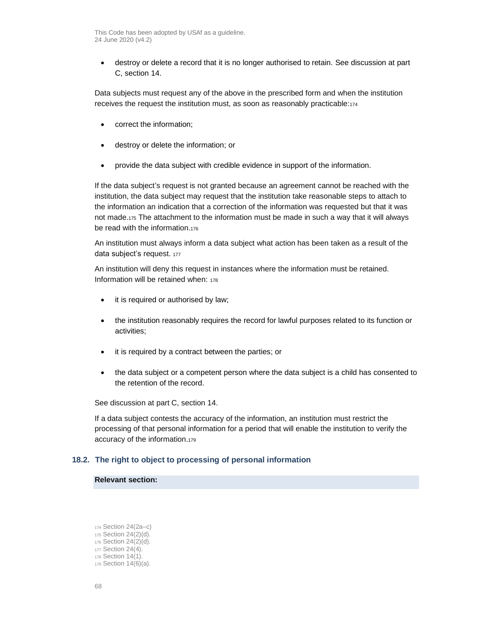• destroy or delete a record that it is no longer authorised to retain. See discussion at part [C,](#page-14-0) sectio[n 14.](#page-54-0)

Data subjects must request any of the above in the prescribed form and when the institution receives the request the institution must, as soon as reasonably practicable:<sup>174</sup>

- correct the information;
- destroy or delete the information; or
- provide the data subject with credible evidence in support of the information.

If the data subject's request is not granted because an agreement cannot be reached with the institution, the data subject may request that the institution take reasonable steps to attach to the information an indication that a correction of the information was requested but that it was not made.<sup>175</sup> The attachment to the information must be made in such a way that it will always be read with the information.<sup>176</sup>

An institution must always inform a data subject what action has been taken as a result of the data subject's request. 177

An institution will deny this request in instances where the information must be retained. Information will be retained when: <sup>178</sup>

- it is required or authorised by law;
- the institution reasonably requires the record for lawful purposes related to its function or activities;
- it is required by a contract between the parties; or
- the data subject or a competent person where the data subject is a child has consented to the retention of the record.

See discussion at part [C,](#page-14-0) section [14.](#page-54-0)

If a data subject contests the accuracy of the information, an institution must restrict the processing of that personal information for a period that will enable the institution to verify the accuracy of the information.<sup>179</sup>

## **18.2. The right to object to processing of personal information**

#### **Relevant section:**

 Section 24(2a–c) Section 24(2)(d). Section 24(2)(d). Section 24(4). Section 14(1). Section 14(6)(a).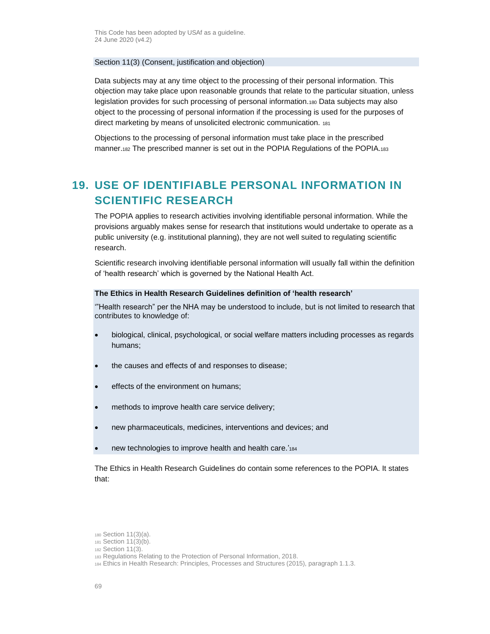## Section 11(3) (Consent, justification and objection)

Data subjects may at any time object to the processing of their personal information. This objection may take place upon reasonable grounds that relate to the particular situation, unless legislation provides for such processing of personal information.<sup>180</sup> Data subjects may also object to the processing of personal information if the processing is used for the purposes of direct marketing by means of unsolicited electronic communication. <sup>181</sup>

Objections to the processing of personal information must take place in the prescribed manner.<sup>182</sup> The prescribed manner is set out in the POPIA Regulations of the POPIA.<sup>183</sup>

# **19. USE OF IDENTIFIABLE PERSONAL INFORMATION IN SCIENTIFIC RESEARCH**

The POPIA applies to research activities involving identifiable personal information. While the provisions arguably makes sense for research that institutions would undertake to operate as a public university (e.g. institutional planning), they are not well suited to regulating scientific research.

Scientific research involving identifiable personal information will usually fall within the definition of 'health research' which is governed by the National Health Act.

### **The Ethics in Health Research Guidelines definition of 'health research'**

'"Health research" per the NHA may be understood to include, but is not limited to research that contributes to knowledge of:

- biological, clinical, psychological, or social welfare matters including processes as regards humans;
- the causes and effects of and responses to disease;
- effects of the environment on humans;
- methods to improve health care service delivery;
- new pharmaceuticals, medicines, interventions and devices; and
- new technologies to improve health and health care.'<sub>184</sub>

The Ethics in Health Research Guidelines do contain some references to the POPIA. It states that:

<sup>180</sup> Section 11(3)(a).

<sup>181</sup> Section 11(3)(b).

<sup>182</sup> Section 11(3).

<sup>183</sup> Regulations Relating to the Protection of Personal Information, 2018.

<sup>184</sup> Ethics in Health Research: Principles, Processes and Structures (2015), paragraph 1.1.3.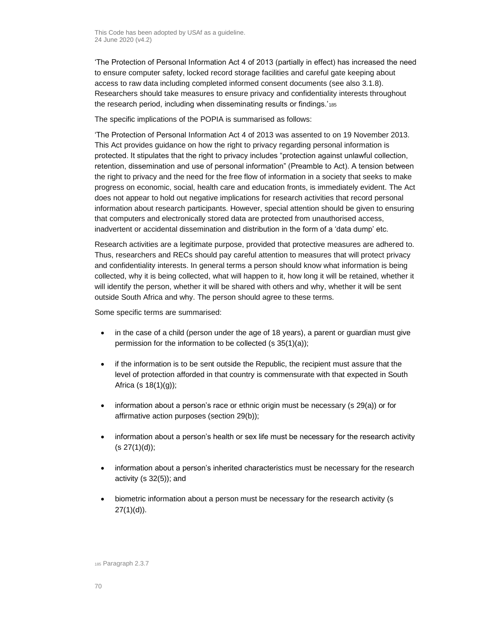'The Protection of Personal Information Act 4 of 2013 (partially in effect) has increased the need to ensure computer safety, locked record storage facilities and careful gate keeping about access to raw data including completed informed consent documents (see also 3.1.8). Researchers should take measures to ensure privacy and confidentiality interests throughout the research period, including when disseminating results or findings.'<sub>185</sub>

The specific implications of the POPIA is summarised as follows:

'The Protection of Personal Information Act 4 of 2013 was assented to on 19 November 2013. This Act provides guidance on how the right to privacy regarding personal information is protected. It stipulates that the right to privacy includes "protection against unlawful collection, retention, dissemination and use of personal information" (Preamble to Act). A tension between the right to privacy and the need for the free flow of information in a society that seeks to make progress on economic, social, health care and education fronts, is immediately evident. The Act does not appear to hold out negative implications for research activities that record personal information about research participants. However, special attention should be given to ensuring that computers and electronically stored data are protected from unauthorised access, inadvertent or accidental dissemination and distribution in the form of a 'data dump' etc.

Research activities are a legitimate purpose, provided that protective measures are adhered to. Thus, researchers and RECs should pay careful attention to measures that will protect privacy and confidentiality interests. In general terms a person should know what information is being collected, why it is being collected, what will happen to it, how long it will be retained, whether it will identify the person, whether it will be shared with others and why, whether it will be sent outside South Africa and why. The person should agree to these terms.

Some specific terms are summarised:

- in the case of a child (person under the age of 18 years), a parent or guardian must give permission for the information to be collected (s 35(1)(a));
- if the information is to be sent outside the Republic, the recipient must assure that the level of protection afforded in that country is commensurate with that expected in South Africa (s  $18(1)(q)$ );
- information about a person's race or ethnic origin must be necessary (s 29(a)) or for affirmative action purposes (section 29(b));
- information about a person's health or sex life must be necessary for the research activity  $(s 27(1)(d))$ ;
- information about a person's inherited characteristics must be necessary for the research activity (s 32(5)); and
- biometric information about a person must be necessary for the research activity (s  $27(1)(d)$ ).

<sup>185</sup> Paragraph 2.3.7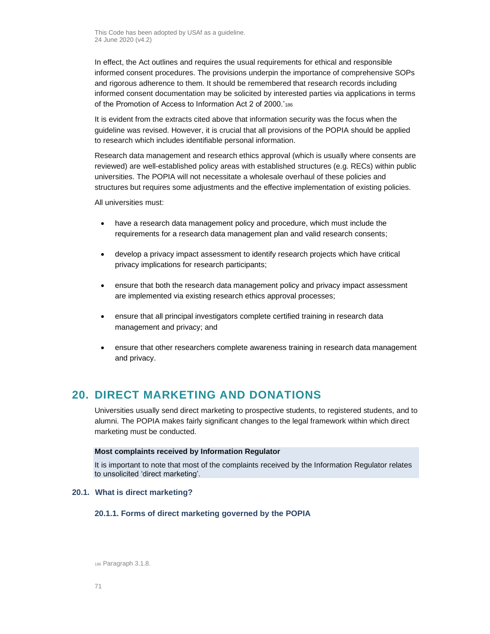In effect, the Act outlines and requires the usual requirements for ethical and responsible informed consent procedures. The provisions underpin the importance of comprehensive SOPs and rigorous adherence to them. It should be remembered that research records including informed consent documentation may be solicited by interested parties via applications in terms of the Promotion of Access to Information Act 2 of 2000.'<sup>186</sup>

It is evident from the extracts cited above that information security was the focus when the guideline was revised. However, it is crucial that all provisions of the POPIA should be applied to research which includes identifiable personal information.

Research data management and research ethics approval (which is usually where consents are reviewed) are well-established policy areas with established structures (e.g. RECs) within public universities. The POPIA will not necessitate a wholesale overhaul of these policies and structures but requires some adjustments and the effective implementation of existing policies.

All universities must:

- have a research data management policy and procedure, which must include the requirements for a research data management plan and valid research consents;
- develop a privacy impact assessment to identify research projects which have critical privacy implications for research participants;
- ensure that both the research data management policy and privacy impact assessment are implemented via existing research ethics approval processes;
- ensure that all principal investigators complete certified training in research data management and privacy; and
- ensure that other researchers complete awareness training in research data management and privacy.

# **20. DIRECT MARKETING AND DONATIONS**

Universities usually send direct marketing to prospective students, to registered students, and to alumni. The POPIA makes fairly significant changes to the legal framework within which direct marketing must be conducted.

#### **Most complaints received by Information Regulator**

It is important to note that most of the complaints received by the Information Regulator relates to unsolicited 'direct marketing'.

## **20.1. What is direct marketing?**

## **20.1.1. Forms of direct marketing governed by the POPIA**

<sup>186</sup> Paragraph 3.1.8.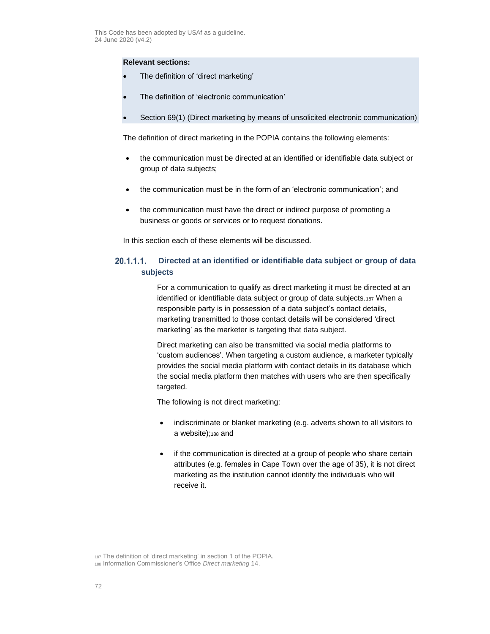## **Relevant sections:**

- The definition of 'direct marketing'
- The definition of 'electronic communication'
- Section 69(1) (Direct marketing by means of unsolicited electronic communication)

The definition of direct marketing in the POPIA contains the following elements:

- the communication must be directed at an identified or identifiable data subject or group of data subjects;
- the communication must be in the form of an 'electronic communication'; and
- the communication must have the direct or indirect purpose of promoting a business or goods or services or to request donations.

In this section each of these elements will be discussed.

#### $20.1.1.1.$ **Directed at an identified or identifiable data subject or group of data subjects**

For a communication to qualify as direct marketing it must be directed at an identified or identifiable data subject or group of data subjects.<sup>187</sup> When a responsible party is in possession of a data subject's contact details, marketing transmitted to those contact details will be considered 'direct marketing' as the marketer is targeting that data subject.

Direct marketing can also be transmitted via social media platforms to 'custom audiences'. When targeting a custom audience, a marketer typically provides the social media platform with contact details in its database which the social media platform then matches with users who are then specifically targeted.

The following is not direct marketing:

- indiscriminate or blanket marketing (e.g. adverts shown to all visitors to a website);<sup>188</sup> and
- if the communication is directed at a group of people who share certain attributes (e.g. females in Cape Town over the age of 35), it is not direct marketing as the institution cannot identify the individuals who will receive it.

<sup>187</sup> The definition of 'direct marketing' in section 1 of the POPIA.

<sup>188</sup> Information Commissioner's Office *Direct marketing* 14.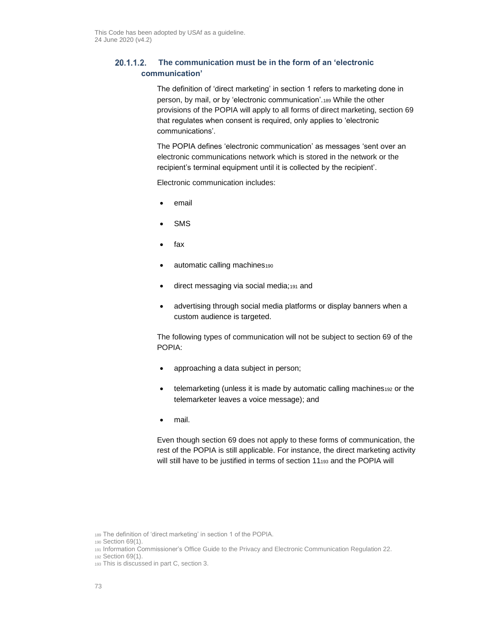#### $20.1.1.2.$ **The communication must be in the form of an 'electronic communication'**

The definition of 'direct marketing' in section 1 refers to marketing done in person, by mail, or by 'electronic communication'.<sup>189</sup> While the other provisions of the POPIA will apply to all forms of direct marketing, section 69 that regulates when consent is required, only applies to 'electronic communications'.

The POPIA defines 'electronic communication' as messages 'sent over an electronic communications network which is stored in the network or the recipient's terminal equipment until it is collected by the recipient'.

Electronic communication includes:

- email
- **SMS**
- fax
- automatic calling machines<sub>190</sub>
- direct messaging via social media;<sup>191</sup> and
- advertising through social media platforms or display banners when a custom audience is targeted.

The following types of communication will not be subject to section 69 of the POPIA:

- approaching a data subject in person;
- telemarketing (unless it is made by automatic calling machines192 or the telemarketer leaves a voice message); and
- mail.

Even though section 69 does not apply to these forms of communication, the rest of the POPIA is still applicable. For instance, the direct marketing activity will still have to be justified in terms of section 11193 and the POPIA will

<sup>189</sup> The definition of 'direct marketing' in section 1 of the POPIA.

<sup>190</sup> Section 69(1).

<sup>191</sup> Information Commissioner's Office Guide to the Privacy and Electronic Communication Regulation 22.

<sup>192</sup> Section 69(1).

<sup>193</sup> This is discussed in par[t C,](#page-14-0) sectio[n 3.](#page-16-0)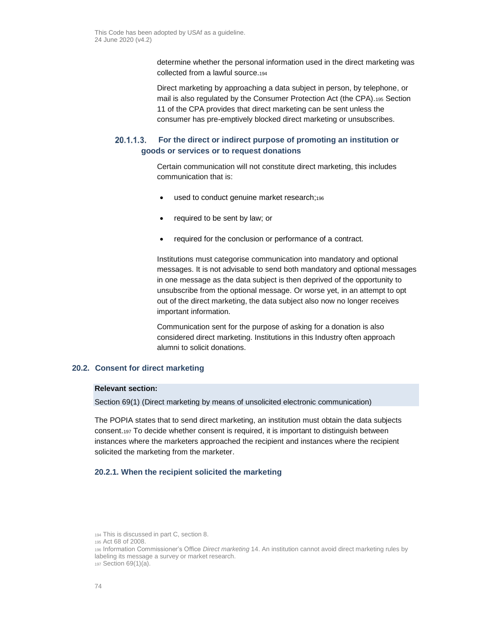determine whether the personal information used in the direct marketing was collected from a lawful source.<sup>194</sup>

Direct marketing by approaching a data subject in person, by telephone, or mail is also regulated by the Consumer Protection Act (the CPA).<sup>195</sup> Section 11 of the CPA provides that direct marketing can be sent unless the consumer has pre-emptively blocked direct marketing or unsubscribes.

#### $20.1.1.3.$ **For the direct or indirect purpose of promoting an institution or goods or services or to request donations**

Certain communication will not constitute direct marketing, this includes communication that is:

- used to conduct genuine market research;<sup>196</sup>
- required to be sent by law; or
- required for the conclusion or performance of a contract.

Institutions must categorise communication into mandatory and optional messages. It is not advisable to send both mandatory and optional messages in one message as the data subject is then deprived of the opportunity to unsubscribe from the optional message. Or worse yet, in an attempt to opt out of the direct marketing, the data subject also now no longer receives important information.

Communication sent for the purpose of asking for a donation is also considered direct marketing. Institutions in this Industry often approach alumni to solicit donations.

### **20.2. Consent for direct marketing**

#### **Relevant section:**

Section 69(1) (Direct marketing by means of unsolicited electronic communication)

The POPIA states that to send direct marketing, an institution must obtain the data subjects consent.<sup>197</sup> To decide whether consent is required, it is important to distinguish between instances where the marketers approached the recipient and instances where the recipient solicited the marketing from the marketer.

### **20.2.1. When the recipient solicited the marketing**

<sup>194</sup> This is discussed in par[t C,](#page-14-0) sectio[n 8.](#page-37-0)

<sup>195</sup> Act 68 of 2008.

<sup>196</sup> Information Commissioner's Office *Direct marketing* 14. An institution cannot avoid direct marketing rules by labeling its message a survey or market research. <sup>197</sup> Section 69(1)(a).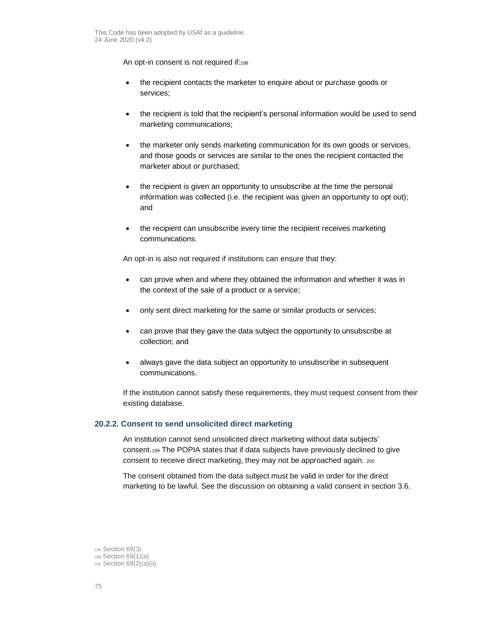An opt-in consent is not required if:198

- the recipient contacts the marketer to enquire about or purchase goods or services;
- the recipient is told that the recipient's personal information would be used to send marketing communications;
- the marketer only sends marketing communication for its own goods or services, and those goods or services are similar to the ones the recipient contacted the marketer about or purchased;
- the recipient is given an opportunity to unsubscribe at the time the personal information was collected (i.e. the recipient was given an opportunity to opt out); and
- the recipient can unsubscribe every time the recipient receives marketing communications.

An opt-in is also not required if institutions can ensure that they:

- can prove when and where they obtained the information and whether it was in the context of the sale of a product or a service;
- only sent direct marketing for the same or similar products or services;
- can prove that they gave the data subject the opportunity to unsubscribe at collection; and
- always gave the data subject an opportunity to unsubscribe in subsequent communications.

If the institution cannot satisfy these requirements, they must request consent from their existing database.

#### **20.2.2. Consent to send unsolicited direct marketing**

An institution cannot send unsolicited direct marketing without data subjects' consent.<sup>199</sup> The POPIA states that if data subjects have previously declined to give consent to receive direct marketing, they may not be approached again. <sup>200</sup>

The consent obtained from the data subject must be valid in order for the direct marketing to be lawful. See the discussion on obtaining a valid consent in section [3.6.](#page-23-0)

<sup>198</sup> Section 69(3). <sup>199</sup> Section 69(1)(a) <sup>200</sup> Section 69(2)(a)(ii).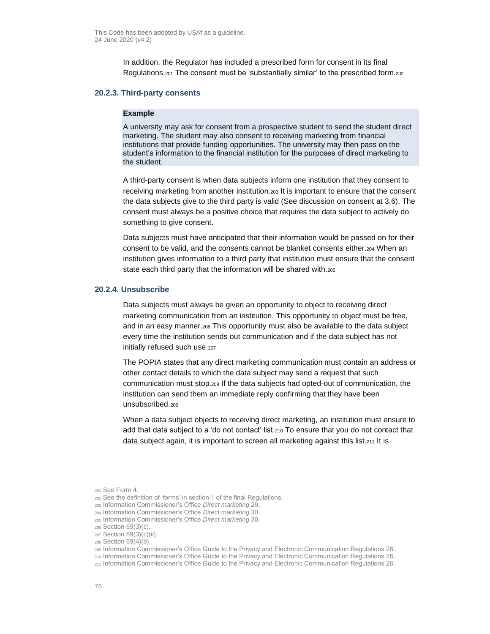In addition, the Regulator has included a prescribed form for consent in its final Regulations.<sup>201</sup> The consent must be 'substantially similar' to the prescribed form.<sup>202</sup>

#### **20.2.3. Third-party consents**

#### **Example**

A university may ask for consent from a prospective student to send the student direct marketing. The student may also consent to receiving marketing from financial institutions that provide funding opportunities. The university may then pass on the student's information to the financial institution for the purposes of direct marketing to the student.

A third-party consent is when data subjects inform one institution that they consent to receiving marketing from another institution.<sup>203</sup> It is important to ensure that the consent the data subjects give to the third party is valid (See discussion on consent a[t 3.6\)](#page-23-0). The consent must always be a positive choice that requires the data subject to actively do something to give consent.

Data subjects must have anticipated that their information would be passed on for their consent to be valid, and the consents cannot be blanket consents either.<sup>204</sup> When an institution gives information to a third party that institution must ensure that the consent state each third party that the information will be shared with.<sup>205</sup>

#### **20.2.4. Unsubscribe**

Data subjects must always be given an opportunity to object to receiving direct marketing communication from an institution. This opportunity to object must be free, and in an easy manner.<sup>206</sup> This opportunity must also be available to the data subject every time the institution sends out communication and if the data subject has not initially refused such use.207

The POPIA states that any direct marketing communication must contain an address or other contact details to which the data subject may send a request that such communication must stop.<sup>208</sup> If the data subjects had opted-out of communication, the institution can send them an immediate reply confirming that they have been unsubscribed.<sub>209</sub>

When a data subject objects to receiving direct marketing, an institution must ensure to add that data subject to a 'do not contact' list.<sup>210</sup> To ensure that you do not contact that data subject again, it is important to screen all marketing against this list.<sup>211</sup> It is

<sup>201</sup> See Form 4.

<sup>202</sup> See the definition of 'forms' in section 1 of the final Regulations.

<sup>203</sup> Information Commissioner's Office *Direct marketing* 29.

<sup>204</sup> Information Commissioner's Office *Direct marketing* 30.

<sup>205</sup> Information Commissioner's Office *Direct marketing* 30.

<sup>206</sup> Section 69(3)(c).

<sup>207</sup> Section 69(3)(c)(ii).

<sup>208</sup> Section 69(4)(b).

<sup>209</sup> Information Commissioner's Office Guide to the Privacy and Electronic Communication Regulations 26.

<sup>210</sup> Information Commissioner's Office Guide to the Privacy and Electronic Communication Regulations 26.

<sup>211</sup> Information Commissioner's Office Guide to the Privacy and Electronic Communication Regulations 26.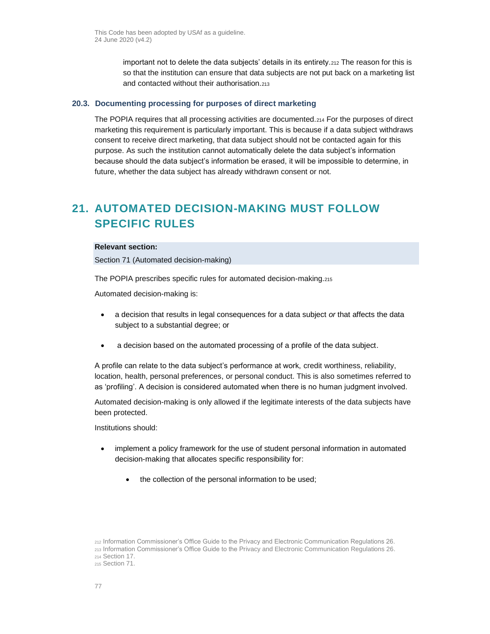important not to delete the data subjects' details in its entirety.<sup>212</sup> The reason for this is so that the institution can ensure that data subjects are not put back on a marketing list and contacted without their authorisation.<sup>213</sup>

#### **20.3. Documenting processing for purposes of direct marketing**

The POPIA requires that all processing activities are documented.<sup>214</sup> For the purposes of direct marketing this requirement is particularly important. This is because if a data subject withdraws consent to receive direct marketing, that data subject should not be contacted again for this purpose. As such the institution cannot automatically delete the data subject's information because should the data subject's information be erased, it will be impossible to determine, in future, whether the data subject has already withdrawn consent or not.

# **21. AUTOMATED DECISION-MAKING MUST FOLLOW SPECIFIC RULES**

#### **Relevant section:**

Section 71 (Automated decision-making)

The POPIA prescribes specific rules for automated decision-making.<sup>215</sup>

Automated decision-making is:

- a decision that results in legal consequences for a data subject *or* that affects the data subject to a substantial degree; or
- a decision based on the automated processing of a profile of the data subject.

A profile can relate to the data subject's performance at work, credit worthiness, reliability, location, health, personal preferences, or personal conduct. This is also sometimes referred to as 'profiling'. A decision is considered automated when there is no human judgment involved.

Automated decision-making is only allowed if the legitimate interests of the data subjects have been protected.

Institutions should:

- implement a policy framework for the use of student personal information in automated decision-making that allocates specific responsibility for:
	- the collection of the personal information to be used;

<sup>212</sup> Information Commissioner's Office Guide to the Privacy and Electronic Communication Regulations 26. <sup>213</sup> Information Commissioner's Office Guide to the Privacy and Electronic Communication Regulations 26. <sup>214</sup> Section 17. <sup>215</sup> Section 71.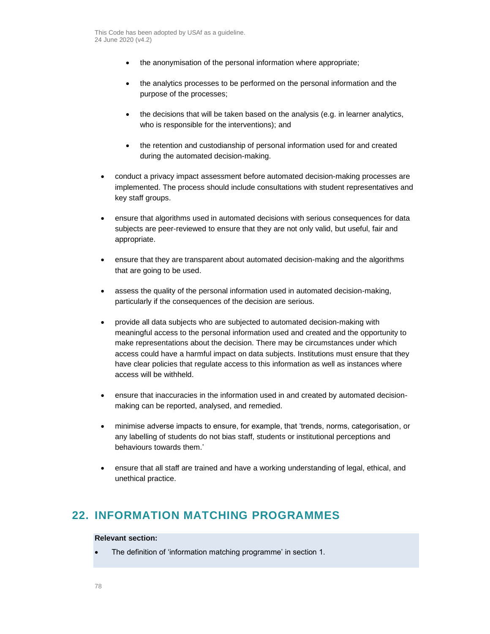- the anonymisation of the personal information where appropriate;
- the analytics processes to be performed on the personal information and the purpose of the processes;
- the decisions that will be taken based on the analysis (e.g. in learner analytics, who is responsible for the interventions); and
- the retention and custodianship of personal information used for and created during the automated decision-making.
- conduct a privacy impact assessment before automated decision-making processes are implemented. The process should include consultations with student representatives and key staff groups.
- ensure that algorithms used in automated decisions with serious consequences for data subjects are peer-reviewed to ensure that they are not only valid, but useful, fair and appropriate.
- ensure that they are transparent about automated decision-making and the algorithms that are going to be used.
- assess the quality of the personal information used in automated decision-making, particularly if the consequences of the decision are serious.
- provide all data subjects who are subjected to automated decision-making with meaningful access to the personal information used and created and the opportunity to make representations about the decision. There may be circumstances under which access could have a harmful impact on data subjects. Institutions must ensure that they have clear policies that regulate access to this information as well as instances where access will be withheld.
- ensure that inaccuracies in the information used in and created by automated decisionmaking can be reported, analysed, and remedied.
- minimise adverse impacts to ensure, for example, that 'trends, norms, categorisation, or any labelling of students do not bias staff, students or institutional perceptions and behaviours towards them.'
- ensure that all staff are trained and have a working understanding of legal, ethical, and unethical practice.

# **22. INFORMATION MATCHING PROGRAMMES**

### **Relevant section:**

• The definition of 'information matching programme' in section 1.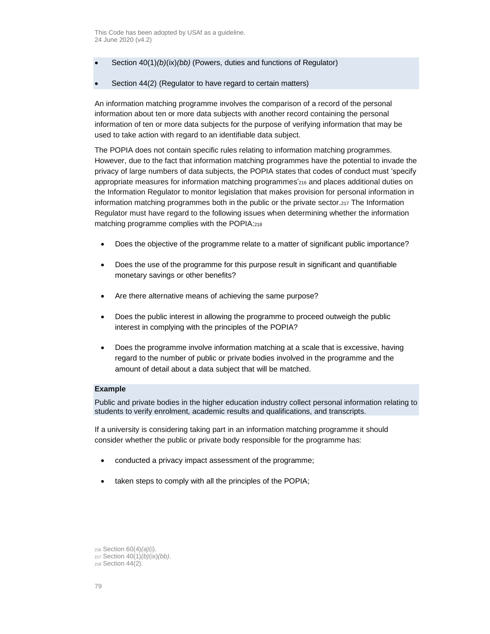- Section 40(1)*(b)*(ix)*(bb)* (Powers, duties and functions of Regulator)
- Section 44(2) (Regulator to have regard to certain matters)

An information matching programme involves the comparison of a record of the personal information about ten or more data subjects with another record containing the personal information of ten or more data subjects for the purpose of verifying information that may be used to take action with regard to an identifiable data subject.

The POPIA does not contain specific rules relating to information matching programmes. However, due to the fact that information matching programmes have the potential to invade the privacy of large numbers of data subjects, the POPIA states that codes of conduct must 'specify appropriate measures for information matching programmes'<sup>216</sup> and places additional duties on the Information Regulator to monitor legislation that makes provision for personal information in information matching programmes both in the public or the private sector.<sup>217</sup> The Information Regulator must have regard to the following issues when determining whether the information matching programme complies with the POPIA:<sup>218</sup>

- Does the objective of the programme relate to a matter of significant public importance?
- Does the use of the programme for this purpose result in significant and quantifiable monetary savings or other benefits?
- Are there alternative means of achieving the same purpose?
- Does the public interest in allowing the programme to proceed outweigh the public interest in complying with the principles of the POPIA?
- Does the programme involve information matching at a scale that is excessive, having regard to the number of public or private bodies involved in the programme and the amount of detail about a data subject that will be matched.

#### **Example**

Public and private bodies in the higher education industry collect personal information relating to students to verify enrolment, academic results and qualifications, and transcripts.

If a university is considering taking part in an information matching programme it should consider whether the public or private body responsible for the programme has:

- conducted a privacy impact assessment of the programme;
- taken steps to comply with all the principles of the POPIA;

<sup>216</sup> Section 60(4)*(a)*(i).

<sup>217</sup> Section 40(1)*(b)*(ix)*(bb)*.

<sup>218</sup> Section 44(2).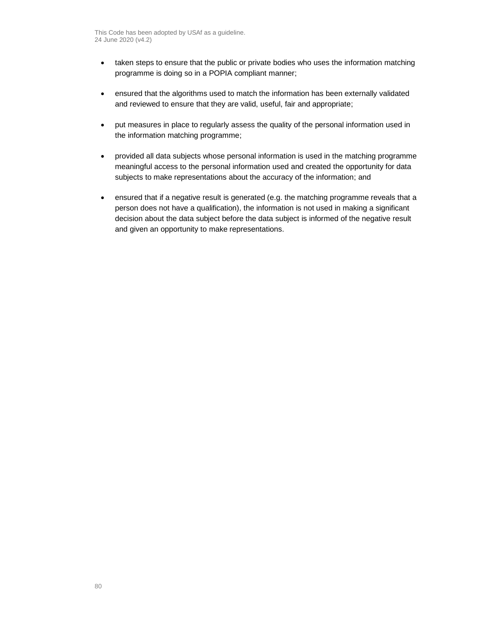- taken steps to ensure that the public or private bodies who uses the information matching programme is doing so in a POPIA compliant manner;
- ensured that the algorithms used to match the information has been externally validated and reviewed to ensure that they are valid, useful, fair and appropriate;
- put measures in place to regularly assess the quality of the personal information used in the information matching programme;
- provided all data subjects whose personal information is used in the matching programme meaningful access to the personal information used and created the opportunity for data subjects to make representations about the accuracy of the information; and
- ensured that if a negative result is generated (e.g. the matching programme reveals that a person does not have a qualification), the information is not used in making a significant decision about the data subject before the data subject is informed of the negative result and given an opportunity to make representations.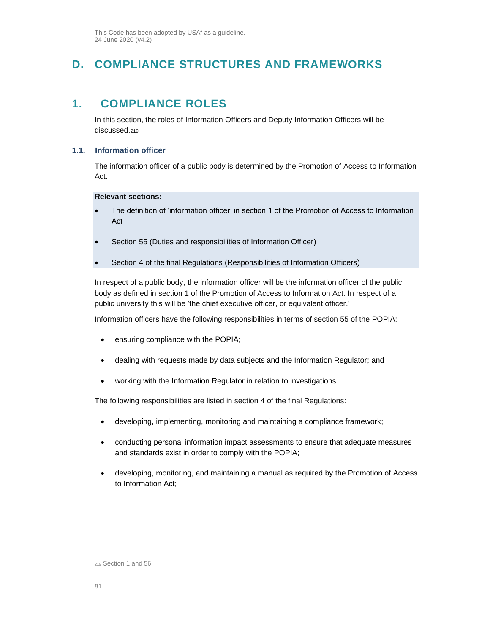This Code has been adopted by USAf as a guideline. 24 June 2020 (v4.2)

# **D. COMPLIANCE STRUCTURES AND FRAMEWORKS**

# **1. COMPLIANCE ROLES**

In this section, the roles of Information Officers and Deputy Information Officers will be discussed.<sup>219</sup>

### **1.1. Information officer**

The information officer of a public body is determined by the Promotion of Access to Information Act.

**Relevant sections:**

- The definition of 'information officer' in section 1 of the Promotion of Access to Information Act
- Section 55 (Duties and responsibilities of Information Officer)
- Section 4 of the final Regulations (Responsibilities of Information Officers)

In respect of a public body, the information officer will be the information officer of the public body as defined in section 1 of the Promotion of Access to Information Act. In respect of a public university this will be 'the chief executive officer, or equivalent officer.'

Information officers have the following responsibilities in terms of section 55 of the POPIA:

- ensuring compliance with the POPIA;
- dealing with requests made by data subjects and the Information Regulator; and
- working with the Information Regulator in relation to investigations.

The following responsibilities are listed in section 4 of the final Regulations:

- developing, implementing, monitoring and maintaining a compliance framework;
- conducting personal information impact assessments to ensure that adequate measures and standards exist in order to comply with the POPIA;
- developing, monitoring, and maintaining a manual as required by the Promotion of Access to Information Act;

<sup>219</sup> Section 1 and 56.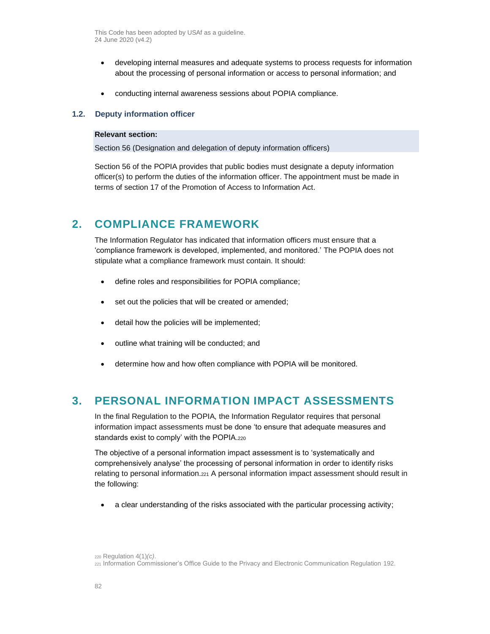This Code has been adopted by USAf as a guideline. 24 June 2020 (v4.2)

- developing internal measures and adequate systems to process requests for information about the processing of personal information or access to personal information; and
- conducting internal awareness sessions about POPIA compliance.

#### **1.2. Deputy information officer**

#### **Relevant section:**

Section 56 (Designation and delegation of deputy information officers)

Section 56 of the POPIA provides that public bodies must designate a deputy information officer(s) to perform the duties of the information officer. The appointment must be made in terms of section 17 of the Promotion of Access to Information Act.

## **2. COMPLIANCE FRAMEWORK**

The Information Regulator has indicated that information officers must ensure that a 'compliance framework is developed, implemented, and monitored.' The POPIA does not stipulate what a compliance framework must contain. It should:

- define roles and responsibilities for POPIA compliance;
- set out the policies that will be created or amended;
- detail how the policies will be implemented;
- outline what training will be conducted; and
- determine how and how often compliance with POPIA will be monitored.

## **3. PERSONAL INFORMATION IMPACT ASSESSMENTS**

In the final Regulation to the POPIA, the Information Regulator requires that personal information impact assessments must be done 'to ensure that adequate measures and standards exist to comply' with the POPIA.<sup>220</sup>

The objective of a personal information impact assessment is to 'systematically and comprehensively analyse' the processing of personal information in order to identify risks relating to personal information.<sup>221</sup> A personal information impact assessment should result in the following:

• a clear understanding of the risks associated with the particular processing activity;

<sup>220</sup> Regulation 4(1)*(c)*.

<sup>221</sup> Information Commissioner's Office Guide to the Privacy and Electronic Communication Regulation 192.